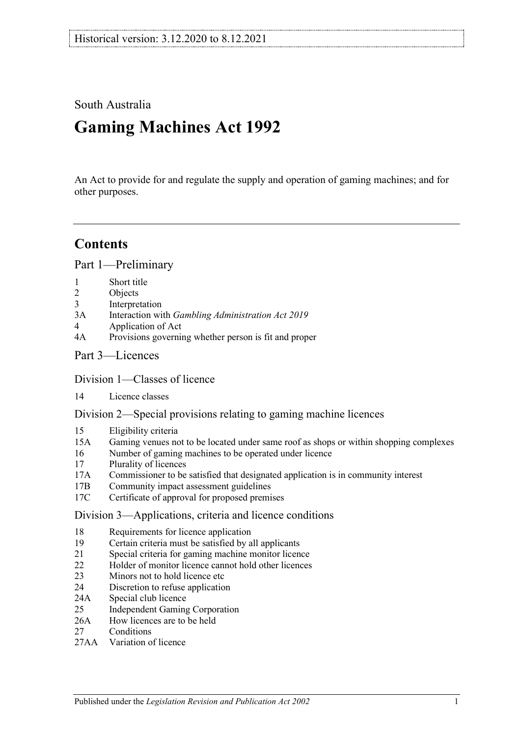South Australia

# **Gaming Machines Act 1992**

An Act to provide for and regulate the supply and operation of gaming machines; and for other purposes.

## **Contents**

[Part 1—Preliminary](#page-4-0)

- 1 [Short title](#page-4-1)<br>2 Objects
- 2 [Objects](#page-4-2)<br>3 Interpre
- **[Interpretation](#page-4-3)**
- 3A Interaction with *[Gambling Administration Act](#page-7-0) 2019*
- 4 [Application of Act](#page-8-0)
- 4A [Provisions governing whether person is fit and proper](#page-8-1)
- [Part 3—Licences](#page-10-0)

### [Division 1—Classes of licence](#page-10-1)

14 [Licence classes](#page-10-2)

[Division 2—Special provisions relating to gaming machine licences](#page-11-0)

- 15 [Eligibility criteria](#page-11-1)<br>15A Gaming venues no
- [Gaming venues not to be located under same roof as shops or within shopping complexes](#page-12-0)
- 16 [Number of gaming machines to be operated under licence](#page-13-0)<br>17 Plurality of licences
- [Plurality of licences](#page-14-0)
- 17A [Commissioner to be satisfied that designated application is in community interest](#page-14-1)
- 17B [Community impact assessment guidelines](#page-14-2)
- 17C [Certificate of approval for proposed premises](#page-15-0)

[Division 3—Applications, criteria and licence conditions](#page-16-0)

- 18 [Requirements for licence application](#page-16-1)<br>19 Certain criteria must be satisfied by a
- 19 [Certain criteria must be satisfied by all applicants](#page-16-2)<br>21 Special criteria for gaming machine monitor licen
- [Special criteria for gaming machine monitor licence](#page-17-0)
- 22 [Holder of monitor licence cannot hold other licences](#page-17-1)
- 23 [Minors not to hold licence etc](#page-17-2)
- 24 [Discretion to refuse application](#page-17-3)
- 24A [Special club licence](#page-17-4)
- 25 [Independent Gaming Corporation](#page-18-0)
- 26A [How licences are to be held](#page-19-0)
- 27 [Conditions](#page-19-1)
- 27AA [Variation of licence](#page-19-2)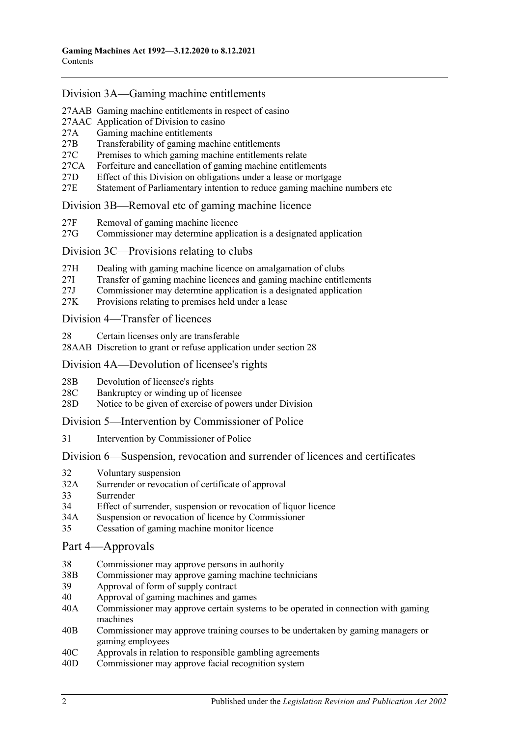### [Division 3A—Gaming machine entitlements](#page-20-0)

27AAB [Gaming machine entitlements in respect of casino](#page-20-1)

- 27AAC [Application of Division to casino](#page-20-2)<br>27A Gaming machine entitlements
- 27A [Gaming machine entitlements](#page-21-0)<br>27B Transferability of gaming mac
- [Transferability of gaming machine entitlements](#page-21-1)
- 27C [Premises to which gaming machine entitlements relate](#page-24-0)
- 27CA [Forfeiture and cancellation of gaming machine entitlements](#page-24-1)
- 27D [Effect of this Division on obligations under a lease or mortgage](#page-24-2)
- 27E [Statement of Parliamentary intention to reduce gaming machine numbers etc](#page-25-0)

#### [Division 3B—Removal etc of gaming machine licence](#page-25-1)

- 27F [Removal of gaming machine licence](#page-25-2)
- 27G [Commissioner may determine application is a designated application](#page-26-0)

#### [Division 3C—Provisions relating to clubs](#page-26-1)

- 27H [Dealing with gaming machine licence on amalgamation of clubs](#page-26-2)
- 27I [Transfer of gaming machine licences and gaming machine entitlements](#page-27-0)
- 27J [Commissioner may determine application is a designated application](#page-27-1)
- 27K [Provisions relating to premises held under a lease](#page-27-2)

#### [Division 4—Transfer of licences](#page-28-0)

- 28 [Certain licenses only are transferable](#page-28-1)
- 28AAB [Discretion to grant or refuse application under section](#page-29-0) 28

#### [Division 4A—Devolution of licensee's rights](#page-29-1)

- 28B [Devolution of licensee's rights](#page-29-2)
- 28C [Bankruptcy or winding up of licensee](#page-30-0)
- 28D [Notice to be given of exercise of powers under Division](#page-30-1)

#### [Division 5—Intervention by Commissioner of Police](#page-30-2)

31 [Intervention by Commissioner of Police](#page-30-3)

#### [Division 6—Suspension, revocation and surrender of licences and certificates](#page-31-0)

- 32 [Voluntary suspension](#page-31-1)
- 32A [Surrender or revocation of certificate of approval](#page-31-2)
- 33 [Surrender](#page-31-3)<br>34 Effect of s
- [Effect of surrender, suspension or revocation of liquor licence](#page-32-0)
- 34A [Suspension or revocation of licence by Commissioner](#page-32-1)
- 35 [Cessation of gaming machine monitor licence](#page-32-2)

#### [Part 4—Approvals](#page-32-3)

- 38 [Commissioner may approve persons in authority](#page-32-4)
- 38B [Commissioner may approve gaming machine technicians](#page-32-5)
- 39 [Approval of form of supply contract](#page-32-6)
- 40 [Approval of gaming machines and games](#page-33-0)
- 40A [Commissioner may approve certain systems to be operated in connection with gaming](#page-34-0)  [machines](#page-34-0)
- 40B [Commissioner may approve training courses to be undertaken by gaming managers or](#page-34-1)  [gaming employees](#page-34-1)
- 40C [Approvals in relation to responsible gambling agreements](#page-35-0)
- 40D [Commissioner may approve facial recognition system](#page-35-1)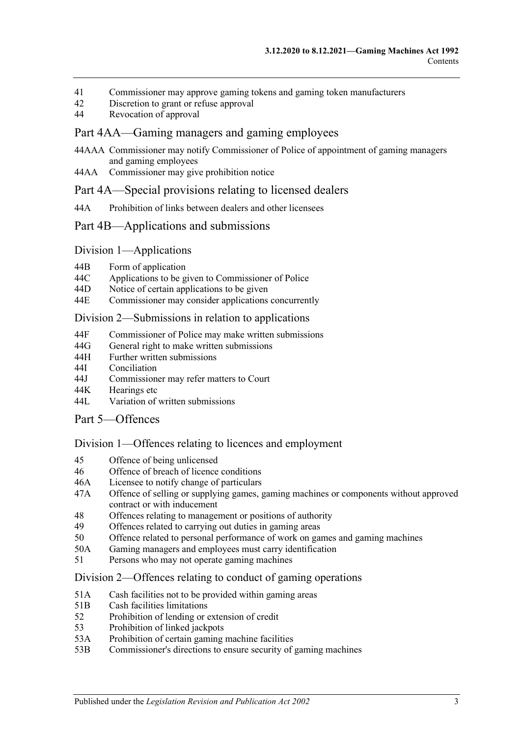- 41 [Commissioner may approve gaming tokens and gaming token manufacturers](#page-36-0)<br>42 Discretion to grant or refuse approval
- 42 [Discretion to grant or refuse approval](#page-36-1)<br>44 Revocation of approval
- [Revocation of approval](#page-36-2)

#### [Part 4AA—Gaming managers and gaming employees](#page-37-0)

- 44AAA [Commissioner may notify Commissioner of Police of appointment of gaming managers](#page-37-1)  [and gaming employees](#page-37-1)
- 44AA [Commissioner may give prohibition notice](#page-37-2)

#### [Part 4A—Special provisions relating to licensed dealers](#page-38-0)

44A [Prohibition of links between dealers and other licensees](#page-38-1)

#### [Part 4B—Applications and submissions](#page-39-0)

#### Division [1—Applications](#page-39-1)

- 44B [Form of application](#page-39-2)<br>44C Applications to be g
- 44C [Applications to be given to Commissioner of Police](#page-40-0)<br>44D Notice of certain applications to be given
- [Notice of certain applications to be given](#page-40-1)
- 44E [Commissioner may consider applications concurrently](#page-41-0)

#### Division [2—Submissions in relation to applications](#page-41-1)

- 44F [Commissioner of Police may make written submissions](#page-41-2)
- 44G [General right to make written submissions](#page-41-3)
- 44H [Further written submissions](#page-42-0)
- 44I [Conciliation](#page-42-1)<br>44J Commission
- [Commissioner may refer matters to Court](#page-43-0)
- 44K [Hearings etc](#page-43-1)<br>44L Variation of
- [Variation of written submissions](#page-43-2)

### [Part 5—Offences](#page-43-3)

#### [Division 1—Offences relating to licences and employment](#page-43-4)

- 45 [Offence of being unlicensed](#page-43-5)
- 46 [Offence of breach of licence conditions](#page-44-0)
- 46A [Licensee to notify change of particulars](#page-44-1)
- 47A [Offence of selling or supplying games, gaming machines or components without approved](#page-45-0)  [contract or with inducement](#page-45-0)
- 48 [Offences relating to management or positions of authority](#page-45-1)
- 49 [Offences related to carrying out duties in gaming areas](#page-45-2)
- 50 [Offence related to personal performance of work on games and gaming machines](#page-46-0)
- 50A [Gaming managers and employees must carry identification](#page-46-1)
- 51 [Persons who may not operate gaming machines](#page-47-0)

#### [Division 2—Offences relating to conduct of gaming operations](#page-48-0)

- 51A [Cash facilities not to be provided within gaming areas](#page-48-1)
- 51B [Cash facilities limitations](#page-48-2)
- 52 [Prohibition of lending or extension of credit](#page-48-3)<br>53 Prohibition of linked jackpots
- 53 [Prohibition of linked jackpots](#page-49-0)<br>53A Prohibition of certain gaming
- [Prohibition of certain gaming machine facilities](#page-49-1)
- 53B [Commissioner's directions to ensure security of gaming machines](#page-51-0)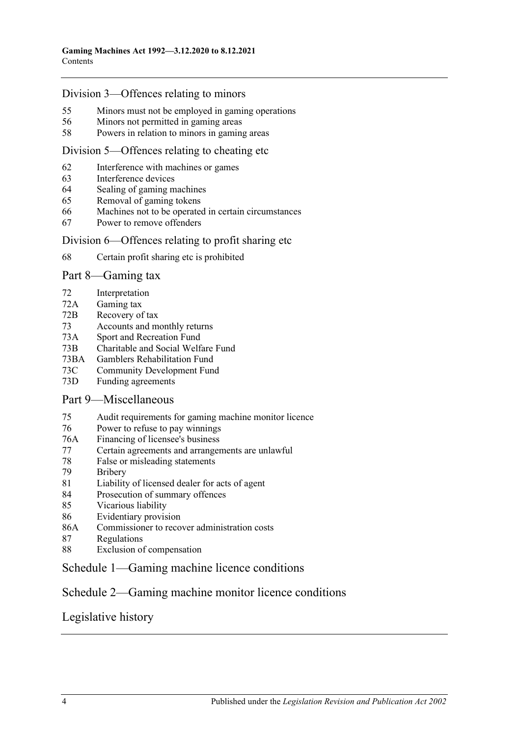### [Division 3—Offences relating to minors](#page-51-1)

- 55 [Minors must not be employed in gaming operations](#page-51-2)<br>56 Minors not permitted in gaming areas
- 56 [Minors not permitted in gaming areas](#page-51-3)<br>58 Powers in relation to minors in gamin
- [Powers in relation to minors in gaming areas](#page-52-0)

#### [Division 5—Offences relating to cheating etc](#page-52-1)

- 62 [Interference with machines or games](#page-52-2)<br>63 Interference devices
- 63 [Interference devices](#page-53-0)<br>64 Sealing of gaming m
- 64 [Sealing of gaming machines](#page-53-1)<br>65 Removal of gaming tokens
- [Removal of gaming tokens](#page-53-2)
- 66 [Machines not to be operated in certain circumstances](#page-53-3)
- 67 [Power to remove offenders](#page-54-0)

#### [Division 6—Offences relating to profit sharing etc](#page-55-0)

68 [Certain profit sharing etc is prohibited](#page-55-1)

#### [Part 8—Gaming tax](#page-55-2)

- 72 [Interpretation](#page-55-3)
- 72A [Gaming tax](#page-58-0)
- 72B [Recovery of tax](#page-59-0)
- 73 [Accounts and monthly returns](#page-60-0)
- 73A [Sport and Recreation Fund](#page-60-1)
- 73B [Charitable and Social Welfare Fund](#page-61-0)<br>73BA Gamblers Rehabilitation Fund
- [Gamblers Rehabilitation Fund](#page-61-1)
- 73C [Community Development Fund](#page-61-2)
- 73D [Funding agreements](#page-62-0)

#### [Part 9—Miscellaneous](#page-62-1)

- 75 [Audit requirements for gaming machine monitor licence](#page-62-2)<br>76 Power to refuse to pay winnings
- [Power to refuse to pay winnings](#page-62-3)
- 76A [Financing of licensee's business](#page-62-4)
- 77 [Certain agreements and arrangements are unlawful](#page-63-0)
- 78 [False or misleading statements](#page-64-0)
- 79 [Bribery](#page-64-1)
- 81 [Liability of licensed dealer for acts of agent](#page-64-2)<br>84 Prosecution of summary offences
- [Prosecution of summary offences](#page-64-3)
- 85 [Vicarious liability](#page-64-4)
- 86 [Evidentiary provision](#page-65-0)
- 86A [Commissioner to recover administration costs](#page-66-0)
- 87 [Regulations](#page-66-1)
- 88 [Exclusion of compensation](#page-67-0)

### [Schedule 1—Gaming machine licence conditions](#page-68-0)

### [Schedule 2—Gaming machine monitor licence conditions](#page-69-0)

### [Legislative history](#page-71-0)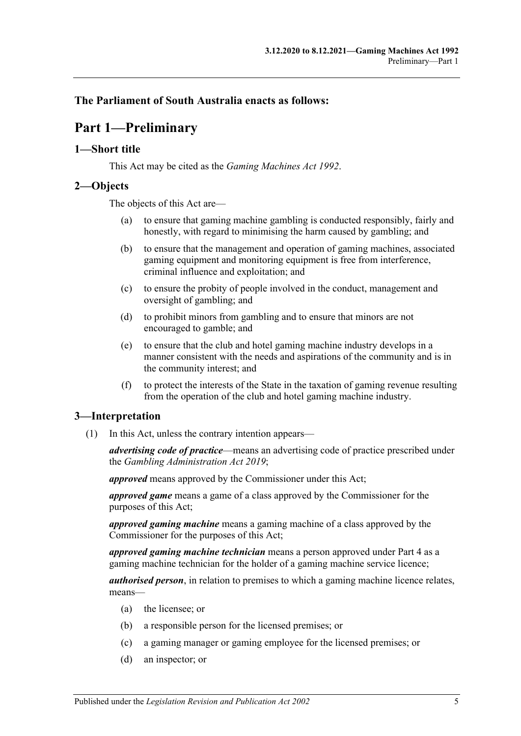### <span id="page-4-0"></span>**The Parliament of South Australia enacts as follows:**

## **Part 1—Preliminary**

#### <span id="page-4-1"></span>**1—Short title**

This Act may be cited as the *Gaming Machines Act 1992*.

#### <span id="page-4-2"></span>**2—Objects**

The objects of this Act are—

- (a) to ensure that gaming machine gambling is conducted responsibly, fairly and honestly, with regard to minimising the harm caused by gambling; and
- (b) to ensure that the management and operation of gaming machines, associated gaming equipment and monitoring equipment is free from interference, criminal influence and exploitation; and
- (c) to ensure the probity of people involved in the conduct, management and oversight of gambling; and
- (d) to prohibit minors from gambling and to ensure that minors are not encouraged to gamble; and
- (e) to ensure that the club and hotel gaming machine industry develops in a manner consistent with the needs and aspirations of the community and is in the community interest; and
- (f) to protect the interests of the State in the taxation of gaming revenue resulting from the operation of the club and hotel gaming machine industry.

#### <span id="page-4-3"></span>**3—Interpretation**

(1) In this Act, unless the contrary intention appears—

*advertising code of practice*—means an advertising code of practice prescribed under the *[Gambling Administration Act](http://www.legislation.sa.gov.au/index.aspx?action=legref&type=act&legtitle=Gambling%20Administration%20Act%202019) 2019*;

*approved* means approved by the Commissioner under this Act;

*approved game* means a game of a class approved by the Commissioner for the purposes of this Act;

*approved gaming machine* means a gaming machine of a class approved by the Commissioner for the purposes of this Act;

*approved gaming machine technician* means a person approved unde[r Part 4](#page-32-3) as a gaming machine technician for the holder of a gaming machine service licence;

*authorised person*, in relation to premises to which a gaming machine licence relates, means—

- (a) the licensee; or
- (b) a responsible person for the licensed premises; or
- (c) a gaming manager or gaming employee for the licensed premises; or
- (d) an inspector; or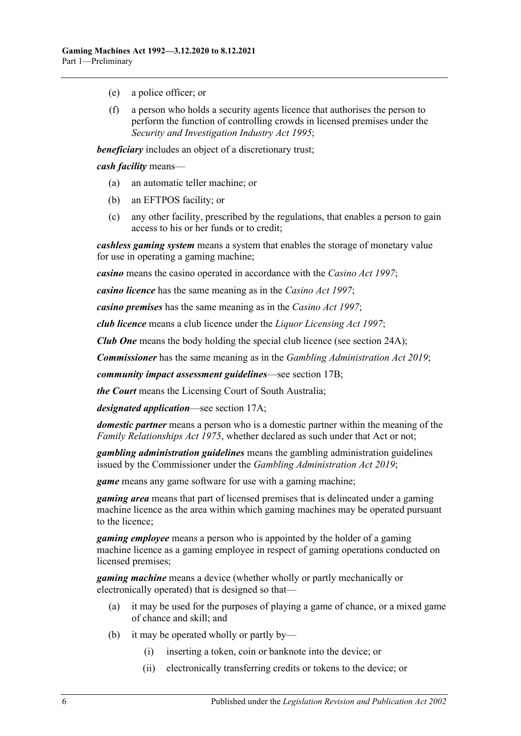- (e) a police officer; or
- (f) a person who holds a security agents licence that authorises the person to perform the function of controlling crowds in licensed premises under the *[Security and Investigation Industry Act](http://www.legislation.sa.gov.au/index.aspx?action=legref&type=act&legtitle=Security%20and%20Investigation%20Industry%20Act%201995) 1995*;

*beneficiary* includes an object of a discretionary trust;

*cash facility* means—

- (a) an automatic teller machine; or
- (b) an EFTPOS facility; or
- (c) any other facility, prescribed by the regulations, that enables a person to gain access to his or her funds or to credit;

*cashless gaming system* means a system that enables the storage of monetary value for use in operating a gaming machine;

*casino* means the casino operated in accordance with the *[Casino Act](http://www.legislation.sa.gov.au/index.aspx?action=legref&type=act&legtitle=Casino%20Act%201997) 1997*;

*casino licence* has the same meaning as in the *[Casino Act](http://www.legislation.sa.gov.au/index.aspx?action=legref&type=act&legtitle=Casino%20Act%201997) 1997*;

*casino premises* has the same meaning as in the *[Casino Act](http://www.legislation.sa.gov.au/index.aspx?action=legref&type=act&legtitle=Casino%20Act%201997) 1997*;

*club licence* means a club licence under the *[Liquor Licensing Act](http://www.legislation.sa.gov.au/index.aspx?action=legref&type=act&legtitle=Liquor%20Licensing%20Act%201997) 1997*;

*Club One* means the body holding the special club licence (see [section](#page-17-4) 24A);

*Commissioner* has the same meaning as in the *[Gambling Administration Act](http://www.legislation.sa.gov.au/index.aspx?action=legref&type=act&legtitle=Gambling%20Administration%20Act%202019) 2019*;

*community impact assessment guidelines*—see section 17B;

*the Court* means the Licensing Court of South Australia;

*designated application*—see section 17A;

*domestic partner* means a person who is a domestic partner within the meaning of the *[Family Relationships Act](http://www.legislation.sa.gov.au/index.aspx?action=legref&type=act&legtitle=Family%20Relationships%20Act%201975) 1975*, whether declared as such under that Act or not;

*gambling administration guidelines* means the gambling administration guidelines issued by the Commissioner under the *[Gambling Administration Act](http://www.legislation.sa.gov.au/index.aspx?action=legref&type=act&legtitle=Gambling%20Administration%20Act%202019) 2019*;

*game* means any game software for use with a gaming machine;

*gaming area* means that part of licensed premises that is delineated under a gaming machine licence as the area within which gaming machines may be operated pursuant to the licence;

*gaming employee* means a person who is appointed by the holder of a gaming machine licence as a gaming employee in respect of gaming operations conducted on licensed premises;

*gaming machine* means a device (whether wholly or partly mechanically or electronically operated) that is designed so that—

- (a) it may be used for the purposes of playing a game of chance, or a mixed game of chance and skill; and
- (b) it may be operated wholly or partly by—
	- (i) inserting a token, coin or banknote into the device; or
	- (ii) electronically transferring credits or tokens to the device; or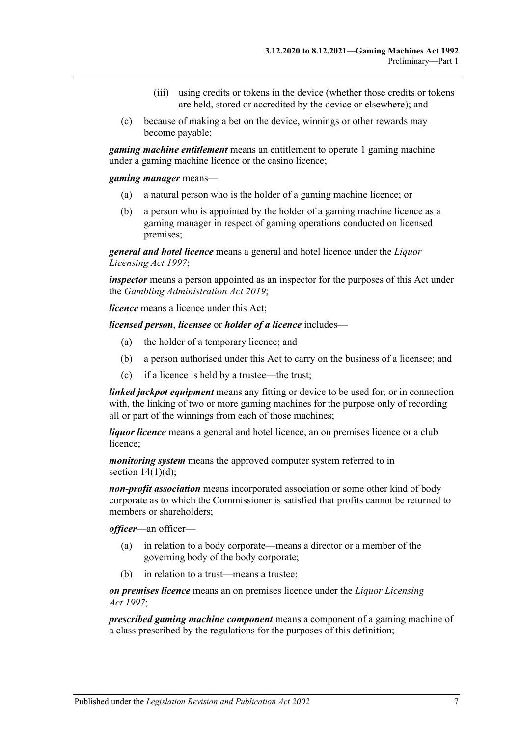- (iii) using credits or tokens in the device (whether those credits or tokens are held, stored or accredited by the device or elsewhere); and
- (c) because of making a bet on the device, winnings or other rewards may become payable;

*gaming machine entitlement* means an entitlement to operate 1 gaming machine under a gaming machine licence or the casino licence;

*gaming manager* means—

- (a) a natural person who is the holder of a gaming machine licence; or
- (b) a person who is appointed by the holder of a gaming machine licence as a gaming manager in respect of gaming operations conducted on licensed premises;

*general and hotel licence* means a general and hotel licence under the *[Liquor](http://www.legislation.sa.gov.au/index.aspx?action=legref&type=act&legtitle=Liquor%20Licensing%20Act%201997)  [Licensing Act](http://www.legislation.sa.gov.au/index.aspx?action=legref&type=act&legtitle=Liquor%20Licensing%20Act%201997) 1997*;

*inspector* means a person appointed as an inspector for the purposes of this Act under the *[Gambling Administration Act](http://www.legislation.sa.gov.au/index.aspx?action=legref&type=act&legtitle=Gambling%20Administration%20Act%202019) 2019*;

*licence* means a licence under this Act;

*licensed person*, *licensee* or *holder of a licence* includes—

- (a) the holder of a temporary licence; and
- (b) a person authorised under this Act to carry on the business of a licensee; and
- (c) if a licence is held by a trustee—the trust;

*linked jackpot equipment* means any fitting or device to be used for, or in connection with, the linking of two or more gaming machines for the purpose only of recording all or part of the winnings from each of those machines;

*liquor licence* means a general and hotel licence, an on premises licence or a club licence;

*monitoring system* means the approved computer system referred to in section  $14(1)(d)$ ;

*non-profit association* means incorporated association or some other kind of body corporate as to which the Commissioner is satisfied that profits cannot be returned to members or shareholders;

*officer*—an officer—

- (a) in relation to a body corporate—means a director or a member of the governing body of the body corporate;
- (b) in relation to a trust—means a trustee;

*on premises licence* means an on premises licence under the *[Liquor Licensing](http://www.legislation.sa.gov.au/index.aspx?action=legref&type=act&legtitle=Liquor%20Licensing%20Act%201997)  Act [1997](http://www.legislation.sa.gov.au/index.aspx?action=legref&type=act&legtitle=Liquor%20Licensing%20Act%201997)*;

*prescribed gaming machine component* means a component of a gaming machine of a class prescribed by the regulations for the purposes of this definition;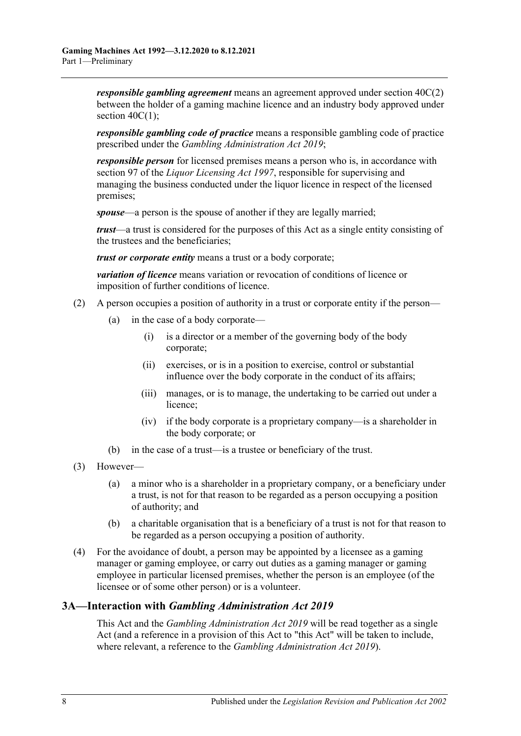*responsible gambling agreement* means an agreement approved under [section](#page-35-2) 40C(2) between the holder of a gaming machine licence and an industry body approved under section  $40C(1)$ ;

*responsible gambling code of practice* means a responsible gambling code of practice prescribed under the *[Gambling Administration Act](http://www.legislation.sa.gov.au/index.aspx?action=legref&type=act&legtitle=Gambling%20Administration%20Act%202019) 2019*;

*responsible person* for licensed premises means a person who is, in accordance with section 97 of the *[Liquor Licensing Act](http://www.legislation.sa.gov.au/index.aspx?action=legref&type=act&legtitle=Liquor%20Licensing%20Act%201997) 1997*, responsible for supervising and managing the business conducted under the liquor licence in respect of the licensed premises;

*spouse*—a person is the spouse of another if they are legally married;

*trust*—a trust is considered for the purposes of this Act as a single entity consisting of the trustees and the beneficiaries;

*trust or corporate entity* means a trust or a body corporate;

*variation of licence* means variation or revocation of conditions of licence or imposition of further conditions of licence.

- (2) A person occupies a position of authority in a trust or corporate entity if the person—
	- (a) in the case of a body corporate—
		- (i) is a director or a member of the governing body of the body corporate;
		- (ii) exercises, or is in a position to exercise, control or substantial influence over the body corporate in the conduct of its affairs;
		- (iii) manages, or is to manage, the undertaking to be carried out under a licence;
		- (iv) if the body corporate is a proprietary company—is a shareholder in the body corporate; or
	- (b) in the case of a trust—is a trustee or beneficiary of the trust.
- (3) However—
	- (a) a minor who is a shareholder in a proprietary company, or a beneficiary under a trust, is not for that reason to be regarded as a person occupying a position of authority; and
	- (b) a charitable organisation that is a beneficiary of a trust is not for that reason to be regarded as a person occupying a position of authority.
- (4) For the avoidance of doubt, a person may be appointed by a licensee as a gaming manager or gaming employee, or carry out duties as a gaming manager or gaming employee in particular licensed premises, whether the person is an employee (of the licensee or of some other person) or is a volunteer.

### <span id="page-7-0"></span>**3A—Interaction with** *Gambling Administration Act 2019*

This Act and the *[Gambling Administration Act](http://www.legislation.sa.gov.au/index.aspx?action=legref&type=act&legtitle=Gambling%20Administration%20Act%202019) 2019* will be read together as a single Act (and a reference in a provision of this Act to "this Act" will be taken to include, where relevant, a reference to the *[Gambling Administration Act](http://www.legislation.sa.gov.au/index.aspx?action=legref&type=act&legtitle=Gambling%20Administration%20Act%202019) 2019*).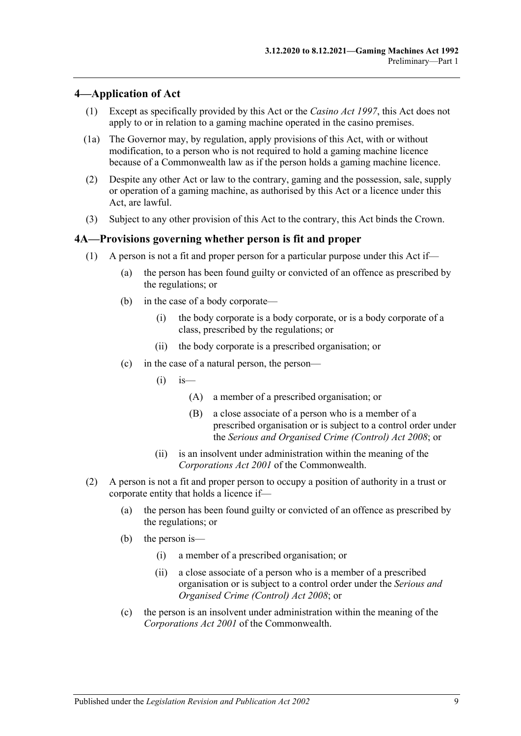#### <span id="page-8-0"></span>**4—Application of Act**

- (1) Except as specifically provided by this Act or the *[Casino Act](http://www.legislation.sa.gov.au/index.aspx?action=legref&type=act&legtitle=Casino%20Act%201997) 1997*, this Act does not apply to or in relation to a gaming machine operated in the casino premises.
- (1a) The Governor may, by regulation, apply provisions of this Act, with or without modification, to a person who is not required to hold a gaming machine licence because of a Commonwealth law as if the person holds a gaming machine licence.
- (2) Despite any other Act or law to the contrary, gaming and the possession, sale, supply or operation of a gaming machine, as authorised by this Act or a licence under this Act, are lawful.
- (3) Subject to any other provision of this Act to the contrary, this Act binds the Crown.

#### <span id="page-8-1"></span>**4A—Provisions governing whether person is fit and proper**

- (1) A person is not a fit and proper person for a particular purpose under this Act if—
	- (a) the person has been found guilty or convicted of an offence as prescribed by the regulations; or
	- (b) in the case of a body corporate—
		- (i) the body corporate is a body corporate, or is a body corporate of a class, prescribed by the regulations; or
		- (ii) the body corporate is a prescribed organisation; or
	- (c) in the case of a natural person, the person—
		- $(i)$  is—
			- (A) a member of a prescribed organisation; or
			- (B) a close associate of a person who is a member of a prescribed organisation or is subject to a control order under the *[Serious and Organised Crime \(Control\) Act](http://www.legislation.sa.gov.au/index.aspx?action=legref&type=act&legtitle=Serious%20and%20Organised%20Crime%20(Control)%20Act%202008) 2008*; or
		- (ii) is an insolvent under administration within the meaning of the *Corporations Act 2001* of the Commonwealth.
- (2) A person is not a fit and proper person to occupy a position of authority in a trust or corporate entity that holds a licence if—
	- (a) the person has been found guilty or convicted of an offence as prescribed by the regulations; or
	- (b) the person is—
		- (i) a member of a prescribed organisation; or
		- (ii) a close associate of a person who is a member of a prescribed organisation or is subject to a control order under the *[Serious and](http://www.legislation.sa.gov.au/index.aspx?action=legref&type=act&legtitle=Serious%20and%20Organised%20Crime%20(Control)%20Act%202008)  [Organised Crime \(Control\) Act](http://www.legislation.sa.gov.au/index.aspx?action=legref&type=act&legtitle=Serious%20and%20Organised%20Crime%20(Control)%20Act%202008) 2008*; or
	- (c) the person is an insolvent under administration within the meaning of the *Corporations Act 2001* of the Commonwealth.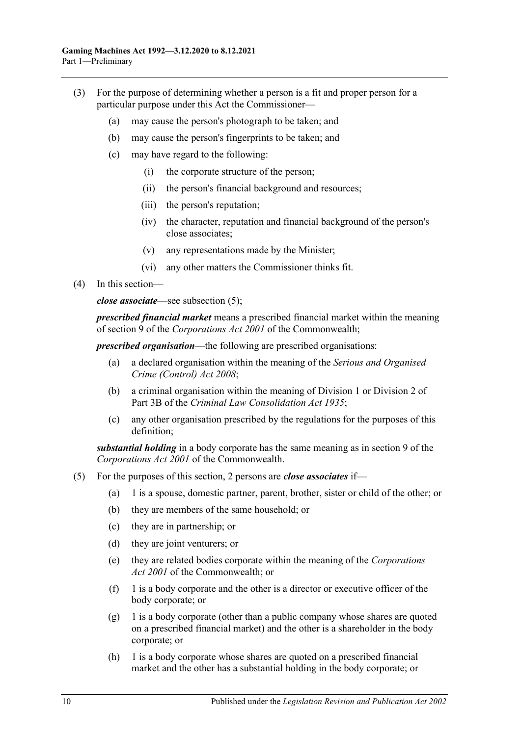- (3) For the purpose of determining whether a person is a fit and proper person for a particular purpose under this Act the Commissioner—
	- (a) may cause the person's photograph to be taken; and
	- (b) may cause the person's fingerprints to be taken; and
	- (c) may have regard to the following:
		- (i) the corporate structure of the person;
		- (ii) the person's financial background and resources;
		- (iii) the person's reputation;
		- (iv) the character, reputation and financial background of the person's close associates;
		- (v) any representations made by the Minister;
		- (vi) any other matters the Commissioner thinks fit.
- (4) In this section—

*close associate*—see [subsection](#page-9-0) (5);

*prescribed financial market* means a prescribed financial market within the meaning of section 9 of the *Corporations Act 2001* of the Commonwealth;

*prescribed organisation*—the following are prescribed organisations:

- (a) a declared organisation within the meaning of the *[Serious and Organised](http://www.legislation.sa.gov.au/index.aspx?action=legref&type=act&legtitle=Serious%20and%20Organised%20Crime%20(Control)%20Act%202008)  [Crime \(Control\) Act](http://www.legislation.sa.gov.au/index.aspx?action=legref&type=act&legtitle=Serious%20and%20Organised%20Crime%20(Control)%20Act%202008) 2008*;
- (b) a criminal organisation within the meaning of Division 1 or Division 2 of Part 3B of the *Criminal [Law Consolidation Act](http://www.legislation.sa.gov.au/index.aspx?action=legref&type=act&legtitle=Criminal%20Law%20Consolidation%20Act%201935) 1935*;
- (c) any other organisation prescribed by the regulations for the purposes of this definition;

*substantial holding* in a body corporate has the same meaning as in section 9 of the *Corporations Act 2001* of the Commonwealth.

- <span id="page-9-0"></span>(5) For the purposes of this section, 2 persons are *close associates* if—
	- (a) 1 is a spouse, domestic partner, parent, brother, sister or child of the other; or
	- (b) they are members of the same household; or
	- (c) they are in partnership; or
	- (d) they are joint venturers; or
	- (e) they are related bodies corporate within the meaning of the *Corporations Act 2001* of the Commonwealth; or
	- $(f)$  1 is a body corporate and the other is a director or executive officer of the body corporate; or
	- $(g)$  1 is a body corporate (other than a public company whose shares are quoted on a prescribed financial market) and the other is a shareholder in the body corporate; or
	- (h) 1 is a body corporate whose shares are quoted on a prescribed financial market and the other has a substantial holding in the body corporate; or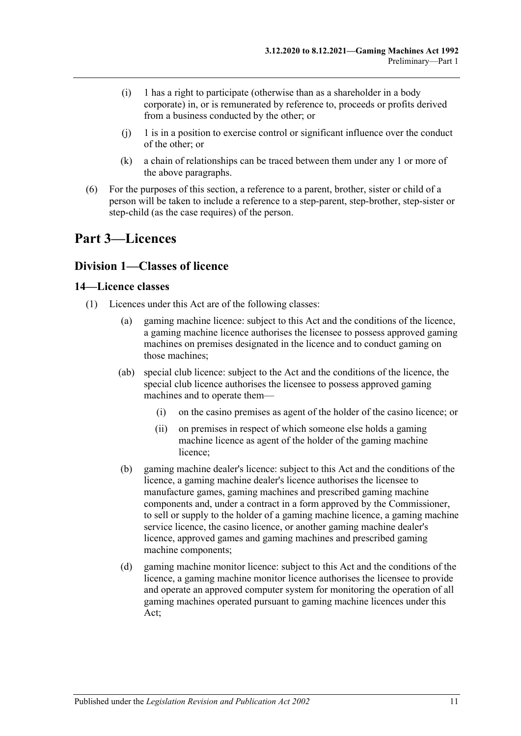- (i) 1 has a right to participate (otherwise than as a shareholder in a body corporate) in, or is remunerated by reference to, proceeds or profits derived from a business conducted by the other; or
- $(i)$  1 is in a position to exercise control or significant influence over the conduct of the other; or
- (k) a chain of relationships can be traced between them under any 1 or more of the above paragraphs.
- (6) For the purposes of this section, a reference to a parent, brother, sister or child of a person will be taken to include a reference to a step-parent, step-brother, step-sister or step-child (as the case requires) of the person.

## <span id="page-10-0"></span>**Part 3—Licences**

### <span id="page-10-1"></span>**Division 1—Classes of licence**

### <span id="page-10-2"></span>**14—Licence classes**

- <span id="page-10-3"></span>(1) Licences under this Act are of the following classes:
	- gaming machine licence: subject to this Act and the conditions of the licence, a gaming machine licence authorises the licensee to possess approved gaming machines on premises designated in the licence and to conduct gaming on those machines;
	- (ab) special club licence: subject to the Act and the conditions of the licence, the special club licence authorises the licensee to possess approved gaming machines and to operate them—
		- (i) on the casino premises as agent of the holder of the casino licence; or
		- (ii) on premises in respect of which someone else holds a gaming machine licence as agent of the holder of the gaming machine licence;
	- (b) gaming machine dealer's licence: subject to this Act and the conditions of the licence, a gaming machine dealer's licence authorises the licensee to manufacture games, gaming machines and prescribed gaming machine components and, under a contract in a form approved by the Commissioner, to sell or supply to the holder of a gaming machine licence, a gaming machine service licence, the casino licence, or another gaming machine dealer's licence, approved games and gaming machines and prescribed gaming machine components;
	- (d) gaming machine monitor licence: subject to this Act and the conditions of the licence, a gaming machine monitor licence authorises the licensee to provide and operate an approved computer system for monitoring the operation of all gaming machines operated pursuant to gaming machine licences under this Act;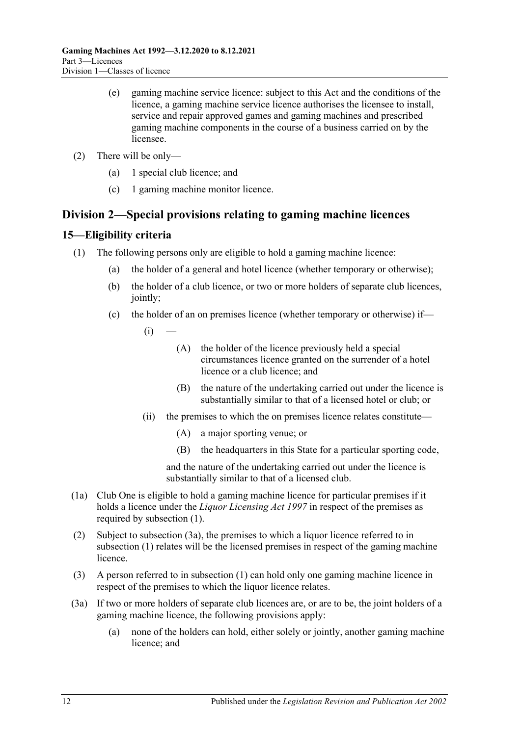- (e) gaming machine service licence: subject to this Act and the conditions of the licence, a gaming machine service licence authorises the licensee to install, service and repair approved games and gaming machines and prescribed gaming machine components in the course of a business carried on by the licensee.
- (2) There will be only—
	- (a) 1 special club licence; and
	- (c) 1 gaming machine monitor licence.

### <span id="page-11-0"></span>**Division 2—Special provisions relating to gaming machine licences**

### <span id="page-11-2"></span><span id="page-11-1"></span>**15—Eligibility criteria**

- (1) The following persons only are eligible to hold a gaming machine licence:
	- (a) the holder of a general and hotel licence (whether temporary or otherwise);
	- (b) the holder of a club licence, or two or more holders of separate club licences, jointly;
	- (c) the holder of an on premises licence (whether temporary or otherwise) if—
		- $(i)$ 
			- (A) the holder of the licence previously held a special circumstances licence granted on the surrender of a hotel licence or a club licence; and
			- (B) the nature of the undertaking carried out under the licence is substantially similar to that of a licensed hotel or club; or
		- (ii) the premises to which the on premises licence relates constitute—
			- (A) a major sporting venue; or
			- (B) the headquarters in this State for a particular sporting code,

and the nature of the undertaking carried out under the licence is substantially similar to that of a licensed club.

- (1a) Club One is eligible to hold a gaming machine licence for particular premises if it holds a licence under the *[Liquor Licensing Act](http://www.legislation.sa.gov.au/index.aspx?action=legref&type=act&legtitle=Liquor%20Licensing%20Act%201997) 1997* in respect of the premises as required by [subsection](#page-11-2) (1).
- (2) Subject to [subsection](#page-11-3) (3a), the premises to which a liquor licence referred to in [subsection](#page-11-2) (1) relates will be the licensed premises in respect of the gaming machine licence.
- (3) A person referred to in [subsection](#page-11-2) (1) can hold only one gaming machine licence in respect of the premises to which the liquor licence relates.
- <span id="page-11-3"></span>(3a) If two or more holders of separate club licences are, or are to be, the joint holders of a gaming machine licence, the following provisions apply:
	- (a) none of the holders can hold, either solely or jointly, another gaming machine licence; and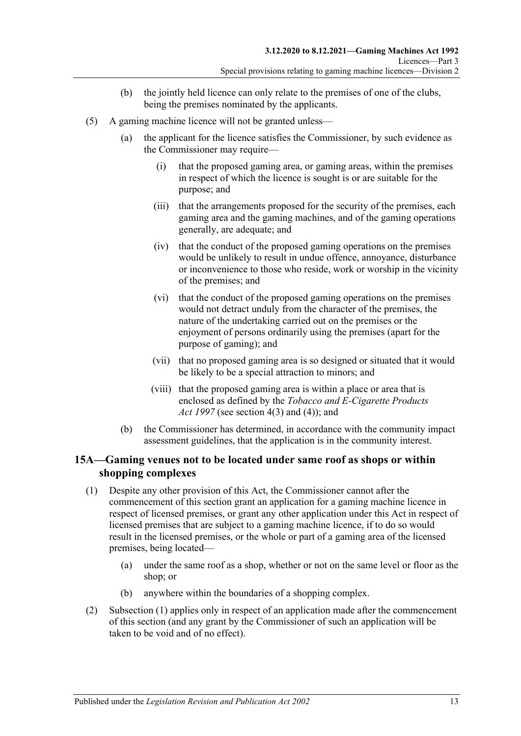- (b) the jointly held licence can only relate to the premises of one of the clubs, being the premises nominated by the applicants.
- <span id="page-12-2"></span>(5) A gaming machine licence will not be granted unless—
	- (a) the applicant for the licence satisfies the Commissioner, by such evidence as the Commissioner may require—
		- (i) that the proposed gaming area, or gaming areas, within the premises in respect of which the licence is sought is or are suitable for the purpose; and
		- (iii) that the arrangements proposed for the security of the premises, each gaming area and the gaming machines, and of the gaming operations generally, are adequate; and
		- (iv) that the conduct of the proposed gaming operations on the premises would be unlikely to result in undue offence, annoyance, disturbance or inconvenience to those who reside, work or worship in the vicinity of the premises; and
		- (vi) that the conduct of the proposed gaming operations on the premises would not detract unduly from the character of the premises, the nature of the undertaking carried out on the premises or the enjoyment of persons ordinarily using the premises (apart for the purpose of gaming); and
		- (vii) that no proposed gaming area is so designed or situated that it would be likely to be a special attraction to minors; and
		- (viii) that the proposed gaming area is within a place or area that is enclosed as defined by the *[Tobacco and E-Cigarette Products](http://www.legislation.sa.gov.au/index.aspx?action=legref&type=act&legtitle=Tobacco%20and%20E-Cigarette%20Products%20Act%201997)  Act [1997](http://www.legislation.sa.gov.au/index.aspx?action=legref&type=act&legtitle=Tobacco%20and%20E-Cigarette%20Products%20Act%201997)* (see section 4(3) and (4)); and
	- (b) the Commissioner has determined, in accordance with the community impact assessment guidelines, that the application is in the community interest.

### <span id="page-12-0"></span>**15A—Gaming venues not to be located under same roof as shops or within shopping complexes**

- <span id="page-12-1"></span>(1) Despite any other provision of this Act, the Commissioner cannot after the commencement of this section grant an application for a gaming machine licence in respect of licensed premises, or grant any other application under this Act in respect of licensed premises that are subject to a gaming machine licence, if to do so would result in the licensed premises, or the whole or part of a gaming area of the licensed premises, being located—
	- (a) under the same roof as a shop, whether or not on the same level or floor as the shop; or
	- (b) anywhere within the boundaries of a shopping complex.
- (2) [Subsection](#page-12-1) (1) applies only in respect of an application made after the commencement of this section (and any grant by the Commissioner of such an application will be taken to be void and of no effect).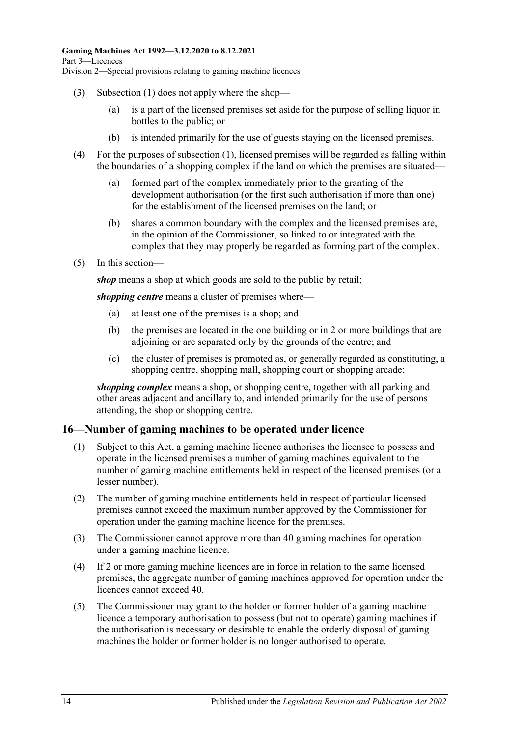- (3) [Subsection](#page-12-1) (1) does not apply where the shop—
	- (a) is a part of the licensed premises set aside for the purpose of selling liquor in bottles to the public; or
	- (b) is intended primarily for the use of guests staying on the licensed premises.
- (4) For the purposes of [subsection](#page-12-1) (1), licensed premises will be regarded as falling within the boundaries of a shopping complex if the land on which the premises are situated—
	- (a) formed part of the complex immediately prior to the granting of the development authorisation (or the first such authorisation if more than one) for the establishment of the licensed premises on the land; or
	- (b) shares a common boundary with the complex and the licensed premises are, in the opinion of the Commissioner, so linked to or integrated with the complex that they may properly be regarded as forming part of the complex.
- (5) In this section—

*shop* means a shop at which goods are sold to the public by retail;

*shopping centre* means a cluster of premises where—

- (a) at least one of the premises is a shop; and
- (b) the premises are located in the one building or in 2 or more buildings that are adjoining or are separated only by the grounds of the centre; and
- (c) the cluster of premises is promoted as, or generally regarded as constituting, a shopping centre, shopping mall, shopping court or shopping arcade;

*shopping complex* means a shop, or shopping centre, together with all parking and other areas adjacent and ancillary to, and intended primarily for the use of persons attending, the shop or shopping centre.

### <span id="page-13-0"></span>**16—Number of gaming machines to be operated under licence**

- (1) Subject to this Act, a gaming machine licence authorises the licensee to possess and operate in the licensed premises a number of gaming machines equivalent to the number of gaming machine entitlements held in respect of the licensed premises (or a lesser number).
- (2) The number of gaming machine entitlements held in respect of particular licensed premises cannot exceed the maximum number approved by the Commissioner for operation under the gaming machine licence for the premises.
- (3) The Commissioner cannot approve more than 40 gaming machines for operation under a gaming machine licence.
- (4) If 2 or more gaming machine licences are in force in relation to the same licensed premises, the aggregate number of gaming machines approved for operation under the licences cannot exceed 40.
- <span id="page-13-1"></span>(5) The Commissioner may grant to the holder or former holder of a gaming machine licence a temporary authorisation to possess (but not to operate) gaming machines if the authorisation is necessary or desirable to enable the orderly disposal of gaming machines the holder or former holder is no longer authorised to operate.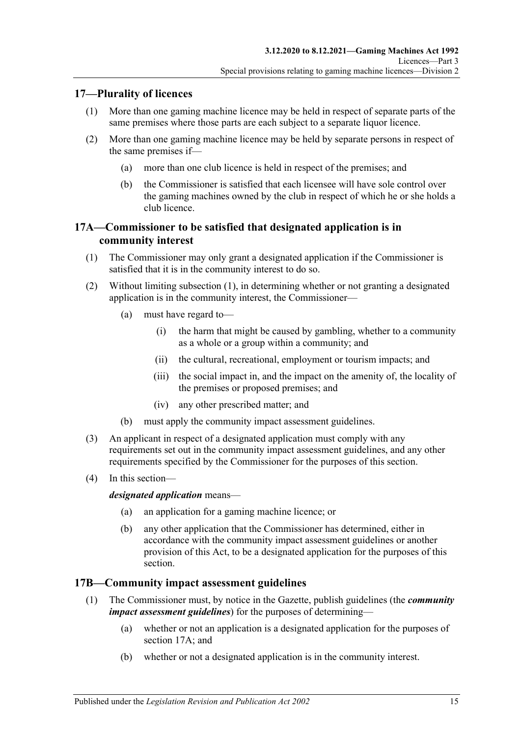### <span id="page-14-0"></span>**17—Plurality of licences**

- (1) More than one gaming machine licence may be held in respect of separate parts of the same premises where those parts are each subject to a separate liquor licence.
- (2) More than one gaming machine licence may be held by separate persons in respect of the same premises if—
	- (a) more than one club licence is held in respect of the premises; and
	- (b) the Commissioner is satisfied that each licensee will have sole control over the gaming machines owned by the club in respect of which he or she holds a club licence.

### <span id="page-14-1"></span>**17A—Commissioner to be satisfied that designated application is in community interest**

- <span id="page-14-3"></span>(1) The Commissioner may only grant a designated application if the Commissioner is satisfied that it is in the community interest to do so.
- (2) Without limiting [subsection](#page-14-3) (1), in determining whether or not granting a designated application is in the community interest, the Commissioner—
	- (a) must have regard to—
		- (i) the harm that might be caused by gambling, whether to a community as a whole or a group within a community; and
		- (ii) the cultural, recreational, employment or tourism impacts; and
		- (iii) the social impact in, and the impact on the amenity of, the locality of the premises or proposed premises; and
		- (iv) any other prescribed matter; and
	- (b) must apply the community impact assessment guidelines.
- (3) An applicant in respect of a designated application must comply with any requirements set out in the community impact assessment guidelines, and any other requirements specified by the Commissioner for the purposes of this section.
- (4) In this section—

*designated application* means—

- (a) an application for a gaming machine licence; or
- (b) any other application that the Commissioner has determined, either in accordance with the community impact assessment guidelines or another provision of this Act, to be a designated application for the purposes of this section.

### <span id="page-14-2"></span>**17B—Community impact assessment guidelines**

- (1) The Commissioner must, by notice in the Gazette, publish guidelines (the *community impact assessment guidelines*) for the purposes of determining—
	- (a) whether or not an application is a designated application for the purposes of [section](#page-14-1) 17A; and
	- (b) whether or not a designated application is in the community interest.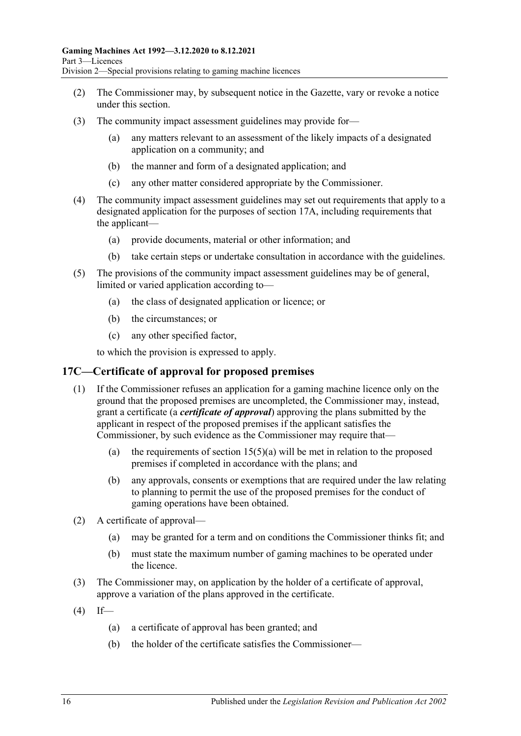- (2) The Commissioner may, by subsequent notice in the Gazette, vary or revoke a notice under this section.
- (3) The community impact assessment guidelines may provide for—
	- (a) any matters relevant to an assessment of the likely impacts of a designated application on a community; and
	- (b) the manner and form of a designated application; and
	- (c) any other matter considered appropriate by the Commissioner.
- (4) The community impact assessment guidelines may set out requirements that apply to a designated application for the purposes of [section](#page-14-1) 17A, including requirements that the applicant—
	- (a) provide documents, material or other information; and
	- (b) take certain steps or undertake consultation in accordance with the guidelines.
- (5) The provisions of the community impact assessment guidelines may be of general, limited or varied application according to—
	- (a) the class of designated application or licence; or
	- (b) the circumstances; or
	- (c) any other specified factor,

to which the provision is expressed to apply.

### <span id="page-15-0"></span>**17C—Certificate of approval for proposed premises**

- (1) If the Commissioner refuses an application for a gaming machine licence only on the ground that the proposed premises are uncompleted, the Commissioner may, instead, grant a certificate (a *certificate of approval*) approving the plans submitted by the applicant in respect of the proposed premises if the applicant satisfies the Commissioner, by such evidence as the Commissioner may require that—
	- (a) the requirements of section  $15(5)(a)$  will be met in relation to the proposed premises if completed in accordance with the plans; and
	- (b) any approvals, consents or exemptions that are required under the law relating to planning to permit the use of the proposed premises for the conduct of gaming operations have been obtained.
- (2) A certificate of approval—
	- (a) may be granted for a term and on conditions the Commissioner thinks fit; and
	- (b) must state the maximum number of gaming machines to be operated under the licence.
- (3) The Commissioner may, on application by the holder of a certificate of approval, approve a variation of the plans approved in the certificate.
- $(4)$  If—
	- (a) a certificate of approval has been granted; and
	- (b) the holder of the certificate satisfies the Commissioner—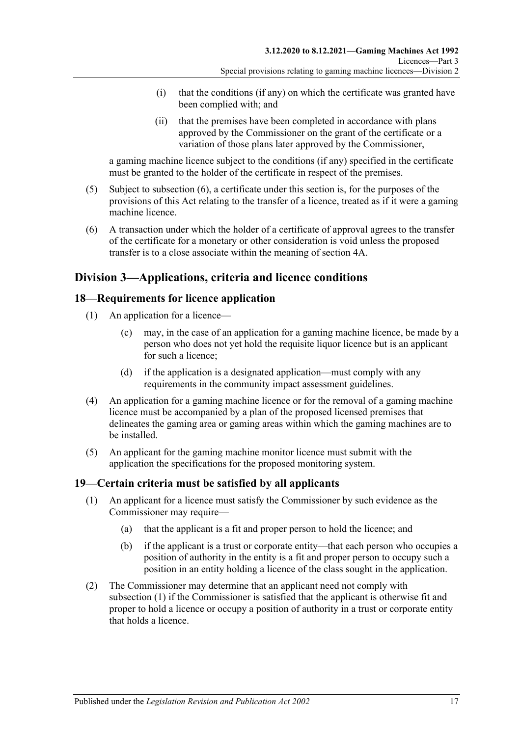- (i) that the conditions (if any) on which the certificate was granted have been complied with; and
- (ii) that the premises have been completed in accordance with plans approved by the Commissioner on the grant of the certificate or a variation of those plans later approved by the Commissioner,

a gaming machine licence subject to the conditions (if any) specified in the certificate must be granted to the holder of the certificate in respect of the premises.

- (5) Subject to [subsection](#page-16-3) (6), a certificate under this section is, for the purposes of the provisions of this Act relating to the transfer of a licence, treated as if it were a gaming machine licence.
- <span id="page-16-3"></span>(6) A transaction under which the holder of a certificate of approval agrees to the transfer of the certificate for a monetary or other consideration is void unless the proposed transfer is to a close associate within the meaning of [section](#page-8-1) 4A.

### <span id="page-16-0"></span>**Division 3—Applications, criteria and licence conditions**

### <span id="page-16-1"></span>**18—Requirements for licence application**

- (1) An application for a licence—
	- (c) may, in the case of an application for a gaming machine licence, be made by a person who does not yet hold the requisite liquor licence but is an applicant for such a licence;
	- (d) if the application is a designated application—must comply with any requirements in the community impact assessment guidelines.
- (4) An application for a gaming machine licence or for the removal of a gaming machine licence must be accompanied by a plan of the proposed licensed premises that delineates the gaming area or gaming areas within which the gaming machines are to be installed.
- (5) An applicant for the gaming machine monitor licence must submit with the application the specifications for the proposed monitoring system.

### <span id="page-16-4"></span><span id="page-16-2"></span>**19—Certain criteria must be satisfied by all applicants**

- (1) An applicant for a licence must satisfy the Commissioner by such evidence as the Commissioner may require—
	- (a) that the applicant is a fit and proper person to hold the licence; and
	- (b) if the applicant is a trust or corporate entity—that each person who occupies a position of authority in the entity is a fit and proper person to occupy such a position in an entity holding a licence of the class sought in the application.
- (2) The Commissioner may determine that an applicant need not comply with [subsection](#page-16-4) (1) if the Commissioner is satisfied that the applicant is otherwise fit and proper to hold a licence or occupy a position of authority in a trust or corporate entity that holds a licence.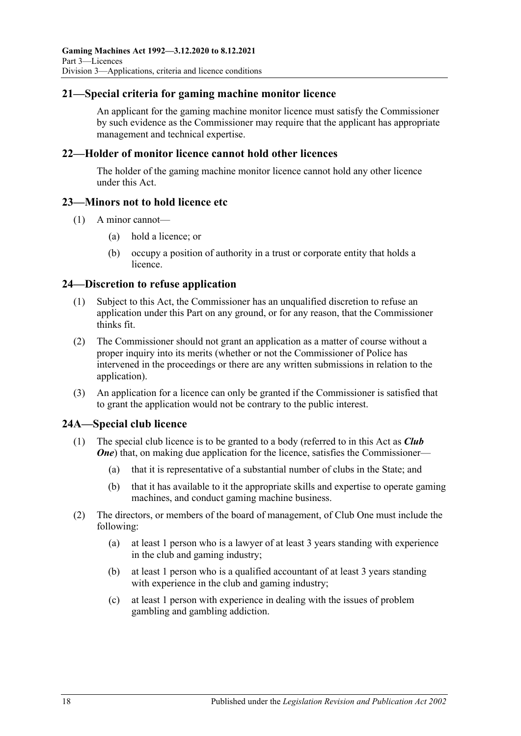### <span id="page-17-0"></span>**21—Special criteria for gaming machine monitor licence**

An applicant for the gaming machine monitor licence must satisfy the Commissioner by such evidence as the Commissioner may require that the applicant has appropriate management and technical expertise.

### <span id="page-17-1"></span>**22—Holder of monitor licence cannot hold other licences**

The holder of the gaming machine monitor licence cannot hold any other licence under this Act.

### <span id="page-17-2"></span>**23—Minors not to hold licence etc**

- (1) A minor cannot—
	- (a) hold a licence; or
	- (b) occupy a position of authority in a trust or corporate entity that holds a licence.

#### <span id="page-17-3"></span>**24—Discretion to refuse application**

- (1) Subject to this Act, the Commissioner has an unqualified discretion to refuse an application under this Part on any ground, or for any reason, that the Commissioner thinks fit.
- (2) The Commissioner should not grant an application as a matter of course without a proper inquiry into its merits (whether or not the Commissioner of Police has intervened in the proceedings or there are any written submissions in relation to the application).
- (3) An application for a licence can only be granted if the Commissioner is satisfied that to grant the application would not be contrary to the public interest.

### <span id="page-17-5"></span><span id="page-17-4"></span>**24A—Special club licence**

- (1) The special club licence is to be granted to a body (referred to in this Act as *Club*  **One**) that, on making due application for the licence, satisfies the Commissioner—
	- (a) that it is representative of a substantial number of clubs in the State; and
	- (b) that it has available to it the appropriate skills and expertise to operate gaming machines, and conduct gaming machine business.
- (2) The directors, or members of the board of management, of Club One must include the following:
	- (a) at least 1 person who is a lawyer of at least 3 years standing with experience in the club and gaming industry;
	- (b) at least 1 person who is a qualified accountant of at least 3 years standing with experience in the club and gaming industry;
	- (c) at least 1 person with experience in dealing with the issues of problem gambling and gambling addiction.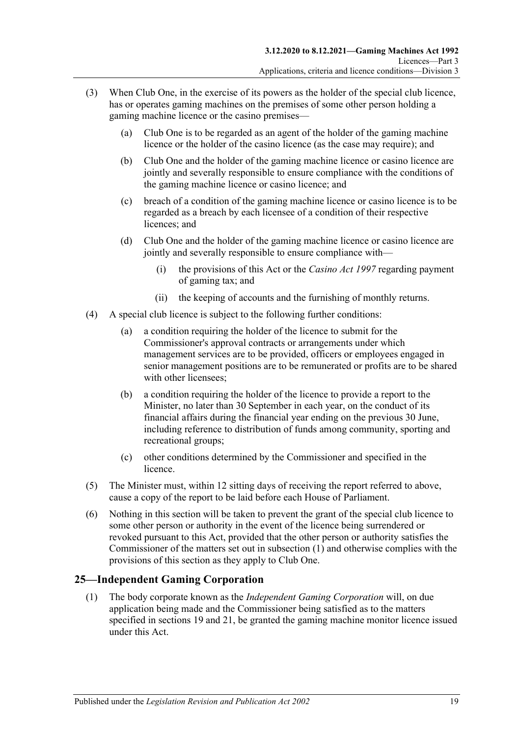- (3) When Club One, in the exercise of its powers as the holder of the special club licence, has or operates gaming machines on the premises of some other person holding a gaming machine licence or the casino premises—
	- (a) Club One is to be regarded as an agent of the holder of the gaming machine licence or the holder of the casino licence (as the case may require); and
	- (b) Club One and the holder of the gaming machine licence or casino licence are jointly and severally responsible to ensure compliance with the conditions of the gaming machine licence or casino licence; and
	- (c) breach of a condition of the gaming machine licence or casino licence is to be regarded as a breach by each licensee of a condition of their respective licences; and
	- (d) Club One and the holder of the gaming machine licence or casino licence are jointly and severally responsible to ensure compliance with—
		- (i) the provisions of this Act or the *[Casino Act](http://www.legislation.sa.gov.au/index.aspx?action=legref&type=act&legtitle=Casino%20Act%201997) 1997* regarding payment of gaming tax; and
		- (ii) the keeping of accounts and the furnishing of monthly returns.
- (4) A special club licence is subject to the following further conditions:
	- (a) a condition requiring the holder of the licence to submit for the Commissioner's approval contracts or arrangements under which management services are to be provided, officers or employees engaged in senior management positions are to be remunerated or profits are to be shared with other licensees;
	- (b) a condition requiring the holder of the licence to provide a report to the Minister, no later than 30 September in each year, on the conduct of its financial affairs during the financial year ending on the previous 30 June, including reference to distribution of funds among community, sporting and recreational groups;
	- (c) other conditions determined by the Commissioner and specified in the licence.
- (5) The Minister must, within 12 sitting days of receiving the report referred to above, cause a copy of the report to be laid before each House of Parliament.
- (6) Nothing in this section will be taken to prevent the grant of the special club licence to some other person or authority in the event of the licence being surrendered or revoked pursuant to this Act, provided that the other person or authority satisfies the Commissioner of the matters set out in [subsection](#page-17-5) (1) and otherwise complies with the provisions of this section as they apply to Club One.

### <span id="page-18-0"></span>**25—Independent Gaming Corporation**

(1) The body corporate known as the *Independent Gaming Corporation* will, on due application being made and the Commissioner being satisfied as to the matters specified in [sections](#page-16-2) 19 and [21,](#page-17-0) be granted the gaming machine monitor licence issued under this Act.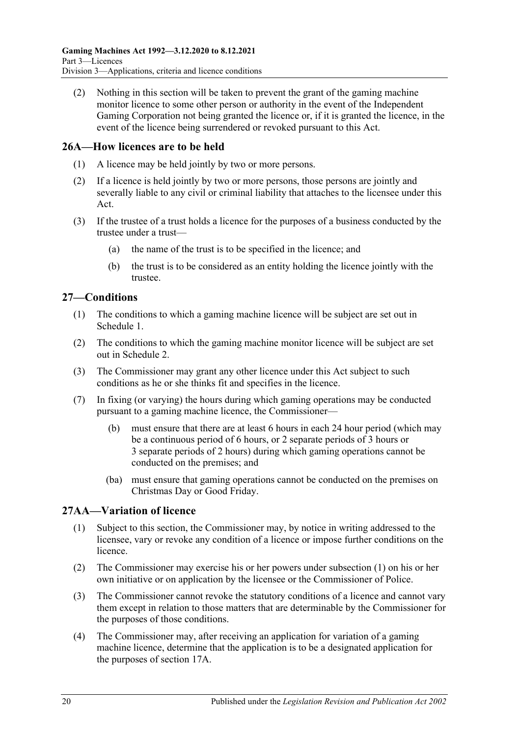(2) Nothing in this section will be taken to prevent the grant of the gaming machine monitor licence to some other person or authority in the event of the Independent Gaming Corporation not being granted the licence or, if it is granted the licence, in the event of the licence being surrendered or revoked pursuant to this Act.

### <span id="page-19-0"></span>**26A—How licences are to be held**

- (1) A licence may be held jointly by two or more persons.
- (2) If a licence is held jointly by two or more persons, those persons are jointly and severally liable to any civil or criminal liability that attaches to the licensee under this Act.
- (3) If the trustee of a trust holds a licence for the purposes of a business conducted by the trustee under a trust—
	- (a) the name of the trust is to be specified in the licence; and
	- (b) the trust is to be considered as an entity holding the licence jointly with the trustee.

### <span id="page-19-1"></span>**27—Conditions**

- (1) The conditions to which a gaming machine licence will be subject are set out in [Schedule 1.](#page-68-0)
- (2) The conditions to which the gaming machine monitor licence will be subject are set out in [Schedule 2.](#page-69-0)
- (3) The Commissioner may grant any other licence under this Act subject to such conditions as he or she thinks fit and specifies in the licence.
- (7) In fixing (or varying) the hours during which gaming operations may be conducted pursuant to a gaming machine licence, the Commissioner—
	- (b) must ensure that there are at least 6 hours in each 24 hour period (which may be a continuous period of 6 hours, or 2 separate periods of 3 hours or 3 separate periods of 2 hours) during which gaming operations cannot be conducted on the premises; and
	- (ba) must ensure that gaming operations cannot be conducted on the premises on Christmas Day or Good Friday.

### <span id="page-19-3"></span><span id="page-19-2"></span>**27AA—Variation of licence**

- (1) Subject to this section, the Commissioner may, by notice in writing addressed to the licensee, vary or revoke any condition of a licence or impose further conditions on the licence.
- (2) The Commissioner may exercise his or her powers under [subsection](#page-19-3) (1) on his or her own initiative or on application by the licensee or the Commissioner of Police.
- (3) The Commissioner cannot revoke the statutory conditions of a licence and cannot vary them except in relation to those matters that are determinable by the Commissioner for the purposes of those conditions.
- (4) The Commissioner may, after receiving an application for variation of a gaming machine licence, determine that the application is to be a designated application for the purposes of [section](#page-14-1) 17A.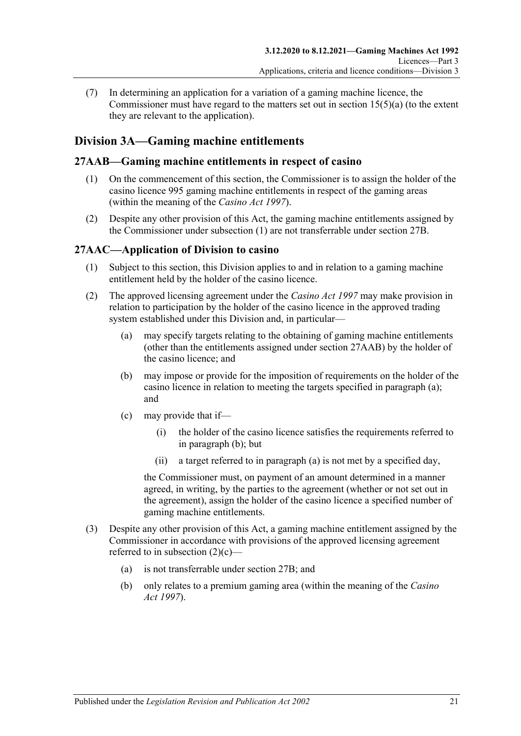(7) In determining an application for a variation of a gaming machine licence, the Commissioner must have regard to the matters set out in section  $15(5)(a)$  (to the extent they are relevant to the application).

### <span id="page-20-0"></span>**Division 3A—Gaming machine entitlements**

### <span id="page-20-3"></span><span id="page-20-1"></span>**27AAB—Gaming machine entitlements in respect of casino**

- (1) On the commencement of this section, the Commissioner is to assign the holder of the casino licence 995 gaming machine entitlements in respect of the gaming areas (within the meaning of the *[Casino Act](http://www.legislation.sa.gov.au/index.aspx?action=legref&type=act&legtitle=Casino%20Act%201997) 1997*).
- (2) Despite any other provision of this Act, the gaming machine entitlements assigned by the Commissioner under [subsection](#page-20-3) (1) are not transferrable under [section](#page-21-1) 27B.

### <span id="page-20-2"></span>**27AAC—Application of Division to casino**

- (1) Subject to this section, this Division applies to and in relation to a gaming machine entitlement held by the holder of the casino licence.
- <span id="page-20-5"></span><span id="page-20-4"></span>(2) The approved licensing agreement under the *[Casino Act](http://www.legislation.sa.gov.au/index.aspx?action=legref&type=act&legtitle=Casino%20Act%201997) 1997* may make provision in relation to participation by the holder of the casino licence in the approved trading system established under this Division and, in particular—
	- (a) may specify targets relating to the obtaining of gaming machine entitlements (other than the entitlements assigned under section [27AAB\)](#page-20-1) by the holder of the casino licence; and
	- (b) may impose or provide for the imposition of requirements on the holder of the casino licence in relation to meeting the targets specified in [paragraph](#page-20-4) (a); and
	- (c) may provide that if—
		- (i) the holder of the casino licence satisfies the requirements referred to in [paragraph](#page-20-5) (b); but
		- (ii) a target referred to in [paragraph](#page-20-4) (a) is not met by a specified day,

<span id="page-20-6"></span>the Commissioner must, on payment of an amount determined in a manner agreed, in writing, by the parties to the agreement (whether or not set out in the agreement), assign the holder of the casino licence a specified number of gaming machine entitlements.

- (3) Despite any other provision of this Act, a gaming machine entitlement assigned by the Commissioner in accordance with provisions of the approved licensing agreement referred to in [subsection](#page-20-6) (2)(c)—
	- (a) is not transferrable under [section](#page-21-1) 27B; and
	- (b) only relates to a premium gaming area (within the meaning of the *[Casino](http://www.legislation.sa.gov.au/index.aspx?action=legref&type=act&legtitle=Casino%20Act%201997)  Act [1997](http://www.legislation.sa.gov.au/index.aspx?action=legref&type=act&legtitle=Casino%20Act%201997)*).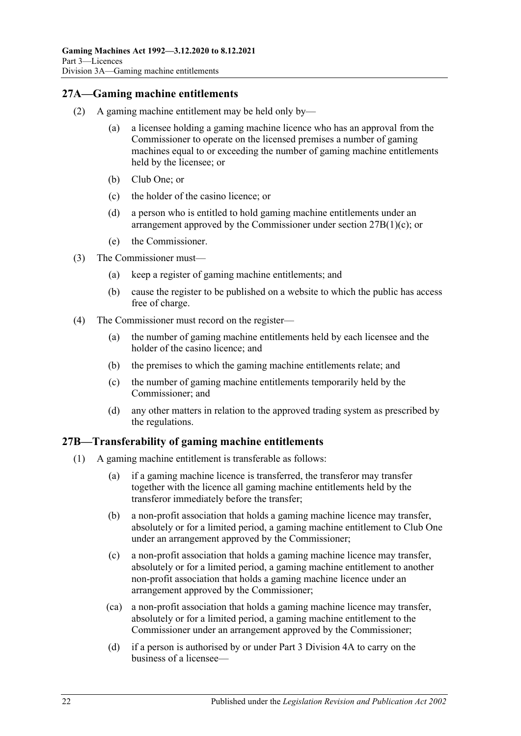### <span id="page-21-0"></span>**27A—Gaming machine entitlements**

- (2) A gaming machine entitlement may be held only by—
	- (a) a licensee holding a gaming machine licence who has an approval from the Commissioner to operate on the licensed premises a number of gaming machines equal to or exceeding the number of gaming machine entitlements held by the licensee; or
	- (b) Club One; or
	- (c) the holder of the casino licence; or
	- (d) a person who is entitled to hold gaming machine entitlements under an arrangement approved by the Commissioner under section 27B(1)(c); or
	- (e) the Commissioner.
- (3) The Commissioner must—
	- (a) keep a register of gaming machine entitlements; and
	- (b) cause the register to be published on a website to which the public has access free of charge.
- (4) The Commissioner must record on the register—
	- (a) the number of gaming machine entitlements held by each licensee and the holder of the casino licence; and
	- (b) the premises to which the gaming machine entitlements relate; and
	- (c) the number of gaming machine entitlements temporarily held by the Commissioner; and
	- (d) any other matters in relation to the approved trading system as prescribed by the regulations.

### <span id="page-21-1"></span>**27B—Transferability of gaming machine entitlements**

- <span id="page-21-2"></span>(1) A gaming machine entitlement is transferable as follows:
	- (a) if a gaming machine licence is transferred, the transferor may transfer together with the licence all gaming machine entitlements held by the transferor immediately before the transfer;
	- (b) a non-profit association that holds a gaming machine licence may transfer, absolutely or for a limited period, a gaming machine entitlement to Club One under an arrangement approved by the Commissioner;
	- (c) a non-profit association that holds a gaming machine licence may transfer, absolutely or for a limited period, a gaming machine entitlement to another non-profit association that holds a gaming machine licence under an arrangement approved by the Commissioner;
	- (ca) a non-profit association that holds a gaming machine licence may transfer, absolutely or for a limited period, a gaming machine entitlement to the Commissioner under an arrangement approved by the Commissioner;
	- (d) if a person is authorised by or under [Part 3 Division 4A](#page-29-1) to carry on the business of a licensee—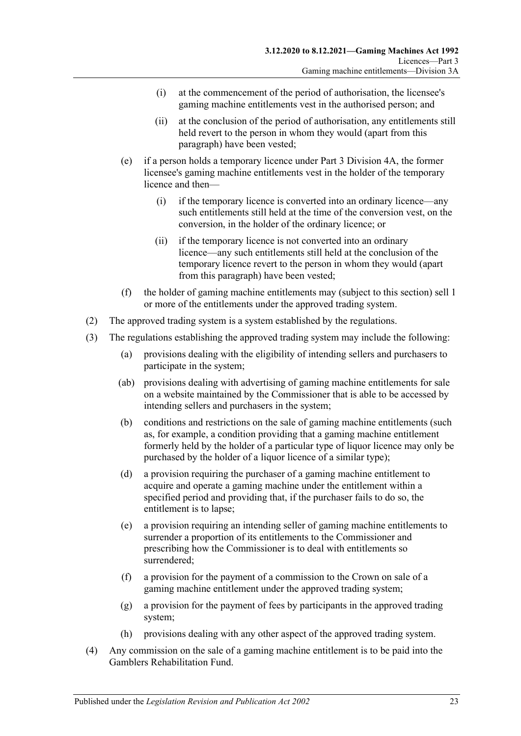- (i) at the commencement of the period of authorisation, the licensee's gaming machine entitlements vest in the authorised person; and
- (ii) at the conclusion of the period of authorisation, any entitlements still held revert to the person in whom they would (apart from this paragraph) have been vested;
- (e) if a person holds a temporary licence under [Part 3 Division 4A,](#page-29-1) the former licensee's gaming machine entitlements vest in the holder of the temporary licence and then—
	- (i) if the temporary licence is converted into an ordinary licence—any such entitlements still held at the time of the conversion vest, on the conversion, in the holder of the ordinary licence; or
	- (ii) if the temporary licence is not converted into an ordinary licence—any such entitlements still held at the conclusion of the temporary licence revert to the person in whom they would (apart from this paragraph) have been vested;
- (f) the holder of gaming machine entitlements may (subject to this section) sell 1 or more of the entitlements under the approved trading system.
- <span id="page-22-1"></span><span id="page-22-0"></span>(2) The approved trading system is a system established by the regulations.
- (3) The regulations establishing the approved trading system may include the following:
	- (a) provisions dealing with the eligibility of intending sellers and purchasers to participate in the system;
	- (ab) provisions dealing with advertising of gaming machine entitlements for sale on a website maintained by the Commissioner that is able to be accessed by intending sellers and purchasers in the system;
	- (b) conditions and restrictions on the sale of gaming machine entitlements (such as, for example, a condition providing that a gaming machine entitlement formerly held by the holder of a particular type of liquor licence may only be purchased by the holder of a liquor licence of a similar type);
	- (d) a provision requiring the purchaser of a gaming machine entitlement to acquire and operate a gaming machine under the entitlement within a specified period and providing that, if the purchaser fails to do so, the entitlement is to lapse;
	- (e) a provision requiring an intending seller of gaming machine entitlements to surrender a proportion of its entitlements to the Commissioner and prescribing how the Commissioner is to deal with entitlements so surrendered;
	- (f) a provision for the payment of a commission to the Crown on sale of a gaming machine entitlement under the approved trading system;
	- (g) a provision for the payment of fees by participants in the approved trading system;
	- (h) provisions dealing with any other aspect of the approved trading system.
- (4) Any commission on the sale of a gaming machine entitlement is to be paid into the Gamblers Rehabilitation Fund.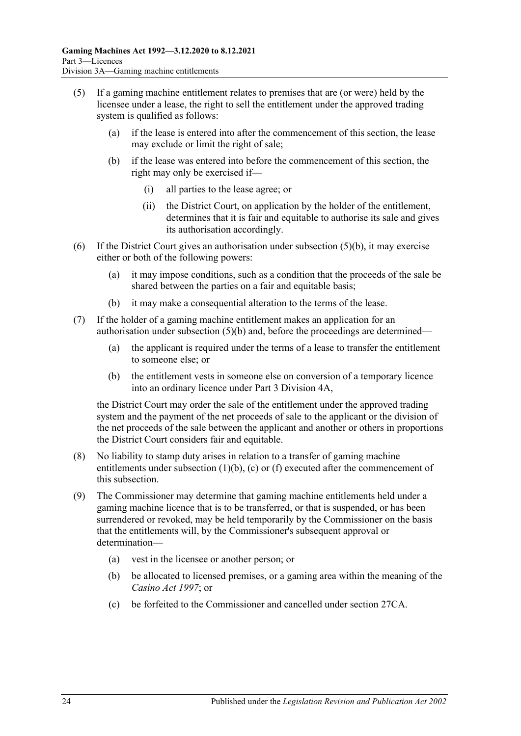- <span id="page-23-0"></span>(5) If a gaming machine entitlement relates to premises that are (or were) held by the licensee under a lease, the right to sell the entitlement under the approved trading system is qualified as follows:
	- (a) if the lease is entered into after the commencement of this section, the lease may exclude or limit the right of sale;
	- (b) if the lease was entered into before the commencement of this section, the right may only be exercised if—
		- (i) all parties to the lease agree; or
		- (ii) the District Court, on application by the holder of the entitlement, determines that it is fair and equitable to authorise its sale and gives its authorisation accordingly.
- (6) If the District Court gives an authorisation under [subsection](#page-23-0)  $(5)(b)$ , it may exercise either or both of the following powers:
	- (a) it may impose conditions, such as a condition that the proceeds of the sale be shared between the parties on a fair and equitable basis;
	- (b) it may make a consequential alteration to the terms of the lease.
- (7) If the holder of a gaming machine entitlement makes an application for an authorisation under [subsection](#page-23-0)  $(5)(b)$  and, before the proceedings are determined—
	- (a) the applicant is required under the terms of a lease to transfer the entitlement to someone else; or
	- (b) the entitlement vests in someone else on conversion of a temporary licence into an ordinary licence under [Part 3 Division 4A,](#page-29-1)

the District Court may order the sale of the entitlement under the approved trading system and the payment of the net proceeds of sale to the applicant or the division of the net proceeds of the sale between the applicant and another or others in proportions the District Court considers fair and equitable.

- (8) No liability to stamp duty arises in relation to a transfer of gaming machine entitlements unde[r subsection](#page-21-2) (1)(b), (c) or [\(f\)](#page-22-0) executed after the commencement of this subsection.
- (9) The Commissioner may determine that gaming machine entitlements held under a gaming machine licence that is to be transferred, or that is suspended, or has been surrendered or revoked, may be held temporarily by the Commissioner on the basis that the entitlements will, by the Commissioner's subsequent approval or determination—
	- (a) vest in the licensee or another person; or
	- (b) be allocated to licensed premises, or a gaming area within the meaning of the *[Casino](http://www.legislation.sa.gov.au/index.aspx?action=legref&type=act&legtitle=Casino%20Act%201997) Act 1997*; or
	- (c) be forfeited to the Commissioner and cancelled under [section](#page-24-1) 27CA.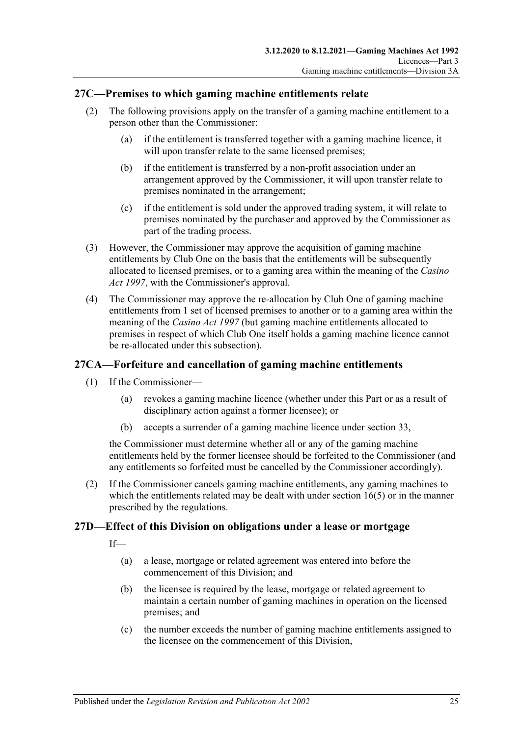### <span id="page-24-0"></span>**27C—Premises to which gaming machine entitlements relate**

- (2) The following provisions apply on the transfer of a gaming machine entitlement to a person other than the Commissioner:
	- (a) if the entitlement is transferred together with a gaming machine licence, it will upon transfer relate to the same licensed premises;
	- (b) if the entitlement is transferred by a non-profit association under an arrangement approved by the Commissioner, it will upon transfer relate to premises nominated in the arrangement;
	- (c) if the entitlement is sold under the approved trading system, it will relate to premises nominated by the purchaser and approved by the Commissioner as part of the trading process.
- (3) However, the Commissioner may approve the acquisition of gaming machine entitlements by Club One on the basis that the entitlements will be subsequently allocated to licensed premises, or to a gaming area within the meaning of the *[Casino](http://www.legislation.sa.gov.au/index.aspx?action=legref&type=act&legtitle=Casino%20Act%201997)  Act [1997](http://www.legislation.sa.gov.au/index.aspx?action=legref&type=act&legtitle=Casino%20Act%201997)*, with the Commissioner's approval.
- (4) The Commissioner may approve the re-allocation by Club One of gaming machine entitlements from 1 set of licensed premises to another or to a gaming area within the meaning of the *[Casino Act](http://www.legislation.sa.gov.au/index.aspx?action=legref&type=act&legtitle=Casino%20Act%201997) 1997* (but gaming machine entitlements allocated to premises in respect of which Club One itself holds a gaming machine licence cannot be re-allocated under this subsection).

### <span id="page-24-1"></span>**27CA—Forfeiture and cancellation of gaming machine entitlements**

- (1) If the Commissioner—
	- (a) revokes a gaming machine licence (whether under this Part or as a result of disciplinary action against a former licensee); or
	- (b) accepts a surrender of a gaming machine licence under [section](#page-31-3) 33,

the Commissioner must determine whether all or any of the gaming machine entitlements held by the former licensee should be forfeited to the Commissioner (and any entitlements so forfeited must be cancelled by the Commissioner accordingly).

(2) If the Commissioner cancels gaming machine entitlements, any gaming machines to which the entitlements related may be dealt with under [section](#page-13-1)  $16(5)$  or in the manner prescribed by the regulations.

### <span id="page-24-2"></span>**27D—Effect of this Division on obligations under a lease or mortgage**

If—

- (a) a lease, mortgage or related agreement was entered into before the commencement of this Division; and
- (b) the licensee is required by the lease, mortgage or related agreement to maintain a certain number of gaming machines in operation on the licensed premises; and
- (c) the number exceeds the number of gaming machine entitlements assigned to the licensee on the commencement of this Division,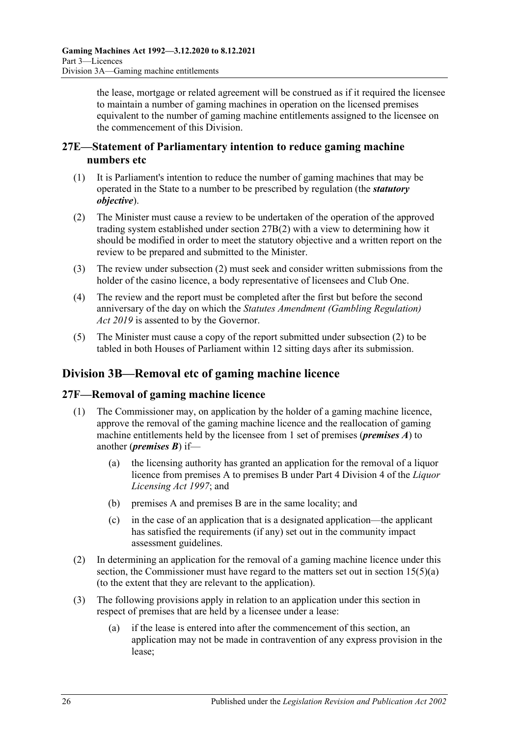the lease, mortgage or related agreement will be construed as if it required the licensee to maintain a number of gaming machines in operation on the licensed premises equivalent to the number of gaming machine entitlements assigned to the licensee on the commencement of this Division.

### <span id="page-25-0"></span>**27E—Statement of Parliamentary intention to reduce gaming machine numbers etc**

- (1) It is Parliament's intention to reduce the number of gaming machines that may be operated in the State to a number to be prescribed by regulation (the *statutory objective*).
- <span id="page-25-3"></span>(2) The Minister must cause a review to be undertaken of the operation of the approved trading system established under [section](#page-22-1) 27B(2) with a view to determining how it should be modified in order to meet the statutory objective and a written report on the review to be prepared and submitted to the Minister.
- (3) The review under [subsection](#page-25-3) (2) must seek and consider written submissions from the holder of the casino licence, a body representative of licensees and Club One.
- (4) The review and the report must be completed after the first but before the second anniversary of the day on which the *[Statutes Amendment \(Gambling Regulation\)](http://www.legislation.sa.gov.au/index.aspx?action=legref&type=act&legtitle=Statutes%20Amendment%20(Gambling%20Regulation)%20Act%202019)  Act [2019](http://www.legislation.sa.gov.au/index.aspx?action=legref&type=act&legtitle=Statutes%20Amendment%20(Gambling%20Regulation)%20Act%202019)* is assented to by the Governor.
- (5) The Minister must cause a copy of the report submitted under [subsection](#page-25-3) (2) to be tabled in both Houses of Parliament within 12 sitting days after its submission.

### <span id="page-25-1"></span>**Division 3B—Removal etc of gaming machine licence**

### <span id="page-25-2"></span>**27F—Removal of gaming machine licence**

- (1) The Commissioner may, on application by the holder of a gaming machine licence, approve the removal of the gaming machine licence and the reallocation of gaming machine entitlements held by the licensee from 1 set of premises (*premises A*) to another (*premises B*) if—
	- (a) the licensing authority has granted an application for the removal of a liquor licence from premises A to premises B under Part 4 Division 4 of the *[Liquor](http://www.legislation.sa.gov.au/index.aspx?action=legref&type=act&legtitle=Liquor%20Licensing%20Act%201997)  [Licensing Act](http://www.legislation.sa.gov.au/index.aspx?action=legref&type=act&legtitle=Liquor%20Licensing%20Act%201997) 1997*; and
	- (b) premises A and premises B are in the same locality; and
	- (c) in the case of an application that is a designated application—the applicant has satisfied the requirements (if any) set out in the community impact assessment guidelines.
- (2) In determining an application for the removal of a gaming machine licence under this section, the Commissioner must have regard to the matters set out in section [15\(5\)\(a\)](#page-12-2) (to the extent that they are relevant to the application).
- (3) The following provisions apply in relation to an application under this section in respect of premises that are held by a licensee under a lease:
	- (a) if the lease is entered into after the commencement of this section, an application may not be made in contravention of any express provision in the lease;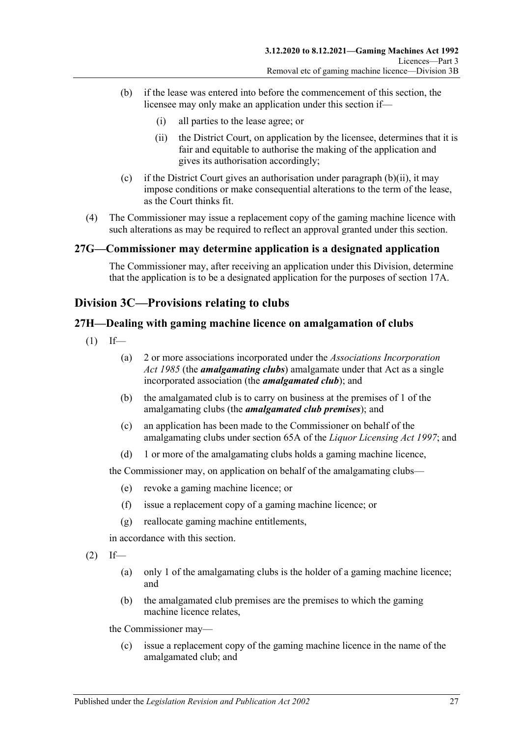- <span id="page-26-3"></span>(b) if the lease was entered into before the commencement of this section, the licensee may only make an application under this section if—
	- (i) all parties to the lease agree; or
	- (ii) the District Court, on application by the licensee, determines that it is fair and equitable to authorise the making of the application and gives its authorisation accordingly;
- (c) if the District Court gives an authorisation under [paragraph](#page-26-3)  $(b)(ii)$ , it may impose conditions or make consequential alterations to the term of the lease, as the Court thinks fit.
- (4) The Commissioner may issue a replacement copy of the gaming machine licence with such alterations as may be required to reflect an approval granted under this section.

#### <span id="page-26-0"></span>**27G—Commissioner may determine application is a designated application**

The Commissioner may, after receiving an application under this Division, determine that the application is to be a designated application for the purposes of [section](#page-14-1) 17A.

### <span id="page-26-1"></span>**Division 3C—Provisions relating to clubs**

### <span id="page-26-2"></span>**27H—Dealing with gaming machine licence on amalgamation of clubs**

- $(1)$  If—
	- (a) 2 or more associations incorporated under the *[Associations Incorporation](http://www.legislation.sa.gov.au/index.aspx?action=legref&type=act&legtitle=Associations%20Incorporation%20Act%201985)  Act [1985](http://www.legislation.sa.gov.au/index.aspx?action=legref&type=act&legtitle=Associations%20Incorporation%20Act%201985)* (the *amalgamating clubs*) amalgamate under that Act as a single incorporated association (the *amalgamated club*); and
	- (b) the amalgamated club is to carry on business at the premises of 1 of the amalgamating clubs (the *amalgamated club premises*); and
	- (c) an application has been made to the Commissioner on behalf of the amalgamating clubs under section 65A of the *[Liquor Licensing Act](http://www.legislation.sa.gov.au/index.aspx?action=legref&type=act&legtitle=Liquor%20Licensing%20Act%201997) 1997*; and
	- (d) 1 or more of the amalgamating clubs holds a gaming machine licence,

the Commissioner may, on application on behalf of the amalgamating clubs—

- (e) revoke a gaming machine licence; or
- (f) issue a replacement copy of a gaming machine licence; or
- (g) reallocate gaming machine entitlements,

in accordance with this section.

- $(2)$  If—
	- (a) only 1 of the amalgamating clubs is the holder of a gaming machine licence; and
	- (b) the amalgamated club premises are the premises to which the gaming machine licence relates,

the Commissioner may—

(c) issue a replacement copy of the gaming machine licence in the name of the amalgamated club; and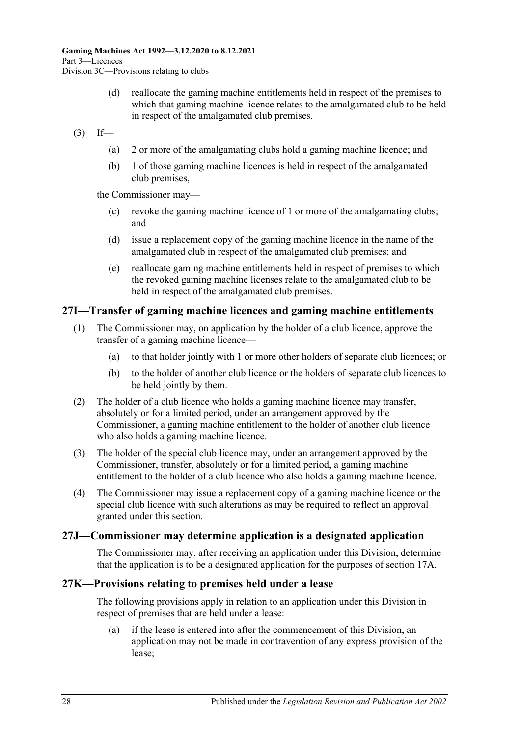(d) reallocate the gaming machine entitlements held in respect of the premises to which that gaming machine licence relates to the amalgamated club to be held in respect of the amalgamated club premises.

 $(3)$  If—

- (a) 2 or more of the amalgamating clubs hold a gaming machine licence; and
- (b) 1 of those gaming machine licences is held in respect of the amalgamated club premises,

the Commissioner may—

- (c) revoke the gaming machine licence of 1 or more of the amalgamating clubs; and
- (d) issue a replacement copy of the gaming machine licence in the name of the amalgamated club in respect of the amalgamated club premises; and
- (e) reallocate gaming machine entitlements held in respect of premises to which the revoked gaming machine licenses relate to the amalgamated club to be held in respect of the amalgamated club premises.

### <span id="page-27-0"></span>**27I—Transfer of gaming machine licences and gaming machine entitlements**

- (1) The Commissioner may, on application by the holder of a club licence, approve the transfer of a gaming machine licence—
	- (a) to that holder jointly with 1 or more other holders of separate club licences; or
	- (b) to the holder of another club licence or the holders of separate club licences to be held jointly by them.
- (2) The holder of a club licence who holds a gaming machine licence may transfer, absolutely or for a limited period, under an arrangement approved by the Commissioner, a gaming machine entitlement to the holder of another club licence who also holds a gaming machine licence.
- (3) The holder of the special club licence may, under an arrangement approved by the Commissioner, transfer, absolutely or for a limited period, a gaming machine entitlement to the holder of a club licence who also holds a gaming machine licence.
- (4) The Commissioner may issue a replacement copy of a gaming machine licence or the special club licence with such alterations as may be required to reflect an approval granted under this section.

### <span id="page-27-1"></span>**27J—Commissioner may determine application is a designated application**

The Commissioner may, after receiving an application under this Division, determine that the application is to be a designated application for the purposes of [section](#page-14-1) 17A.

#### <span id="page-27-2"></span>**27K—Provisions relating to premises held under a lease**

The following provisions apply in relation to an application under this Division in respect of premises that are held under a lease:

(a) if the lease is entered into after the commencement of this Division, an application may not be made in contravention of any express provision of the lease;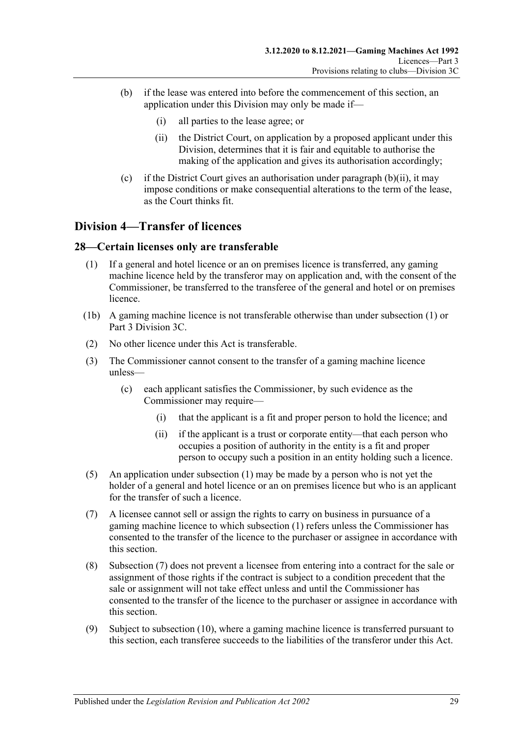- <span id="page-28-2"></span>(b) if the lease was entered into before the commencement of this section, an application under this Division may only be made if—
	- (i) all parties to the lease agree; or
	- (ii) the District Court, on application by a proposed applicant under this Division, determines that it is fair and equitable to authorise the making of the application and gives its authorisation accordingly;
- (c) if the District Court gives an authorisation under [paragraph](#page-28-2)  $(b)(ii)$ , it may impose conditions or make consequential alterations to the term of the lease, as the Court thinks fit.

### <span id="page-28-0"></span>**Division 4—Transfer of licences**

#### <span id="page-28-3"></span><span id="page-28-1"></span>**28—Certain licenses only are transferable**

- (1) If a general and hotel licence or an on premises licence is transferred, any gaming machine licence held by the transferor may on application and, with the consent of the Commissioner, be transferred to the transferee of the general and hotel or on premises licence.
- (1b) A gaming machine licence is not transferable otherwise than under [subsection](#page-28-3) (1) or [Part 3 Division 3C.](#page-26-1)
- (2) No other licence under this Act is transferable.
- (3) The Commissioner cannot consent to the transfer of a gaming machine licence unless—
	- (c) each applicant satisfies the Commissioner, by such evidence as the Commissioner may require—
		- (i) that the applicant is a fit and proper person to hold the licence; and
		- (ii) if the applicant is a trust or corporate entity—that each person who occupies a position of authority in the entity is a fit and proper person to occupy such a position in an entity holding such a licence.
- (5) An application under [subsection](#page-28-3) (1) may be made by a person who is not yet the holder of a general and hotel licence or an on premises licence but who is an applicant for the transfer of such a licence.
- <span id="page-28-4"></span>(7) A licensee cannot sell or assign the rights to carry on business in pursuance of a gaming machine licence to which [subsection](#page-28-3) (1) refers unless the Commissioner has consented to the transfer of the licence to the purchaser or assignee in accordance with this section.
- (8) [Subsection](#page-28-4) (7) does not prevent a licensee from entering into a contract for the sale or assignment of those rights if the contract is subject to a condition precedent that the sale or assignment will not take effect unless and until the Commissioner has consented to the transfer of the licence to the purchaser or assignee in accordance with this section.
- (9) Subject to [subsection](#page-29-3) (10), where a gaming machine licence is transferred pursuant to this section, each transferee succeeds to the liabilities of the transferor under this Act.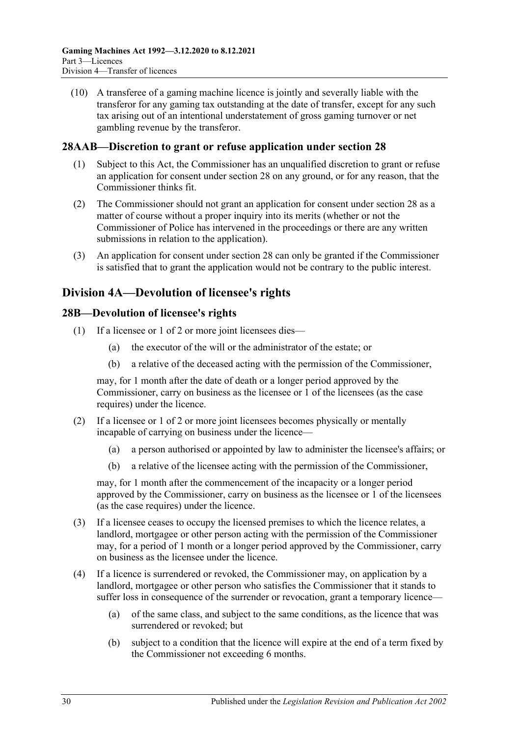<span id="page-29-3"></span>(10) A transferee of a gaming machine licence is jointly and severally liable with the transferor for any gaming tax outstanding at the date of transfer, except for any such tax arising out of an intentional understatement of gross gaming turnover or net gambling revenue by the transferor.

### <span id="page-29-0"></span>**28AAB—Discretion to grant or refuse application under [section](#page-28-1) 28**

- (1) Subject to this Act, the Commissioner has an unqualified discretion to grant or refuse an application for consent under [section](#page-28-1) 28 on any ground, or for any reason, that the Commissioner thinks fit.
- (2) The Commissioner should not grant an application for consent under [section](#page-28-1) 28 as a matter of course without a proper inquiry into its merits (whether or not the Commissioner of Police has intervened in the proceedings or there are any written submissions in relation to the application).
- (3) An application for consent under [section](#page-28-1) 28 can only be granted if the Commissioner is satisfied that to grant the application would not be contrary to the public interest.

### <span id="page-29-1"></span>**Division 4A—Devolution of licensee's rights**

### <span id="page-29-2"></span>**28B—Devolution of licensee's rights**

- (1) If a licensee or 1 of 2 or more joint licensees dies—
	- (a) the executor of the will or the administrator of the estate; or
	- (b) a relative of the deceased acting with the permission of the Commissioner,

may, for 1 month after the date of death or a longer period approved by the Commissioner, carry on business as the licensee or 1 of the licensees (as the case requires) under the licence.

- (2) If a licensee or 1 of 2 or more joint licensees becomes physically or mentally incapable of carrying on business under the licence—
	- (a) a person authorised or appointed by law to administer the licensee's affairs; or
	- (b) a relative of the licensee acting with the permission of the Commissioner,

may, for 1 month after the commencement of the incapacity or a longer period approved by the Commissioner, carry on business as the licensee or 1 of the licensees (as the case requires) under the licence.

- (3) If a licensee ceases to occupy the licensed premises to which the licence relates, a landlord, mortgagee or other person acting with the permission of the Commissioner may, for a period of 1 month or a longer period approved by the Commissioner, carry on business as the licensee under the licence.
- <span id="page-29-4"></span>(4) If a licence is surrendered or revoked, the Commissioner may, on application by a landlord, mortgagee or other person who satisfies the Commissioner that it stands to suffer loss in consequence of the surrender or revocation, grant a temporary licence—
	- (a) of the same class, and subject to the same conditions, as the licence that was surrendered or revoked; but
	- (b) subject to a condition that the licence will expire at the end of a term fixed by the Commissioner not exceeding 6 months.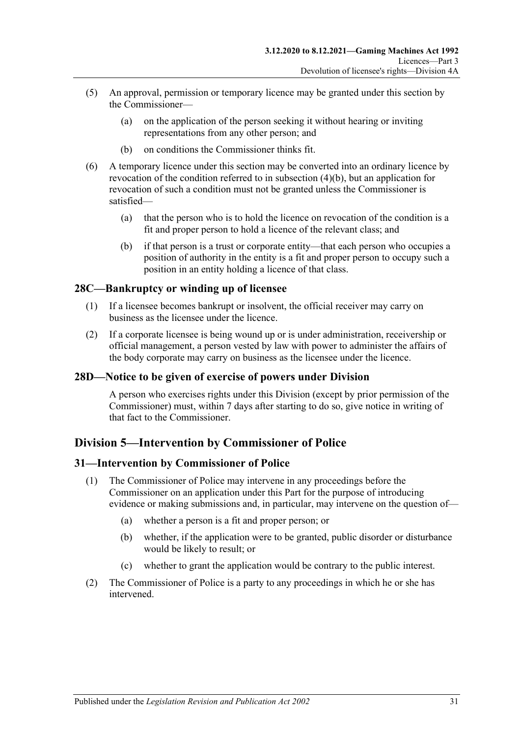- (5) An approval, permission or temporary licence may be granted under this section by the Commissioner—
	- (a) on the application of the person seeking it without hearing or inviting representations from any other person; and
	- (b) on conditions the Commissioner thinks fit.
- (6) A temporary licence under this section may be converted into an ordinary licence by revocation of the condition referred to in [subsection](#page-29-4) (4)(b), but an application for revocation of such a condition must not be granted unless the Commissioner is satisfied—
	- (a) that the person who is to hold the licence on revocation of the condition is a fit and proper person to hold a licence of the relevant class; and
	- (b) if that person is a trust or corporate entity—that each person who occupies a position of authority in the entity is a fit and proper person to occupy such a position in an entity holding a licence of that class.

### <span id="page-30-0"></span>**28C—Bankruptcy or winding up of licensee**

- (1) If a licensee becomes bankrupt or insolvent, the official receiver may carry on business as the licensee under the licence.
- (2) If a corporate licensee is being wound up or is under administration, receivership or official management, a person vested by law with power to administer the affairs of the body corporate may carry on business as the licensee under the licence.

### <span id="page-30-1"></span>**28D—Notice to be given of exercise of powers under Division**

A person who exercises rights under this Division (except by prior permission of the Commissioner) must, within 7 days after starting to do so, give notice in writing of that fact to the Commissioner.

### <span id="page-30-2"></span>**Division 5—Intervention by Commissioner of Police**

### <span id="page-30-3"></span>**31—Intervention by Commissioner of Police**

- (1) The Commissioner of Police may intervene in any proceedings before the Commissioner on an application under this Part for the purpose of introducing evidence or making submissions and, in particular, may intervene on the question of—
	- (a) whether a person is a fit and proper person; or
	- (b) whether, if the application were to be granted, public disorder or disturbance would be likely to result; or
	- (c) whether to grant the application would be contrary to the public interest.
- (2) The Commissioner of Police is a party to any proceedings in which he or she has intervened.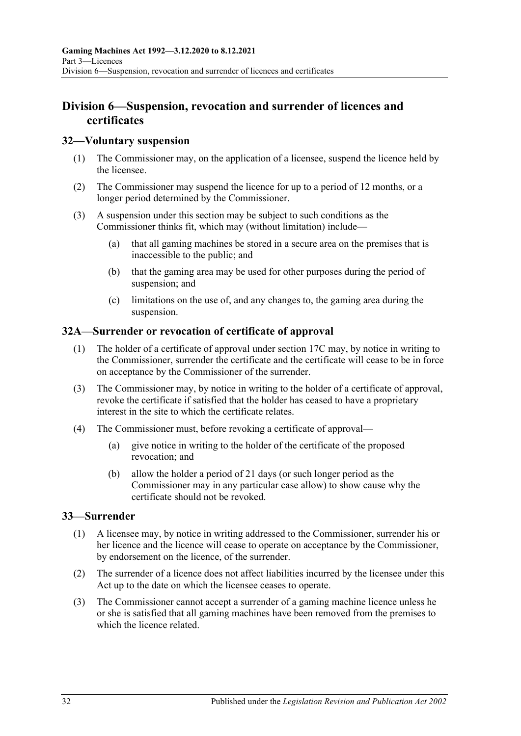### <span id="page-31-0"></span>**Division 6—Suspension, revocation and surrender of licences and certificates**

### <span id="page-31-1"></span>**32—Voluntary suspension**

- (1) The Commissioner may, on the application of a licensee, suspend the licence held by the licensee.
- (2) The Commissioner may suspend the licence for up to a period of 12 months, or a longer period determined by the Commissioner.
- (3) A suspension under this section may be subject to such conditions as the Commissioner thinks fit, which may (without limitation) include—
	- (a) that all gaming machines be stored in a secure area on the premises that is inaccessible to the public; and
	- (b) that the gaming area may be used for other purposes during the period of suspension; and
	- (c) limitations on the use of, and any changes to, the gaming area during the suspension.

#### <span id="page-31-2"></span>**32A—Surrender or revocation of certificate of approval**

- (1) The holder of a certificate of approval under [section](#page-15-0) 17C may, by notice in writing to the Commissioner, surrender the certificate and the certificate will cease to be in force on acceptance by the Commissioner of the surrender.
- (3) The Commissioner may, by notice in writing to the holder of a certificate of approval, revoke the certificate if satisfied that the holder has ceased to have a proprietary interest in the site to which the certificate relates.
- (4) The Commissioner must, before revoking a certificate of approval—
	- (a) give notice in writing to the holder of the certificate of the proposed revocation; and
	- (b) allow the holder a period of 21 days (or such longer period as the Commissioner may in any particular case allow) to show cause why the certificate should not be revoked.

### <span id="page-31-3"></span>**33—Surrender**

- (1) A licensee may, by notice in writing addressed to the Commissioner, surrender his or her licence and the licence will cease to operate on acceptance by the Commissioner, by endorsement on the licence, of the surrender.
- (2) The surrender of a licence does not affect liabilities incurred by the licensee under this Act up to the date on which the licensee ceases to operate.
- (3) The Commissioner cannot accept a surrender of a gaming machine licence unless he or she is satisfied that all gaming machines have been removed from the premises to which the licence related.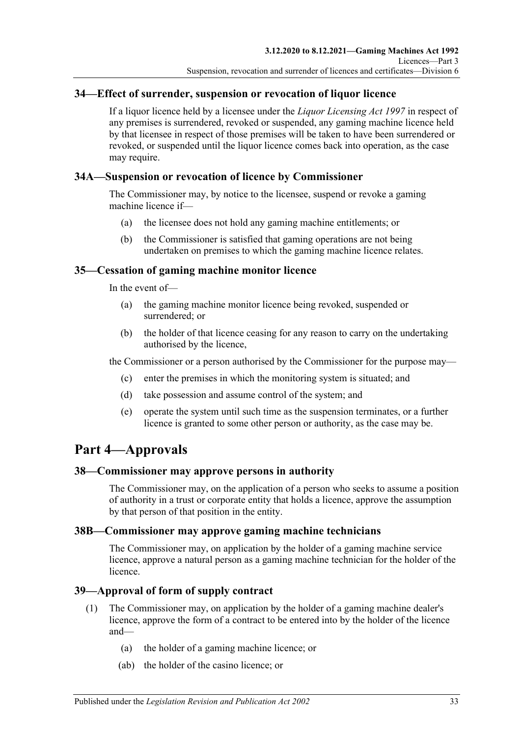### <span id="page-32-0"></span>**34—Effect of surrender, suspension or revocation of liquor licence**

If a liquor licence held by a licensee under the *[Liquor Licensing Act](http://www.legislation.sa.gov.au/index.aspx?action=legref&type=act&legtitle=Liquor%20Licensing%20Act%201997) 1997* in respect of any premises is surrendered, revoked or suspended, any gaming machine licence held by that licensee in respect of those premises will be taken to have been surrendered or revoked, or suspended until the liquor licence comes back into operation, as the case may require.

### <span id="page-32-1"></span>**34A—Suspension or revocation of licence by Commissioner**

The Commissioner may, by notice to the licensee, suspend or revoke a gaming machine licence if—

- (a) the licensee does not hold any gaming machine entitlements; or
- (b) the Commissioner is satisfied that gaming operations are not being undertaken on premises to which the gaming machine licence relates.

### <span id="page-32-2"></span>**35—Cessation of gaming machine monitor licence**

In the event of—

- (a) the gaming machine monitor licence being revoked, suspended or surrendered; or
- (b) the holder of that licence ceasing for any reason to carry on the undertaking authorised by the licence,

the Commissioner or a person authorised by the Commissioner for the purpose may—

- (c) enter the premises in which the monitoring system is situated; and
- (d) take possession and assume control of the system; and
- (e) operate the system until such time as the suspension terminates, or a further licence is granted to some other person or authority, as the case may be.

## <span id="page-32-3"></span>**Part 4—Approvals**

### <span id="page-32-4"></span>**38—Commissioner may approve persons in authority**

The Commissioner may, on the application of a person who seeks to assume a position of authority in a trust or corporate entity that holds a licence, approve the assumption by that person of that position in the entity.

### <span id="page-32-5"></span>**38B—Commissioner may approve gaming machine technicians**

The Commissioner may, on application by the holder of a gaming machine service licence, approve a natural person as a gaming machine technician for the holder of the licence.

### <span id="page-32-6"></span>**39—Approval of form of supply contract**

- (1) The Commissioner may, on application by the holder of a gaming machine dealer's licence, approve the form of a contract to be entered into by the holder of the licence and—
	- (a) the holder of a gaming machine licence; or
	- (ab) the holder of the casino licence; or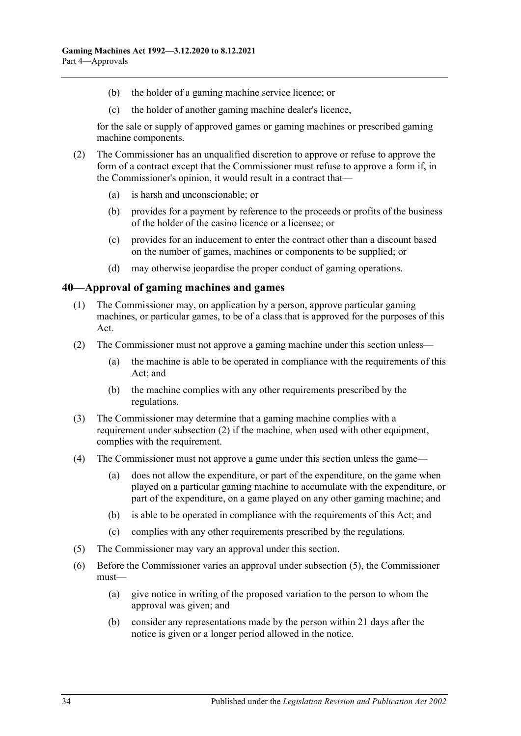- (b) the holder of a gaming machine service licence; or
- (c) the holder of another gaming machine dealer's licence,

for the sale or supply of approved games or gaming machines or prescribed gaming machine components.

- (2) The Commissioner has an unqualified discretion to approve or refuse to approve the form of a contract except that the Commissioner must refuse to approve a form if, in the Commissioner's opinion, it would result in a contract that—
	- (a) is harsh and unconscionable; or
	- (b) provides for a payment by reference to the proceeds or profits of the business of the holder of the casino licence or a licensee; or
	- (c) provides for an inducement to enter the contract other than a discount based on the number of games, machines or components to be supplied; or
	- (d) may otherwise jeopardise the proper conduct of gaming operations.

#### <span id="page-33-0"></span>**40—Approval of gaming machines and games**

- (1) The Commissioner may, on application by a person, approve particular gaming machines, or particular games, to be of a class that is approved for the purposes of this Act.
- <span id="page-33-1"></span>(2) The Commissioner must not approve a gaming machine under this section unless—
	- (a) the machine is able to be operated in compliance with the requirements of this Act; and
	- (b) the machine complies with any other requirements prescribed by the regulations.
- (3) The Commissioner may determine that a gaming machine complies with a requirement under [subsection](#page-33-1) (2) if the machine, when used with other equipment, complies with the requirement.
- (4) The Commissioner must not approve a game under this section unless the game—
	- (a) does not allow the expenditure, or part of the expenditure, on the game when played on a particular gaming machine to accumulate with the expenditure, or part of the expenditure, on a game played on any other gaming machine; and
	- (b) is able to be operated in compliance with the requirements of this Act; and
	- (c) complies with any other requirements prescribed by the regulations.
- <span id="page-33-2"></span>(5) The Commissioner may vary an approval under this section.
- (6) Before the Commissioner varies an approval under [subsection](#page-33-2) (5), the Commissioner must—
	- (a) give notice in writing of the proposed variation to the person to whom the approval was given; and
	- (b) consider any representations made by the person within 21 days after the notice is given or a longer period allowed in the notice.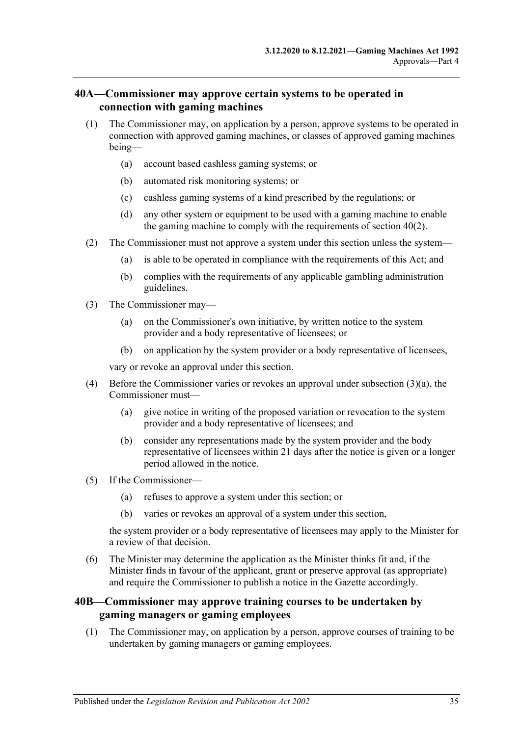### <span id="page-34-0"></span>**40A—Commissioner may approve certain systems to be operated in connection with gaming machines**

- (1) The Commissioner may, on application by a person, approve systems to be operated in connection with approved gaming machines, or classes of approved gaming machines being—
	- (a) account based cashless gaming systems; or
	- (b) automated risk monitoring systems; or
	- (c) cashless gaming systems of a kind prescribed by the regulations; or
	- (d) any other system or equipment to be used with a gaming machine to enable the gaming machine to comply with the requirements of section 40(2).
- (2) The Commissioner must not approve a system under this section unless the system—
	- (a) is able to be operated in compliance with the requirements of this Act; and
	- (b) complies with the requirements of any applicable gambling administration guidelines.
- <span id="page-34-2"></span>(3) The Commissioner may—
	- (a) on the Commissioner's own initiative, by written notice to the system provider and a body representative of licensees; or
	- (b) on application by the system provider or a body representative of licensees,

vary or revoke an approval under this section.

- (4) Before the Commissioner varies or revokes an approval under [subsection](#page-34-2) (3)(a), the Commissioner must—
	- (a) give notice in writing of the proposed variation or revocation to the system provider and a body representative of licensees; and
	- (b) consider any representations made by the system provider and the body representative of licensees within 21 days after the notice is given or a longer period allowed in the notice.
- (5) If the Commissioner—
	- (a) refuses to approve a system under this section; or
	- (b) varies or revokes an approval of a system under this section,

the system provider or a body representative of licensees may apply to the Minister for a review of that decision.

(6) The Minister may determine the application as the Minister thinks fit and, if the Minister finds in favour of the applicant, grant or preserve approval (as appropriate) and require the Commissioner to publish a notice in the Gazette accordingly.

### <span id="page-34-1"></span>**40B—Commissioner may approve training courses to be undertaken by gaming managers or gaming employees**

(1) The Commissioner may, on application by a person, approve courses of training to be undertaken by gaming managers or gaming employees.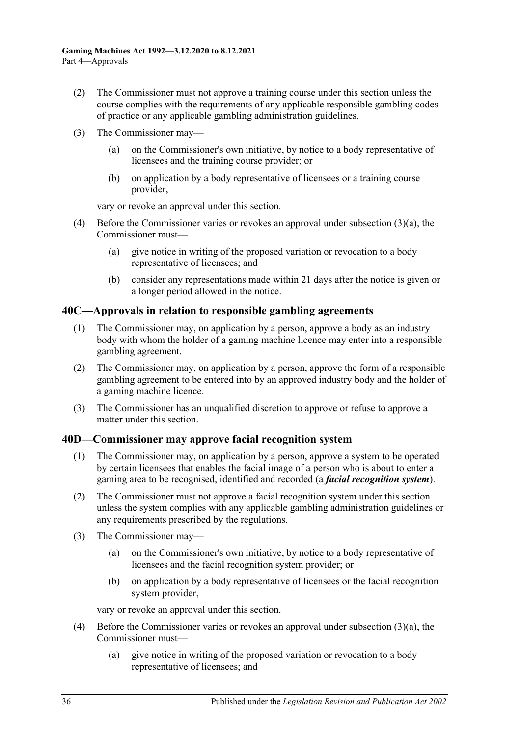- (2) The Commissioner must not approve a training course under this section unless the course complies with the requirements of any applicable responsible gambling codes of practice or any applicable gambling administration guidelines.
- <span id="page-35-4"></span>(3) The Commissioner may—
	- (a) on the Commissioner's own initiative, by notice to a body representative of licensees and the training course provider; or
	- (b) on application by a body representative of licensees or a training course provider,

vary or revoke an approval under this section.

- (4) Before the Commissioner varies or revokes an approval under [subsection](#page-35-4) (3)(a), the Commissioner must—
	- (a) give notice in writing of the proposed variation or revocation to a body representative of licensees; and
	- (b) consider any representations made within 21 days after the notice is given or a longer period allowed in the notice.

#### <span id="page-35-3"></span><span id="page-35-0"></span>**40C—Approvals in relation to responsible gambling agreements**

- (1) The Commissioner may, on application by a person, approve a body as an industry body with whom the holder of a gaming machine licence may enter into a responsible gambling agreement.
- <span id="page-35-2"></span>(2) The Commissioner may, on application by a person, approve the form of a responsible gambling agreement to be entered into by an approved industry body and the holder of a gaming machine licence.
- (3) The Commissioner has an unqualified discretion to approve or refuse to approve a matter under this section.

### <span id="page-35-1"></span>**40D—Commissioner may approve facial recognition system**

- (1) The Commissioner may, on application by a person, approve a system to be operated by certain licensees that enables the facial image of a person who is about to enter a gaming area to be recognised, identified and recorded (a *facial recognition system*).
- (2) The Commissioner must not approve a facial recognition system under this section unless the system complies with any applicable gambling administration guidelines or any requirements prescribed by the regulations.
- <span id="page-35-5"></span>(3) The Commissioner may—
	- (a) on the Commissioner's own initiative, by notice to a body representative of licensees and the facial recognition system provider; or
	- (b) on application by a body representative of licensees or the facial recognition system provider,

vary or revoke an approval under this section.

- (4) Before the Commissioner varies or revokes an approval under [subsection](#page-35-5) (3)(a), the Commissioner must—
	- (a) give notice in writing of the proposed variation or revocation to a body representative of licensees; and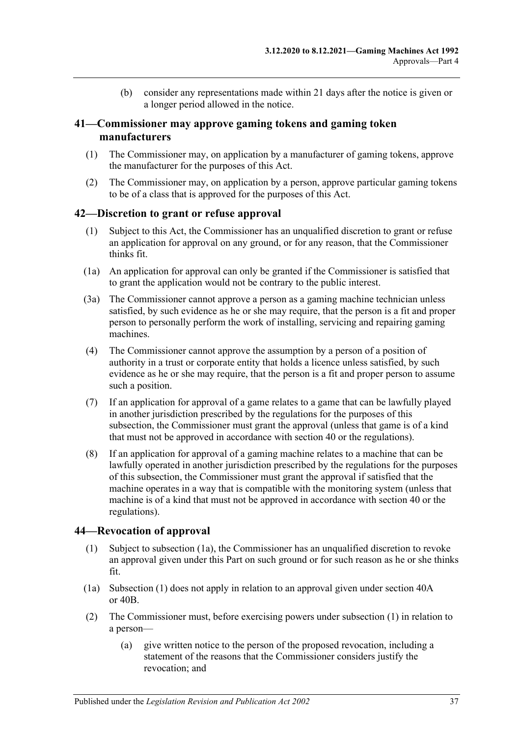(b) consider any representations made within 21 days after the notice is given or a longer period allowed in the notice.

### **41—Commissioner may approve gaming tokens and gaming token manufacturers**

- (1) The Commissioner may, on application by a manufacturer of gaming tokens, approve the manufacturer for the purposes of this Act.
- (2) The Commissioner may, on application by a person, approve particular gaming tokens to be of a class that is approved for the purposes of this Act.

### **42—Discretion to grant or refuse approval**

- (1) Subject to this Act, the Commissioner has an unqualified discretion to grant or refuse an application for approval on any ground, or for any reason, that the Commissioner thinks fit.
- (1a) An application for approval can only be granted if the Commissioner is satisfied that to grant the application would not be contrary to the public interest.
- (3a) The Commissioner cannot approve a person as a gaming machine technician unless satisfied, by such evidence as he or she may require, that the person is a fit and proper person to personally perform the work of installing, servicing and repairing gaming machines.
- (4) The Commissioner cannot approve the assumption by a person of a position of authority in a trust or corporate entity that holds a licence unless satisfied, by such evidence as he or she may require, that the person is a fit and proper person to assume such a position.
- (7) If an application for approval of a game relates to a game that can be lawfully played in another jurisdiction prescribed by the regulations for the purposes of this subsection, the Commissioner must grant the approval (unless that game is of a kind that must not be approved in accordance with [section](#page-33-0) 40 or the regulations).
- (8) If an application for approval of a gaming machine relates to a machine that can be lawfully operated in another jurisdiction prescribed by the regulations for the purposes of this subsection, the Commissioner must grant the approval if satisfied that the machine operates in a way that is compatible with the monitoring system (unless that machine is of a kind that must not be approved in accordance with [section](#page-33-0) 40 or the regulations).

### <span id="page-36-1"></span>**44—Revocation of approval**

- (1) Subject to [subsection](#page-36-0) (1a), the Commissioner has an unqualified discretion to revoke an approval given under this Part on such ground or for such reason as he or she thinks fit.
- <span id="page-36-0"></span>(1a) [Subsection](#page-36-1) (1) does not apply in relation to an approval given under [section](#page-34-0) 40A or [40B.](#page-34-1)
- (2) The Commissioner must, before exercising powers under [subsection](#page-36-1) (1) in relation to a person—
	- (a) give written notice to the person of the proposed revocation, including a statement of the reasons that the Commissioner considers justify the revocation; and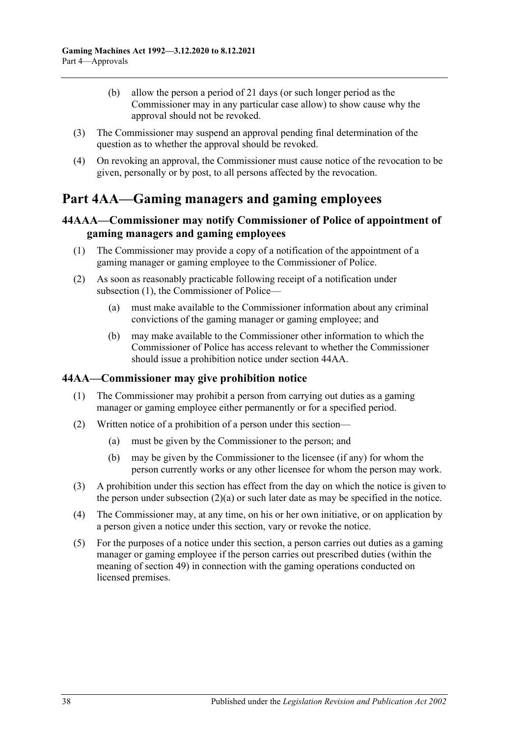- (b) allow the person a period of 21 days (or such longer period as the Commissioner may in any particular case allow) to show cause why the approval should not be revoked.
- (3) The Commissioner may suspend an approval pending final determination of the question as to whether the approval should be revoked.
- (4) On revoking an approval, the Commissioner must cause notice of the revocation to be given, personally or by post, to all persons affected by the revocation.

# **Part 4AA—Gaming managers and gaming employees**

## **44AAA—Commissioner may notify Commissioner of Police of appointment of gaming managers and gaming employees**

- <span id="page-37-0"></span>(1) The Commissioner may provide a copy of a notification of the appointment of a gaming manager or gaming employee to the Commissioner of Police.
- (2) As soon as reasonably practicable following receipt of a notification under [subsection](#page-37-0) (1), the Commissioner of Police—
	- (a) must make available to the Commissioner information about any criminal convictions of the gaming manager or gaming employee; and
	- (b) may make available to the Commissioner other information to which the Commissioner of Police has access relevant to whether the Commissioner should issue a prohibition notice unde[r section](#page-37-1) 44AA.

## <span id="page-37-1"></span>**44AA—Commissioner may give prohibition notice**

- (1) The Commissioner may prohibit a person from carrying out duties as a gaming manager or gaming employee either permanently or for a specified period.
- <span id="page-37-3"></span><span id="page-37-2"></span>(2) Written notice of a prohibition of a person under this section—
	- (a) must be given by the Commissioner to the person; and
	- (b) may be given by the Commissioner to the licensee (if any) for whom the person currently works or any other licensee for whom the person may work.
- (3) A prohibition under this section has effect from the day on which the notice is given to the person under [subsection](#page-37-2)  $(2)(a)$  or such later date as may be specified in the notice.
- (4) The Commissioner may, at any time, on his or her own initiative, or on application by a person given a notice under this section, vary or revoke the notice.
- (5) For the purposes of a notice under this section, a person carries out duties as a gaming manager or gaming employee if the person carries out prescribed duties (within the meaning of section 49) in connection with the gaming operations conducted on licensed premises.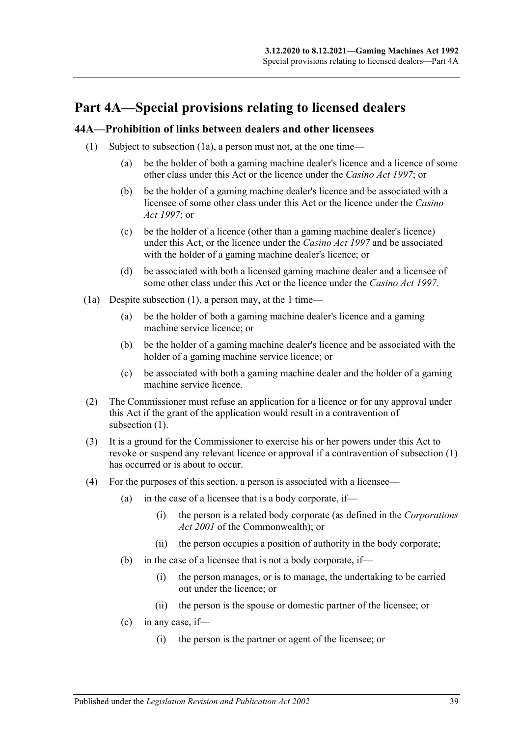# **Part 4A—Special provisions relating to licensed dealers**

### <span id="page-38-1"></span>**44A—Prohibition of links between dealers and other licensees**

- (1) Subject to [subsection](#page-38-0) (1a), a person must not, at the one time—
	- (a) be the holder of both a gaming machine dealer's licence and a licence of some other class under this Act or the licence under the *[Casino Act](http://www.legislation.sa.gov.au/index.aspx?action=legref&type=act&legtitle=Casino%20Act%201997) 1997*; or
	- (b) be the holder of a gaming machine dealer's licence and be associated with a licensee of some other class under this Act or the licence under the *[Casino](http://www.legislation.sa.gov.au/index.aspx?action=legref&type=act&legtitle=Casino%20Act%201997)  Act [1997](http://www.legislation.sa.gov.au/index.aspx?action=legref&type=act&legtitle=Casino%20Act%201997)*; or
	- (c) be the holder of a licence (other than a gaming machine dealer's licence) under this Act, or the licence under the *[Casino Act](http://www.legislation.sa.gov.au/index.aspx?action=legref&type=act&legtitle=Casino%20Act%201997) 1997* and be associated with the holder of a gaming machine dealer's licence; or
	- (d) be associated with both a licensed gaming machine dealer and a licensee of some other class under this Act or the licence under the *[Casino Act](http://www.legislation.sa.gov.au/index.aspx?action=legref&type=act&legtitle=Casino%20Act%201997) 1997*.
- <span id="page-38-0"></span>(1a) Despite [subsection](#page-38-1) (1), a person may, at the 1 time—
	- (a) be the holder of both a gaming machine dealer's licence and a gaming machine service licence; or
	- (b) be the holder of a gaming machine dealer's licence and be associated with the holder of a gaming machine service licence; or
	- (c) be associated with both a gaming machine dealer and the holder of a gaming machine service licence.
- (2) The Commissioner must refuse an application for a licence or for any approval under this Act if the grant of the application would result in a contravention of [subsection](#page-38-1) (1).
- (3) It is a ground for the Commissioner to exercise his or her powers under this Act to revoke or suspend any relevant licence or approval if a contravention of [subsection](#page-38-1) (1) has occurred or is about to occur.
- (4) For the purposes of this section, a person is associated with a licensee—
	- (a) in the case of a licensee that is a body corporate, if—
		- (i) the person is a related body corporate (as defined in the *Corporations Act 2001* of the Commonwealth); or
		- (ii) the person occupies a position of authority in the body corporate;
	- (b) in the case of a licensee that is not a body corporate, if—
		- (i) the person manages, or is to manage, the undertaking to be carried out under the licence; or
		- (ii) the person is the spouse or domestic partner of the licensee; or
	- $(c)$  in any case, if—
		- (i) the person is the partner or agent of the licensee; or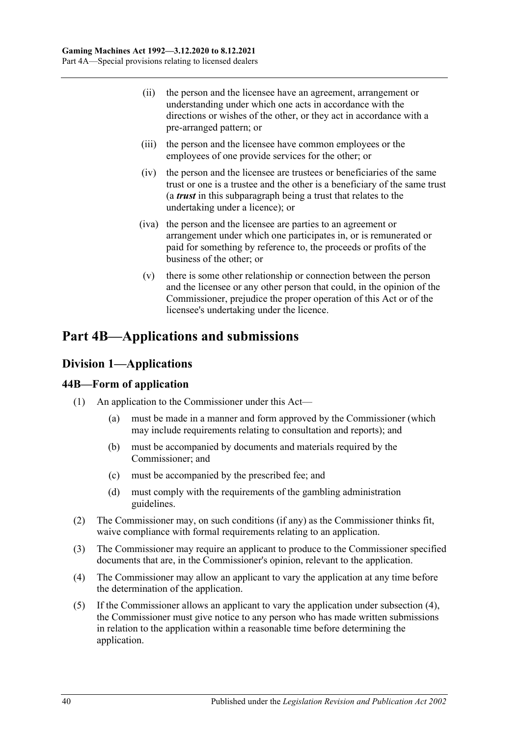- (ii) the person and the licensee have an agreement, arrangement or understanding under which one acts in accordance with the directions or wishes of the other, or they act in accordance with a pre-arranged pattern; or
- (iii) the person and the licensee have common employees or the employees of one provide services for the other; or
- (iv) the person and the licensee are trustees or beneficiaries of the same trust or one is a trustee and the other is a beneficiary of the same trust (a *trust* in this subparagraph being a trust that relates to the undertaking under a licence); or
- (iva) the person and the licensee are parties to an agreement or arrangement under which one participates in, or is remunerated or paid for something by reference to, the proceeds or profits of the business of the other; or
- (v) there is some other relationship or connection between the person and the licensee or any other person that could, in the opinion of the Commissioner, prejudice the proper operation of this Act or of the licensee's undertaking under the licence.

# **Part 4B—Applications and submissions**

# **Division 1—Applications**

## **44B—Form of application**

- (1) An application to the Commissioner under this Act—
	- (a) must be made in a manner and form approved by the Commissioner (which may include requirements relating to consultation and reports); and
	- (b) must be accompanied by documents and materials required by the Commissioner; and
	- (c) must be accompanied by the prescribed fee; and
	- (d) must comply with the requirements of the gambling administration guidelines.
- (2) The Commissioner may, on such conditions (if any) as the Commissioner thinks fit, waive compliance with formal requirements relating to an application.
- (3) The Commissioner may require an applicant to produce to the Commissioner specified documents that are, in the Commissioner's opinion, relevant to the application.
- <span id="page-39-0"></span>(4) The Commissioner may allow an applicant to vary the application at any time before the determination of the application.
- (5) If the Commissioner allows an applicant to vary the application under [subsection](#page-39-0) (4), the Commissioner must give notice to any person who has made written submissions in relation to the application within a reasonable time before determining the application.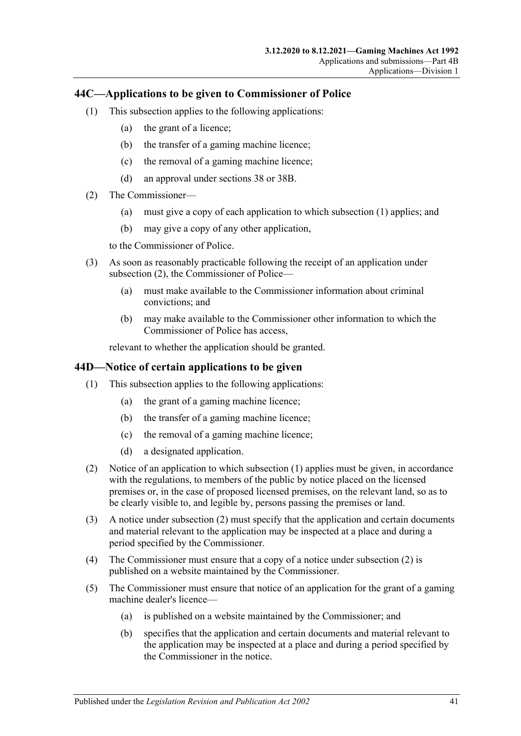## <span id="page-40-0"></span>**44C—Applications to be given to Commissioner of Police**

- (1) This subsection applies to the following applications:
	- (a) the grant of a licence;
	- (b) the transfer of a gaming machine licence;
	- (c) the removal of a gaming machine licence;
	- (d) an approval under [sections](#page-32-0) 38 or [38B.](#page-32-1)
- <span id="page-40-1"></span>(2) The Commissioner—
	- (a) must give a copy of each application to which [subsection](#page-40-0) (1) applies; and
	- (b) may give a copy of any other application,

to the Commissioner of Police.

- (3) As soon as reasonably practicable following the receipt of an application under [subsection](#page-40-1) (2), the Commissioner of Police—
	- (a) must make available to the Commissioner information about criminal convictions; and
	- (b) may make available to the Commissioner other information to which the Commissioner of Police has access,

relevant to whether the application should be granted.

### <span id="page-40-2"></span>**44D—Notice of certain applications to be given**

- (1) This subsection applies to the following applications:
	- (a) the grant of a gaming machine licence;
	- (b) the transfer of a gaming machine licence;
	- (c) the removal of a gaming machine licence;
	- (d) a designated application.
- <span id="page-40-3"></span>(2) Notice of an application to which [subsection](#page-40-2) (1) applies must be given, in accordance with the regulations, to members of the public by notice placed on the licensed premises or, in the case of proposed licensed premises, on the relevant land, so as to be clearly visible to, and legible by, persons passing the premises or land.
- (3) A notice under [subsection](#page-40-3) (2) must specify that the application and certain documents and material relevant to the application may be inspected at a place and during a period specified by the Commissioner.
- (4) The Commissioner must ensure that a copy of a notice under [subsection](#page-40-3) (2) is published on a website maintained by the Commissioner.
- (5) The Commissioner must ensure that notice of an application for the grant of a gaming machine dealer's licence—
	- (a) is published on a website maintained by the Commissioner; and
	- (b) specifies that the application and certain documents and material relevant to the application may be inspected at a place and during a period specified by the Commissioner in the notice.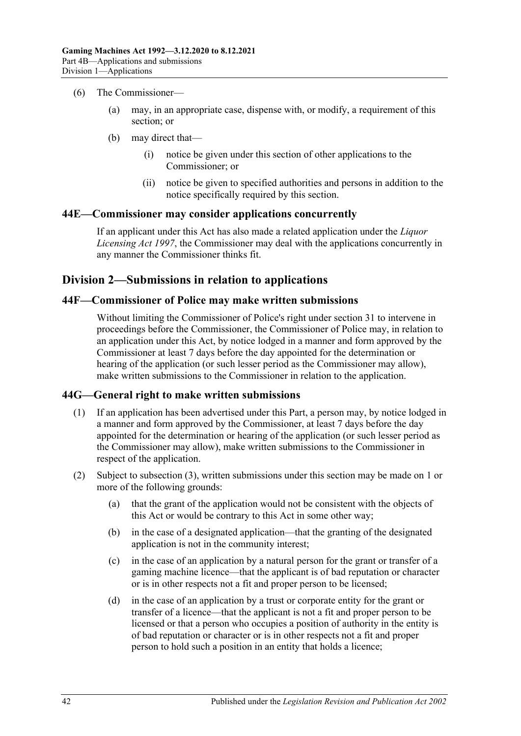- (6) The Commissioner—
	- (a) may, in an appropriate case, dispense with, or modify, a requirement of this section; or
	- (b) may direct that—
		- (i) notice be given under this section of other applications to the Commissioner; or
		- (ii) notice be given to specified authorities and persons in addition to the notice specifically required by this section.

#### **44E—Commissioner may consider applications concurrently**

If an applicant under this Act has also made a related application under the *[Liquor](http://www.legislation.sa.gov.au/index.aspx?action=legref&type=act&legtitle=Liquor%20Licensing%20Act%201997)  [Licensing Act](http://www.legislation.sa.gov.au/index.aspx?action=legref&type=act&legtitle=Liquor%20Licensing%20Act%201997) 1997*, the Commissioner may deal with the applications concurrently in any manner the Commissioner thinks fit.

### **Division 2—Submissions in relation to applications**

#### **44F—Commissioner of Police may make written submissions**

Without limiting the Commissioner of Police's right under [section](#page-30-0) 31 to intervene in proceedings before the Commissioner, the Commissioner of Police may, in relation to an application under this Act, by notice lodged in a manner and form approved by the Commissioner at least 7 days before the day appointed for the determination or hearing of the application (or such lesser period as the Commissioner may allow), make written submissions to the Commissioner in relation to the application.

#### **44G—General right to make written submissions**

- (1) If an application has been advertised under this Part, a person may, by notice lodged in a manner and form approved by the Commissioner, at least 7 days before the day appointed for the determination or hearing of the application (or such lesser period as the Commissioner may allow), make written submissions to the Commissioner in respect of the application.
- (2) Subject to [subsection](#page-42-0) (3), written submissions under this section may be made on 1 or more of the following grounds:
	- (a) that the grant of the application would not be consistent with the objects of this Act or would be contrary to this Act in some other way;
	- (b) in the case of a designated application—that the granting of the designated application is not in the community interest;
	- (c) in the case of an application by a natural person for the grant or transfer of a gaming machine licence—that the applicant is of bad reputation or character or is in other respects not a fit and proper person to be licensed;
	- (d) in the case of an application by a trust or corporate entity for the grant or transfer of a licence—that the applicant is not a fit and proper person to be licensed or that a person who occupies a position of authority in the entity is of bad reputation or character or is in other respects not a fit and proper person to hold such a position in an entity that holds a licence;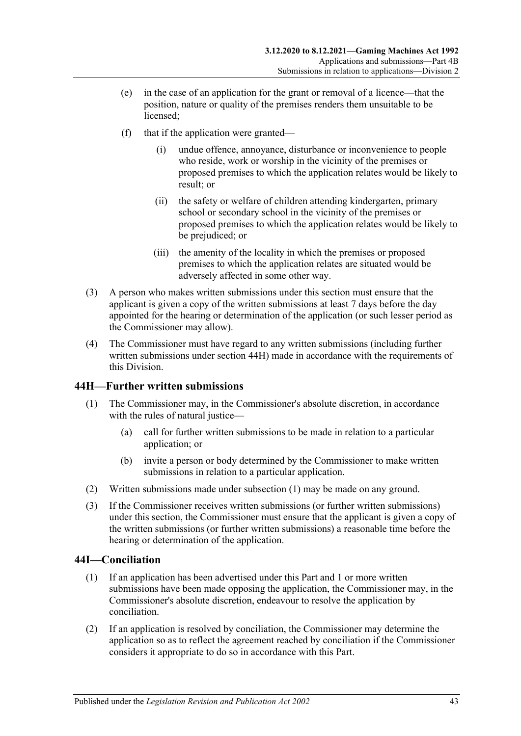- (e) in the case of an application for the grant or removal of a licence—that the position, nature or quality of the premises renders them unsuitable to be licensed;
- (f) that if the application were granted
	- undue offence, annoyance, disturbance or inconvenience to people who reside, work or worship in the vicinity of the premises or proposed premises to which the application relates would be likely to result; or
	- (ii) the safety or welfare of children attending kindergarten, primary school or secondary school in the vicinity of the premises or proposed premises to which the application relates would be likely to be prejudiced; or
	- (iii) the amenity of the locality in which the premises or proposed premises to which the application relates are situated would be adversely affected in some other way.
- <span id="page-42-0"></span>(3) A person who makes written submissions under this section must ensure that the applicant is given a copy of the written submissions at least 7 days before the day appointed for the hearing or determination of the application (or such lesser period as the Commissioner may allow).
- (4) The Commissioner must have regard to any written submissions (including further written submissions under [section](#page-42-1) 44H) made in accordance with the requirements of this Division.

## <span id="page-42-2"></span><span id="page-42-1"></span>**44H—Further written submissions**

- (1) The Commissioner may, in the Commissioner's absolute discretion, in accordance with the rules of natural justice—
	- (a) call for further written submissions to be made in relation to a particular application; or
	- (b) invite a person or body determined by the Commissioner to make written submissions in relation to a particular application.
- (2) Written submissions made unde[r subsection](#page-42-2) (1) may be made on any ground.
- (3) If the Commissioner receives written submissions (or further written submissions) under this section, the Commissioner must ensure that the applicant is given a copy of the written submissions (or further written submissions) a reasonable time before the hearing or determination of the application.

### **44I—Conciliation**

- (1) If an application has been advertised under this Part and 1 or more written submissions have been made opposing the application, the Commissioner may, in the Commissioner's absolute discretion, endeavour to resolve the application by conciliation.
- (2) If an application is resolved by conciliation, the Commissioner may determine the application so as to reflect the agreement reached by conciliation if the Commissioner considers it appropriate to do so in accordance with this Part.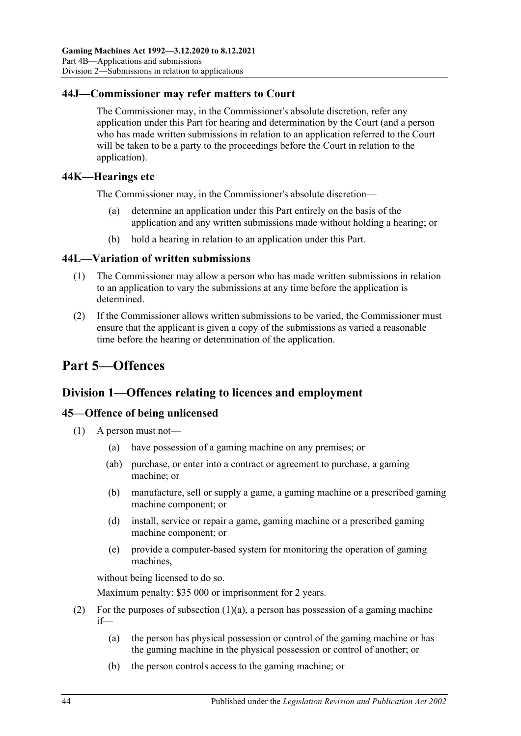## **44J—Commissioner may refer matters to Court**

The Commissioner may, in the Commissioner's absolute discretion, refer any application under this Part for hearing and determination by the Court (and a person who has made written submissions in relation to an application referred to the Court will be taken to be a party to the proceedings before the Court in relation to the application).

### **44K—Hearings etc**

The Commissioner may, in the Commissioner's absolute discretion—

- determine an application under this Part entirely on the basis of the application and any written submissions made without holding a hearing; or
- (b) hold a hearing in relation to an application under this Part.

### **44L—Variation of written submissions**

- (1) The Commissioner may allow a person who has made written submissions in relation to an application to vary the submissions at any time before the application is determined.
- (2) If the Commissioner allows written submissions to be varied, the Commissioner must ensure that the applicant is given a copy of the submissions as varied a reasonable time before the hearing or determination of the application.

# **Part 5—Offences**

## **Division 1—Offences relating to licences and employment**

### **45—Offence of being unlicensed**

- <span id="page-43-0"></span>(1) A person must not—
	- (a) have possession of a gaming machine on any premises; or
	- (ab) purchase, or enter into a contract or agreement to purchase, a gaming machine; or
	- (b) manufacture, sell or supply a game, a gaming machine or a prescribed gaming machine component; or
	- (d) install, service or repair a game, gaming machine or a prescribed gaming machine component; or
	- (e) provide a computer-based system for monitoring the operation of gaming machines,

without being licensed to do so.

Maximum penalty: \$35 000 or imprisonment for 2 years.

- (2) For the purposes of [subsection](#page-43-0)  $(1)(a)$ , a person has possession of a gaming machine if—
	- (a) the person has physical possession or control of the gaming machine or has the gaming machine in the physical possession or control of another; or
	- (b) the person controls access to the gaming machine; or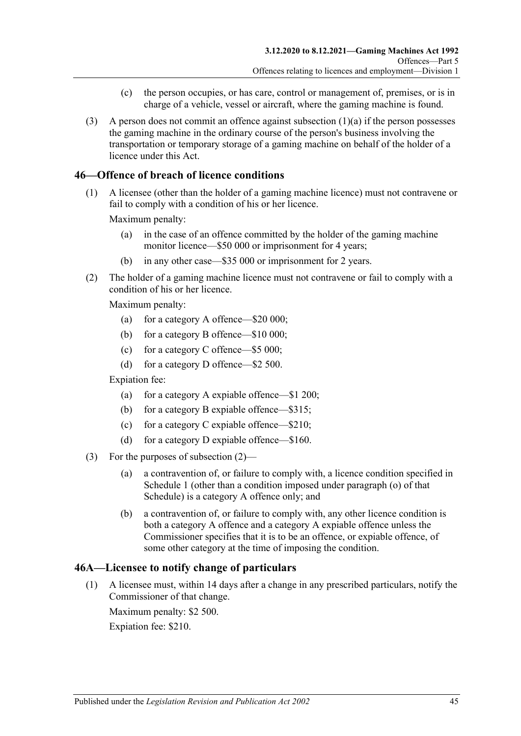- (c) the person occupies, or has care, control or management of, premises, or is in charge of a vehicle, vessel or aircraft, where the gaming machine is found.
- (3) A person does not commit an offence against [subsection](#page-43-0)  $(1)(a)$  if the person possesses the gaming machine in the ordinary course of the person's business involving the transportation or temporary storage of a gaming machine on behalf of the holder of a licence under this Act.

## **46—Offence of breach of licence conditions**

(1) A licensee (other than the holder of a gaming machine licence) must not contravene or fail to comply with a condition of his or her licence.

Maximum penalty:

- (a) in the case of an offence committed by the holder of the gaming machine monitor licence—\$50 000 or imprisonment for 4 years;
- (b) in any other case—\$35 000 or imprisonment for 2 years.
- <span id="page-44-0"></span>(2) The holder of a gaming machine licence must not contravene or fail to comply with a condition of his or her licence.

Maximum penalty:

- (a) for a category A offence—\$20 000;
- (b) for a category B offence—\$10 000;
- (c) for a category C offence—\$5 000;
- (d) for a category D offence—\$2 500.

Expiation fee:

- (a) for a category A expiable offence—\$1 200;
- (b) for a category B expiable offence—\$315;
- (c) for a category C expiable offence—\$210;
- (d) for a category D expiable offence—\$160.
- (3) For the purposes of [subsection](#page-44-0) (2)—
	- (a) a contravention of, or failure to comply with, a licence condition specified in [Schedule 1](#page-68-0) (other than a condition imposed under paragraph (o) of that Schedule) is a category A offence only; and
	- (b) a contravention of, or failure to comply with, any other licence condition is both a category A offence and a category A expiable offence unless the Commissioner specifies that it is to be an offence, or expiable offence, of some other category at the time of imposing the condition.

#### **46A—Licensee to notify change of particulars**

(1) A licensee must, within 14 days after a change in any prescribed particulars, notify the Commissioner of that change.

Maximum penalty: \$2 500. Expiation fee: \$210.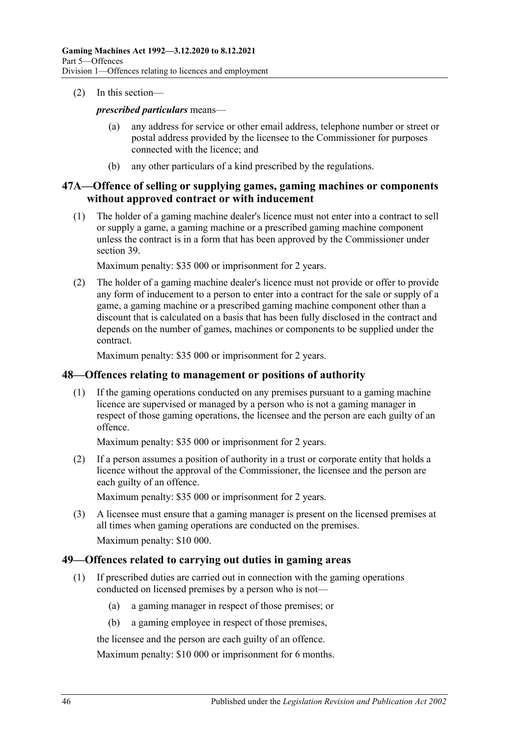#### (2) In this section—

#### *prescribed particulars* means—

- (a) any address for service or other email address, telephone number or street or postal address provided by the licensee to the Commissioner for purposes connected with the licence; and
- (b) any other particulars of a kind prescribed by the regulations.

### **47A—Offence of selling or supplying games, gaming machines or components without approved contract or with inducement**

(1) The holder of a gaming machine dealer's licence must not enter into a contract to sell or supply a game, a gaming machine or a prescribed gaming machine component unless the contract is in a form that has been approved by the Commissioner under [section](#page-32-2) 39.

Maximum penalty: \$35 000 or imprisonment for 2 years.

(2) The holder of a gaming machine dealer's licence must not provide or offer to provide any form of inducement to a person to enter into a contract for the sale or supply of a game, a gaming machine or a prescribed gaming machine component other than a discount that is calculated on a basis that has been fully disclosed in the contract and depends on the number of games, machines or components to be supplied under the contract.

Maximum penalty: \$35 000 or imprisonment for 2 years.

### **48—Offences relating to management or positions of authority**

(1) If the gaming operations conducted on any premises pursuant to a gaming machine licence are supervised or managed by a person who is not a gaming manager in respect of those gaming operations, the licensee and the person are each guilty of an offence.

Maximum penalty: \$35 000 or imprisonment for 2 years.

(2) If a person assumes a position of authority in a trust or corporate entity that holds a licence without the approval of the Commissioner, the licensee and the person are each guilty of an offence.

Maximum penalty: \$35 000 or imprisonment for 2 years.

(3) A licensee must ensure that a gaming manager is present on the licensed premises at all times when gaming operations are conducted on the premises. Maximum penalty: \$10 000.

### **49—Offences related to carrying out duties in gaming areas**

- (1) If prescribed duties are carried out in connection with the gaming operations conducted on licensed premises by a person who is not—
	- (a) a gaming manager in respect of those premises; or
	- (b) a gaming employee in respect of those premises,

the licensee and the person are each guilty of an offence.

Maximum penalty: \$10 000 or imprisonment for 6 months.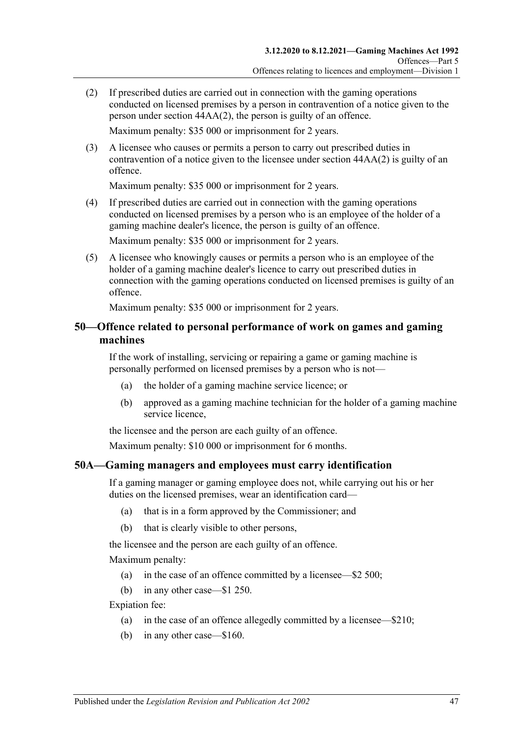- (2) If prescribed duties are carried out in connection with the gaming operations conducted on licensed premises by a person in contravention of a notice given to the person under section [44AA\(2\),](#page-37-3) the person is guilty of an offence. Maximum penalty: \$35 000 or imprisonment for 2 years.
- (3) A licensee who causes or permits a person to carry out prescribed duties in contravention of a notice given to the licensee under section [44AA\(2\)](#page-37-3) is guilty of an offence.

Maximum penalty: \$35 000 or imprisonment for 2 years.

(4) If prescribed duties are carried out in connection with the gaming operations conducted on licensed premises by a person who is an employee of the holder of a gaming machine dealer's licence, the person is guilty of an offence.

Maximum penalty: \$35 000 or imprisonment for 2 years.

(5) A licensee who knowingly causes or permits a person who is an employee of the holder of a gaming machine dealer's licence to carry out prescribed duties in connection with the gaming operations conducted on licensed premises is guilty of an offence.

Maximum penalty: \$35 000 or imprisonment for 2 years.

### **50—Offence related to personal performance of work on games and gaming machines**

If the work of installing, servicing or repairing a game or gaming machine is personally performed on licensed premises by a person who is not—

- (a) the holder of a gaming machine service licence; or
- (b) approved as a gaming machine technician for the holder of a gaming machine service licence,

the licensee and the person are each guilty of an offence.

Maximum penalty: \$10 000 or imprisonment for 6 months.

### <span id="page-46-0"></span>**50A—Gaming managers and employees must carry identification**

If a gaming manager or gaming employee does not, while carrying out his or her duties on the licensed premises, wear an identification card—

- (a) that is in a form approved by the Commissioner; and
- (b) that is clearly visible to other persons,

the licensee and the person are each guilty of an offence.

Maximum penalty:

- (a) in the case of an offence committed by a licensee—\$2 500;
- (b) in any other case—\$1 250.

Expiation fee:

- (a) in the case of an offence allegedly committed by a licensee—\$210;
- (b) in any other case—\$160.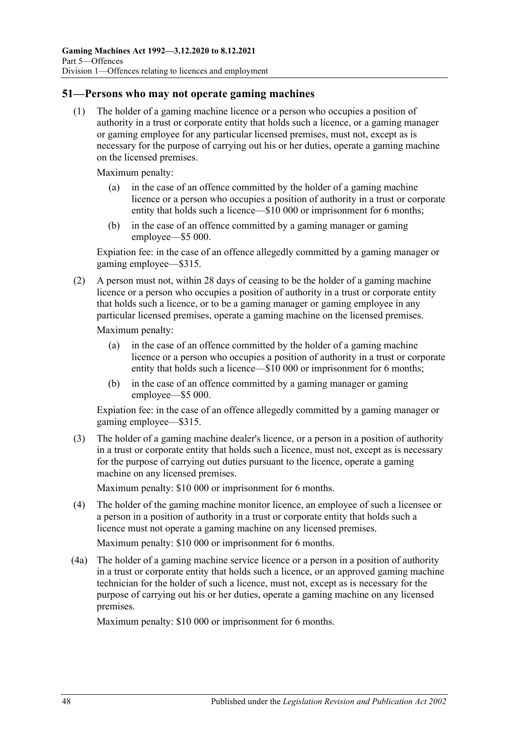## **51—Persons who may not operate gaming machines**

(1) The holder of a gaming machine licence or a person who occupies a position of authority in a trust or corporate entity that holds such a licence, or a gaming manager or gaming employee for any particular licensed premises, must not, except as is necessary for the purpose of carrying out his or her duties, operate a gaming machine on the licensed premises.

Maximum penalty:

- (a) in the case of an offence committed by the holder of a gaming machine licence or a person who occupies a position of authority in a trust or corporate entity that holds such a licence—\$10 000 or imprisonment for 6 months;
- (b) in the case of an offence committed by a gaming manager or gaming employee—\$5 000.

Expiation fee: in the case of an offence allegedly committed by a gaming manager or gaming employee—\$315.

(2) A person must not, within 28 days of ceasing to be the holder of a gaming machine licence or a person who occupies a position of authority in a trust or corporate entity that holds such a licence, or to be a gaming manager or gaming employee in any particular licensed premises, operate a gaming machine on the licensed premises.

Maximum penalty:

- (a) in the case of an offence committed by the holder of a gaming machine licence or a person who occupies a position of authority in a trust or corporate entity that holds such a licence—\$10 000 or imprisonment for 6 months;
- (b) in the case of an offence committed by a gaming manager or gaming employee—\$5 000.

Expiation fee: in the case of an offence allegedly committed by a gaming manager or gaming employee—\$315.

(3) The holder of a gaming machine dealer's licence, or a person in a position of authority in a trust or corporate entity that holds such a licence, must not, except as is necessary for the purpose of carrying out duties pursuant to the licence, operate a gaming machine on any licensed premises.

Maximum penalty: \$10 000 or imprisonment for 6 months.

(4) The holder of the gaming machine monitor licence, an employee of such a licensee or a person in a position of authority in a trust or corporate entity that holds such a licence must not operate a gaming machine on any licensed premises.

Maximum penalty: \$10 000 or imprisonment for 6 months.

(4a) The holder of a gaming machine service licence or a person in a position of authority in a trust or corporate entity that holds such a licence, or an approved gaming machine technician for the holder of such a licence, must not, except as is necessary for the purpose of carrying out his or her duties, operate a gaming machine on any licensed premises.

Maximum penalty: \$10 000 or imprisonment for 6 months.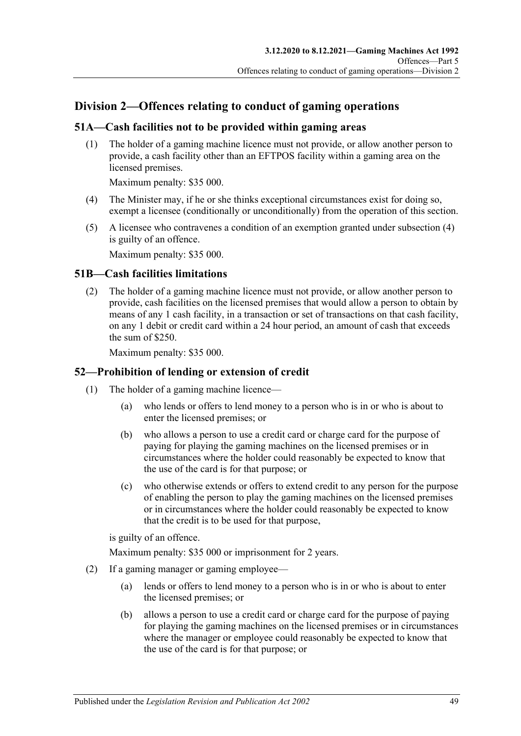# **Division 2—Offences relating to conduct of gaming operations**

## **51A—Cash facilities not to be provided within gaming areas**

(1) The holder of a gaming machine licence must not provide, or allow another person to provide, a cash facility other than an EFTPOS facility within a gaming area on the licensed premises.

Maximum penalty: \$35 000.

- <span id="page-48-0"></span>(4) The Minister may, if he or she thinks exceptional circumstances exist for doing so, exempt a licensee (conditionally or unconditionally) from the operation of this section.
- (5) A licensee who contravenes a condition of an exemption granted unde[r subsection](#page-48-0) (4) is guilty of an offence.

Maximum penalty: \$35 000.

### **51B—Cash facilities limitations**

(2) The holder of a gaming machine licence must not provide, or allow another person to provide, cash facilities on the licensed premises that would allow a person to obtain by means of any 1 cash facility, in a transaction or set of transactions on that cash facility, on any 1 debit or credit card within a 24 hour period, an amount of cash that exceeds the sum of \$250.

Maximum penalty: \$35 000.

### **52—Prohibition of lending or extension of credit**

- (1) The holder of a gaming machine licence—
	- (a) who lends or offers to lend money to a person who is in or who is about to enter the licensed premises; or
	- (b) who allows a person to use a credit card or charge card for the purpose of paying for playing the gaming machines on the licensed premises or in circumstances where the holder could reasonably be expected to know that the use of the card is for that purpose; or
	- (c) who otherwise extends or offers to extend credit to any person for the purpose of enabling the person to play the gaming machines on the licensed premises or in circumstances where the holder could reasonably be expected to know that the credit is to be used for that purpose,

is guilty of an offence.

Maximum penalty: \$35 000 or imprisonment for 2 years.

- (2) If a gaming manager or gaming employee—
	- (a) lends or offers to lend money to a person who is in or who is about to enter the licensed premises; or
	- (b) allows a person to use a credit card or charge card for the purpose of paying for playing the gaming machines on the licensed premises or in circumstances where the manager or employee could reasonably be expected to know that the use of the card is for that purpose; or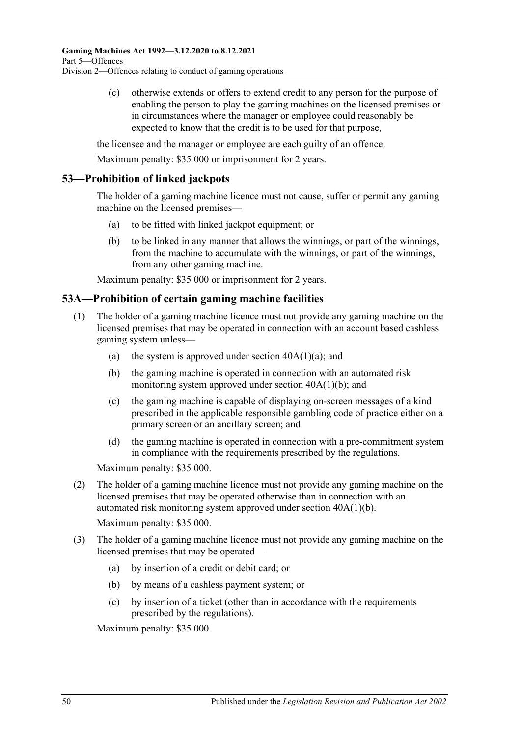(c) otherwise extends or offers to extend credit to any person for the purpose of enabling the person to play the gaming machines on the licensed premises or in circumstances where the manager or employee could reasonably be expected to know that the credit is to be used for that purpose,

the licensee and the manager or employee are each guilty of an offence.

Maximum penalty: \$35 000 or imprisonment for 2 years.

## **53—Prohibition of linked jackpots**

The holder of a gaming machine licence must not cause, suffer or permit any gaming machine on the licensed premises—

- (a) to be fitted with linked jackpot equipment; or
- (b) to be linked in any manner that allows the winnings, or part of the winnings, from the machine to accumulate with the winnings, or part of the winnings, from any other gaming machine.

Maximum penalty: \$35 000 or imprisonment for 2 years.

### **53A—Prohibition of certain gaming machine facilities**

- (1) The holder of a gaming machine licence must not provide any gaming machine on the licensed premises that may be operated in connection with an account based cashless gaming system unless—
	- (a) the system is approved under section  $40A(1)(a)$ ; and
	- (b) the gaming machine is operated in connection with an automated risk monitoring system approved under section [40A\(1\)\(b\);](#page-34-3) and
	- (c) the gaming machine is capable of displaying on-screen messages of a kind prescribed in the applicable responsible gambling code of practice either on a primary screen or an ancillary screen; and
	- (d) the gaming machine is operated in connection with a pre-commitment system in compliance with the requirements prescribed by the regulations.

Maximum penalty: \$35 000.

(2) The holder of a gaming machine licence must not provide any gaming machine on the licensed premises that may be operated otherwise than in connection with an automated risk monitoring system approved under section [40A\(1\)\(b\).](#page-34-3)

Maximum penalty: \$35 000.

- (3) The holder of a gaming machine licence must not provide any gaming machine on the licensed premises that may be operated—
	- (a) by insertion of a credit or debit card; or
	- (b) by means of a cashless payment system; or
	- (c) by insertion of a ticket (other than in accordance with the requirements prescribed by the regulations).

Maximum penalty: \$35 000.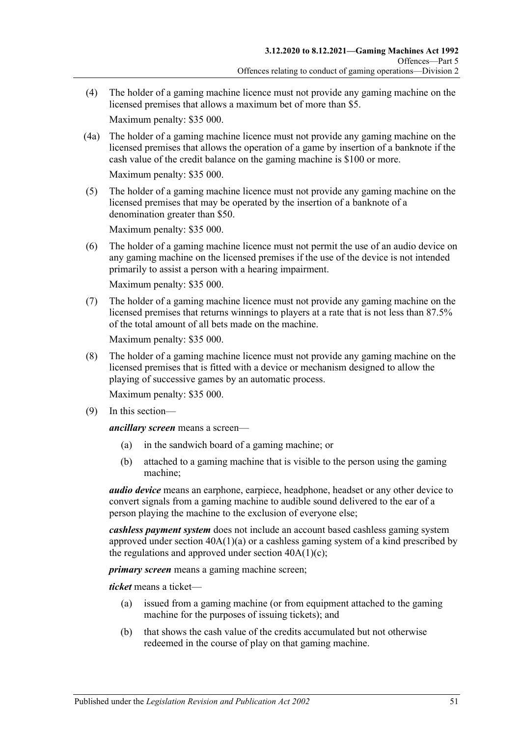(4) The holder of a gaming machine licence must not provide any gaming machine on the licensed premises that allows a maximum bet of more than \$5.

Maximum penalty: \$35 000.

(4a) The holder of a gaming machine licence must not provide any gaming machine on the licensed premises that allows the operation of a game by insertion of a banknote if the cash value of the credit balance on the gaming machine is \$100 or more.

Maximum penalty: \$35 000.

(5) The holder of a gaming machine licence must not provide any gaming machine on the licensed premises that may be operated by the insertion of a banknote of a denomination greater than \$50.

Maximum penalty: \$35 000.

(6) The holder of a gaming machine licence must not permit the use of an audio device on any gaming machine on the licensed premises if the use of the device is not intended primarily to assist a person with a hearing impairment.

Maximum penalty: \$35 000.

(7) The holder of a gaming machine licence must not provide any gaming machine on the licensed premises that returns winnings to players at a rate that is not less than 87.5% of the total amount of all bets made on the machine.

Maximum penalty: \$35 000.

(8) The holder of a gaming machine licence must not provide any gaming machine on the licensed premises that is fitted with a device or mechanism designed to allow the playing of successive games by an automatic process.

Maximum penalty: \$35 000.

(9) In this section—

*ancillary screen* means a screen—

- (a) in the sandwich board of a gaming machine; or
- (b) attached to a gaming machine that is visible to the person using the gaming machine;

*audio device* means an earphone, earpiece, headphone, headset or any other device to convert signals from a gaming machine to audible sound delivered to the ear of a person playing the machine to the exclusion of everyone else;

*cashless payment system* does not include an account based cashless gaming system approved under section  $40A(1)(a)$  or a cashless gaming system of a kind prescribed by the regulations and approved under section  $40A(1)(c)$ ;

*primary screen* means a gaming machine screen;

*ticket* means a ticket—

- (a) issued from a gaming machine (or from equipment attached to the gaming machine for the purposes of issuing tickets); and
- (b) that shows the cash value of the credits accumulated but not otherwise redeemed in the course of play on that gaming machine.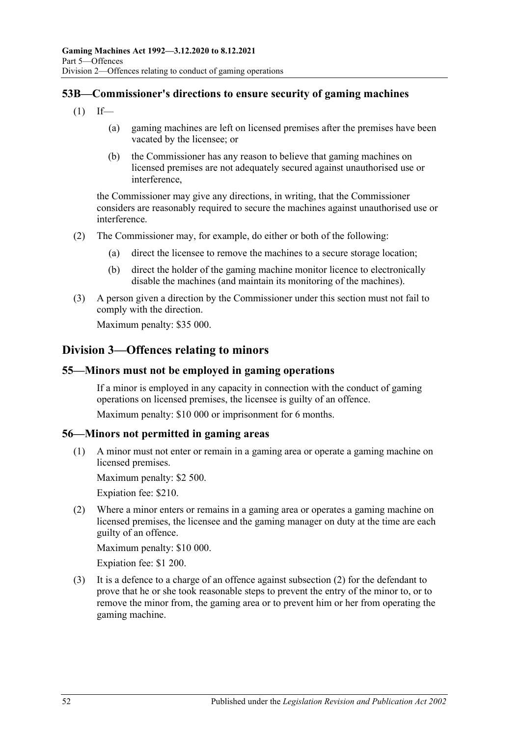# **53B—Commissioner's directions to ensure security of gaming machines**

- $(1)$  If—
	- (a) gaming machines are left on licensed premises after the premises have been vacated by the licensee; or
	- (b) the Commissioner has any reason to believe that gaming machines on licensed premises are not adequately secured against unauthorised use or interference,

the Commissioner may give any directions, in writing, that the Commissioner considers are reasonably required to secure the machines against unauthorised use or interference.

- (2) The Commissioner may, for example, do either or both of the following:
	- (a) direct the licensee to remove the machines to a secure storage location;
	- (b) direct the holder of the gaming machine monitor licence to electronically disable the machines (and maintain its monitoring of the machines).
- (3) A person given a direction by the Commissioner under this section must not fail to comply with the direction.

Maximum penalty: \$35 000.

# **Division 3—Offences relating to minors**

### **55—Minors must not be employed in gaming operations**

If a minor is employed in any capacity in connection with the conduct of gaming operations on licensed premises, the licensee is guilty of an offence.

Maximum penalty: \$10 000 or imprisonment for 6 months.

### **56—Minors not permitted in gaming areas**

(1) A minor must not enter or remain in a gaming area or operate a gaming machine on licensed premises.

Maximum penalty: \$2 500.

Expiation fee: \$210.

<span id="page-51-0"></span>(2) Where a minor enters or remains in a gaming area or operates a gaming machine on licensed premises, the licensee and the gaming manager on duty at the time are each guilty of an offence.

Maximum penalty: \$10 000.

Expiation fee: \$1 200.

(3) It is a defence to a charge of an offence against [subsection](#page-51-0) (2) for the defendant to prove that he or she took reasonable steps to prevent the entry of the minor to, or to remove the minor from, the gaming area or to prevent him or her from operating the gaming machine.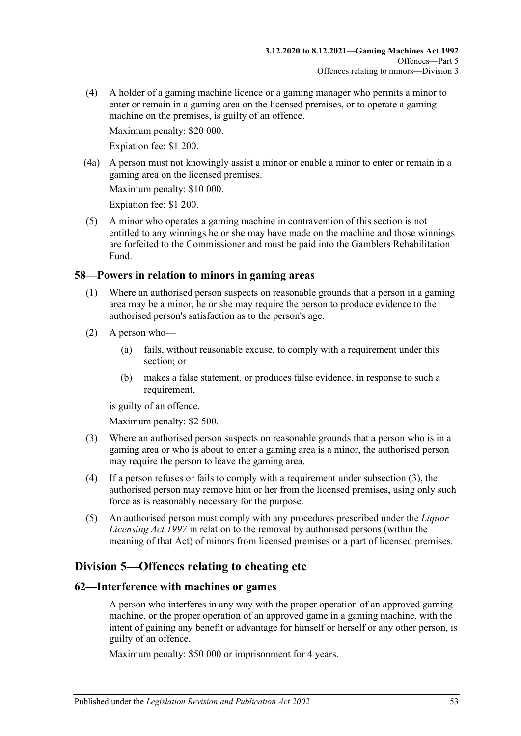(4) A holder of a gaming machine licence or a gaming manager who permits a minor to enter or remain in a gaming area on the licensed premises, or to operate a gaming machine on the premises, is guilty of an offence.

Maximum penalty: \$20 000.

Expiation fee: \$1 200.

(4a) A person must not knowingly assist a minor or enable a minor to enter or remain in a gaming area on the licensed premises.

Maximum penalty: \$10 000.

Expiation fee: \$1 200.

(5) A minor who operates a gaming machine in contravention of this section is not entitled to any winnings he or she may have made on the machine and those winnings are forfeited to the Commissioner and must be paid into the Gamblers Rehabilitation Fund.

### **58—Powers in relation to minors in gaming areas**

- (1) Where an authorised person suspects on reasonable grounds that a person in a gaming area may be a minor, he or she may require the person to produce evidence to the authorised person's satisfaction as to the person's age.
- (2) A person who—
	- (a) fails, without reasonable excuse, to comply with a requirement under this section; or
	- (b) makes a false statement, or produces false evidence, in response to such a requirement,

is guilty of an offence.

Maximum penalty: \$2 500.

- <span id="page-52-0"></span>(3) Where an authorised person suspects on reasonable grounds that a person who is in a gaming area or who is about to enter a gaming area is a minor, the authorised person may require the person to leave the gaming area.
- (4) If a person refuses or fails to comply with a requirement under [subsection](#page-52-0) (3), the authorised person may remove him or her from the licensed premises, using only such force as is reasonably necessary for the purpose.
- (5) An authorised person must comply with any procedures prescribed under the *[Liquor](http://www.legislation.sa.gov.au/index.aspx?action=legref&type=act&legtitle=Liquor%20Licensing%20Act%201997)  [Licensing Act](http://www.legislation.sa.gov.au/index.aspx?action=legref&type=act&legtitle=Liquor%20Licensing%20Act%201997) 1997* in relation to the removal by authorised persons (within the meaning of that Act) of minors from licensed premises or a part of licensed premises.

# **Division 5—Offences relating to cheating etc**

### **62—Interference with machines or games**

A person who interferes in any way with the proper operation of an approved gaming machine, or the proper operation of an approved game in a gaming machine, with the intent of gaining any benefit or advantage for himself or herself or any other person, is guilty of an offence.

Maximum penalty: \$50 000 or imprisonment for 4 years.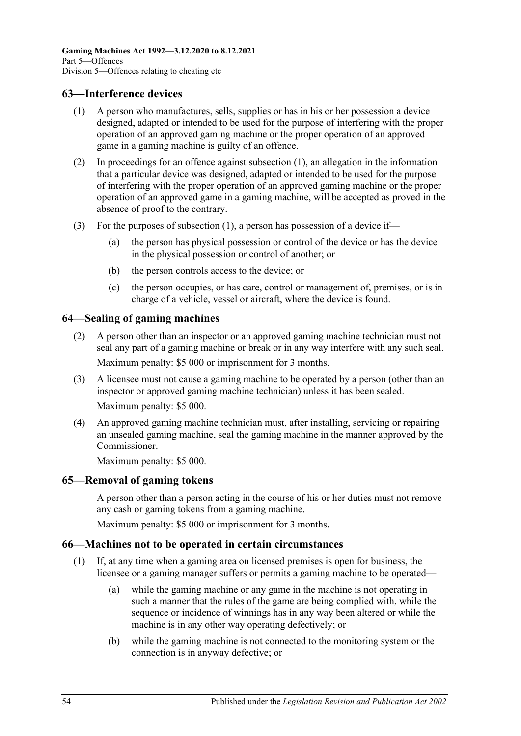### <span id="page-53-0"></span>**63—Interference devices**

- (1) A person who manufactures, sells, supplies or has in his or her possession a device designed, adapted or intended to be used for the purpose of interfering with the proper operation of an approved gaming machine or the proper operation of an approved game in a gaming machine is guilty of an offence.
- (2) In proceedings for an offence against [subsection](#page-53-0) (1), an allegation in the information that a particular device was designed, adapted or intended to be used for the purpose of interfering with the proper operation of an approved gaming machine or the proper operation of an approved game in a gaming machine, will be accepted as proved in the absence of proof to the contrary.
- (3) For the purposes of [subsection](#page-53-0) (1), a person has possession of a device if—
	- (a) the person has physical possession or control of the device or has the device in the physical possession or control of another; or
	- (b) the person controls access to the device; or
	- (c) the person occupies, or has care, control or management of, premises, or is in charge of a vehicle, vessel or aircraft, where the device is found.

## <span id="page-53-1"></span>**64—Sealing of gaming machines**

- (2) A person other than an inspector or an approved gaming machine technician must not seal any part of a gaming machine or break or in any way interfere with any such seal. Maximum penalty: \$5 000 or imprisonment for 3 months.
- (3) A licensee must not cause a gaming machine to be operated by a person (other than an inspector or approved gaming machine technician) unless it has been sealed. Maximum penalty: \$5 000.
- (4) An approved gaming machine technician must, after installing, servicing or repairing an unsealed gaming machine, seal the gaming machine in the manner approved by the Commissioner.

Maximum penalty: \$5 000.

### <span id="page-53-2"></span>**65—Removal of gaming tokens**

A person other than a person acting in the course of his or her duties must not remove any cash or gaming tokens from a gaming machine.

Maximum penalty: \$5 000 or imprisonment for 3 months.

### **66—Machines not to be operated in certain circumstances**

- (1) If, at any time when a gaming area on licensed premises is open for business, the licensee or a gaming manager suffers or permits a gaming machine to be operated—
	- (a) while the gaming machine or any game in the machine is not operating in such a manner that the rules of the game are being complied with, while the sequence or incidence of winnings has in any way been altered or while the machine is in any other way operating defectively; or
	- (b) while the gaming machine is not connected to the monitoring system or the connection is in anyway defective; or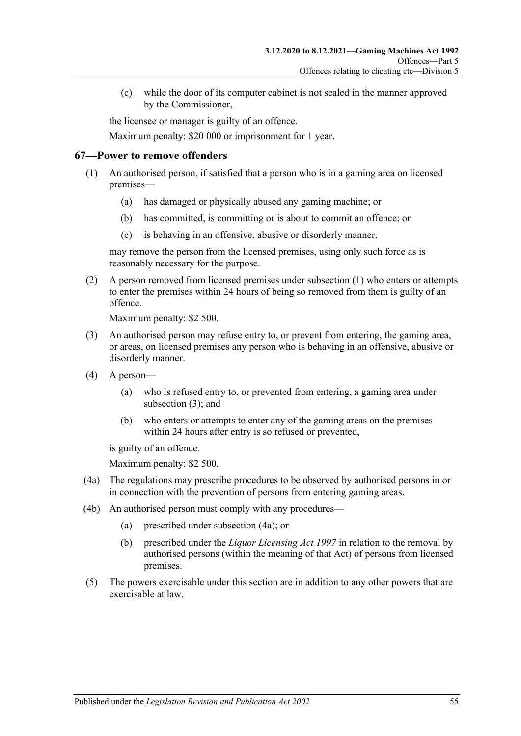(c) while the door of its computer cabinet is not sealed in the manner approved by the Commissioner,

the licensee or manager is guilty of an offence.

Maximum penalty: \$20 000 or imprisonment for 1 year.

### <span id="page-54-0"></span>**67—Power to remove offenders**

- (1) An authorised person, if satisfied that a person who is in a gaming area on licensed premises—
	- (a) has damaged or physically abused any gaming machine; or
	- (b) has committed, is committing or is about to commit an offence; or
	- (c) is behaving in an offensive, abusive or disorderly manner,

may remove the person from the licensed premises, using only such force as is reasonably necessary for the purpose.

(2) A person removed from licensed premises under [subsection](#page-54-0) (1) who enters or attempts to enter the premises within 24 hours of being so removed from them is guilty of an offence.

Maximum penalty: \$2 500.

- <span id="page-54-1"></span>(3) An authorised person may refuse entry to, or prevent from entering, the gaming area, or areas, on licensed premises any person who is behaving in an offensive, abusive or disorderly manner.
- (4) A person—
	- (a) who is refused entry to, or prevented from entering, a gaming area under [subsection](#page-54-1) (3); and
	- (b) who enters or attempts to enter any of the gaming areas on the premises within 24 hours after entry is so refused or prevented,

is guilty of an offence.

Maximum penalty: \$2 500.

- <span id="page-54-2"></span>(4a) The regulations may prescribe procedures to be observed by authorised persons in or in connection with the prevention of persons from entering gaming areas.
- (4b) An authorised person must comply with any procedures—
	- (a) prescribed under [subsection](#page-54-2) (4a); or
	- (b) prescribed under the *[Liquor Licensing Act](http://www.legislation.sa.gov.au/index.aspx?action=legref&type=act&legtitle=Liquor%20Licensing%20Act%201997) 1997* in relation to the removal by authorised persons (within the meaning of that Act) of persons from licensed premises.
- (5) The powers exercisable under this section are in addition to any other powers that are exercisable at law.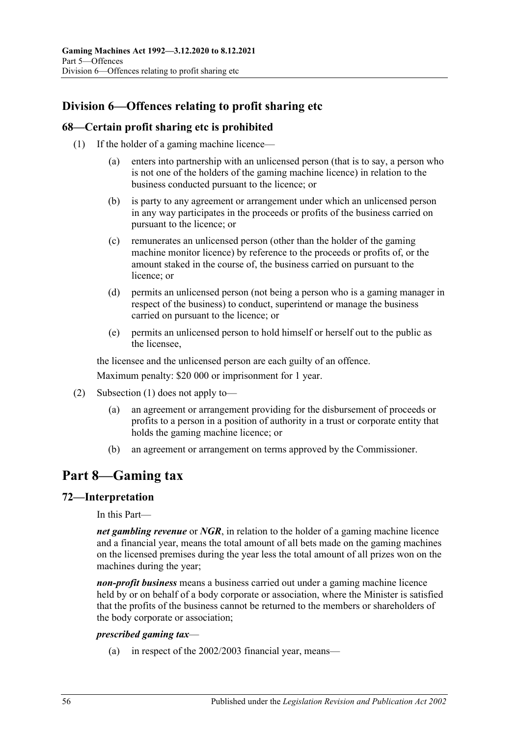# **Division 6—Offences relating to profit sharing etc**

### <span id="page-55-0"></span>**68—Certain profit sharing etc is prohibited**

- (1) If the holder of a gaming machine licence—
	- (a) enters into partnership with an unlicensed person (that is to say, a person who is not one of the holders of the gaming machine licence) in relation to the business conducted pursuant to the licence; or
	- (b) is party to any agreement or arrangement under which an unlicensed person in any way participates in the proceeds or profits of the business carried on pursuant to the licence; or
	- (c) remunerates an unlicensed person (other than the holder of the gaming machine monitor licence) by reference to the proceeds or profits of, or the amount staked in the course of, the business carried on pursuant to the licence; or
	- (d) permits an unlicensed person (not being a person who is a gaming manager in respect of the business) to conduct, superintend or manage the business carried on pursuant to the licence; or
	- (e) permits an unlicensed person to hold himself or herself out to the public as the licensee,

the licensee and the unlicensed person are each guilty of an offence.

Maximum penalty: \$20 000 or imprisonment for 1 year.

- (2) [Subsection](#page-55-0) (1) does not apply to—
	- (a) an agreement or arrangement providing for the disbursement of proceeds or profits to a person in a position of authority in a trust or corporate entity that holds the gaming machine licence; or
	- (b) an agreement or arrangement on terms approved by the Commissioner.

# **Part 8—Gaming tax**

### **72—Interpretation**

In this Part—

*net gambling revenue* or *NGR*, in relation to the holder of a gaming machine licence and a financial year, means the total amount of all bets made on the gaming machines on the licensed premises during the year less the total amount of all prizes won on the machines during the year;

*non-profit business* means a business carried out under a gaming machine licence held by or on behalf of a body corporate or association, where the Minister is satisfied that the profits of the business cannot be returned to the members or shareholders of the body corporate or association;

#### *prescribed gaming tax*—

(a) in respect of the 2002/2003 financial year, means—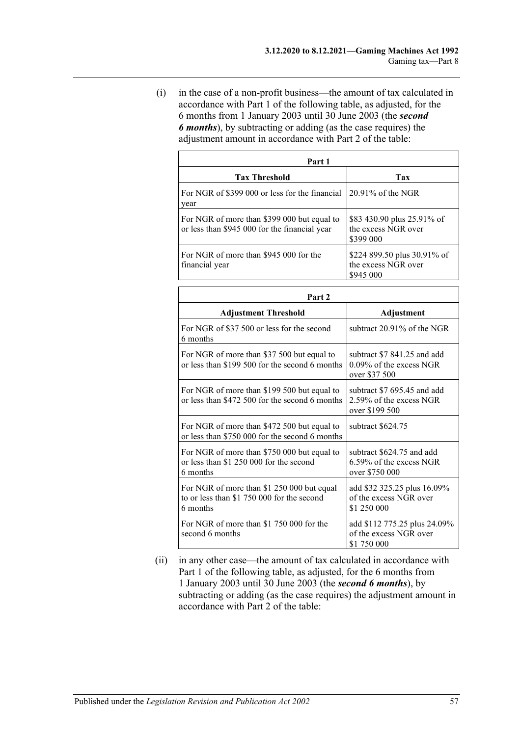(i) in the case of a non-profit business—the amount of tax calculated in accordance with Part 1 of the following table, as adjusted, for the 6 months from 1 January 2003 until 30 June 2003 (the *second 6 months*), by subtracting or adding (as the case requires) the adjustment amount in accordance with Part 2 of the table:

| Part 1                                                                                       |                                                                 |  |  |
|----------------------------------------------------------------------------------------------|-----------------------------------------------------------------|--|--|
| <b>Tax Threshold</b>                                                                         | Tax                                                             |  |  |
| For NGR of \$399 000 or less for the financial<br>year                                       | $20.91\%$ of the NGR                                            |  |  |
| For NGR of more than \$399 000 but equal to<br>or less than \$945 000 for the financial year | \$83 430.90 plus 25.91% of<br>the excess NGR over<br>\$399 000  |  |  |
| For NGR of more than \$945,000 for the<br>financial year                                     | \$224 899.50 plus 30.91% of<br>the excess NGR over<br>\$945 000 |  |  |

| Part 2                                                                                               |                                                                            |  |
|------------------------------------------------------------------------------------------------------|----------------------------------------------------------------------------|--|
| <b>Adjustment Threshold</b>                                                                          | Adjustment                                                                 |  |
| For NGR of \$37,500 or less for the second<br>6 months                                               | subtract $20.91\%$ of the NGR                                              |  |
| For NGR of more than \$37 500 but equal to<br>or less than \$199 500 for the second 6 months         | subtract \$7 841.25 and add<br>$0.09\%$ of the excess NGR<br>over \$37 500 |  |
| For NGR of more than \$199 500 but equal to<br>or less than \$472 500 for the second 6 months        | subtract \$7 695.45 and add<br>2.59% of the excess NGR<br>over \$199 500   |  |
| For NGR of more than \$472 500 but equal to<br>or less than \$750 000 for the second 6 months        | subtract \$624.75                                                          |  |
| For NGR of more than \$750 000 but equal to<br>or less than \$1 250 000 for the second<br>6 months   | subtract \$624.75 and add<br>$6.59\%$ of the excess NGR<br>over \$750 000  |  |
| For NGR of more than \$1 250 000 but equal<br>to or less than \$1 750 000 for the second<br>6 months | add \$32 325.25 plus 16.09%<br>of the excess NGR over<br>\$1 250 000       |  |
| For NGR of more than \$1 750 000 for the<br>second 6 months                                          | add \$112 775.25 plus 24.09%<br>of the excess NGR over<br>\$1 750 000      |  |

(ii) in any other case—the amount of tax calculated in accordance with Part 1 of the following table, as adjusted, for the 6 months from 1 January 2003 until 30 June 2003 (the *second 6 months*), by subtracting or adding (as the case requires) the adjustment amount in accordance with Part 2 of the table: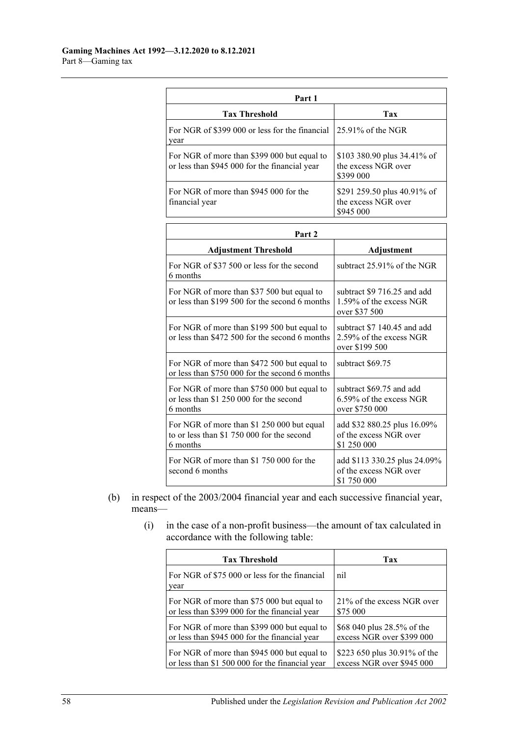| Part 1                                                                                       |                                                                 |  |  |
|----------------------------------------------------------------------------------------------|-----------------------------------------------------------------|--|--|
| <b>Tax Threshold</b>                                                                         | Tax                                                             |  |  |
| For NGR of \$399 000 or less for the financial<br>year                                       | $125.91\%$ of the NGR                                           |  |  |
| For NGR of more than \$399 000 but equal to<br>or less than \$945 000 for the financial year | \$103 380.90 plus 34.41% of<br>the excess NGR over<br>\$399 000 |  |  |
| For NGR of more than \$945,000 for the<br>financial year                                     | \$291 259.50 plus 40.91% of<br>the excess NGR over<br>\$945 000 |  |  |

| Part 2                                                                                               |                                                                          |  |
|------------------------------------------------------------------------------------------------------|--------------------------------------------------------------------------|--|
| <b>Adjustment Threshold</b>                                                                          | Adjustment                                                               |  |
| For NGR of \$37 500 or less for the second<br>6 months                                               | subtract $25.91\%$ of the NGR                                            |  |
| For NGR of more than \$37 500 but equal to<br>or less than \$199 500 for the second 6 months         | subtract \$9 716.25 and add<br>1.59% of the excess NGR<br>over \$37 500  |  |
| For NGR of more than \$199 500 but equal to<br>or less than \$472 500 for the second 6 months        | subtract \$7 140.45 and add<br>2.59% of the excess NGR<br>over \$199 500 |  |
| For NGR of more than \$472 500 but equal to<br>or less than \$750 000 for the second 6 months        | subtract \$69.75                                                         |  |
| For NGR of more than \$750 000 but equal to<br>or less than \$1 250 000 for the second<br>6 months   | subtract \$69.75 and add<br>$6.59\%$ of the excess NGR<br>over \$750 000 |  |
| For NGR of more than \$1 250 000 but equal<br>to or less than \$1 750 000 for the second<br>6 months | add \$32 880.25 plus 16.09%<br>of the excess NGR over<br>\$1 250 000     |  |
| For NGR of more than \$1 750 000 for the<br>second 6 months                                          | add \$113 330.25 plus 24.09%<br>of the excess NGR over<br>\$1 750 000    |  |

- (b) in respect of the 2003/2004 financial year and each successive financial year, means—
	- (i) in the case of a non-profit business—the amount of tax calculated in accordance with the following table:

| <b>Tax Threshold</b>                                  | Tax                          |
|-------------------------------------------------------|------------------------------|
| For NGR of \$75 000 or less for the financial<br>year | nil                          |
| For NGR of more than \$75 000 but equal to            | 21\% of the excess NGR over  |
| or less than \$399 000 for the financial year         | \$75 000                     |
| For NGR of more than \$399 000 but equal to           | \$68 040 plus 28.5% of the   |
| or less than \$945 000 for the financial year         | excess NGR over \$399 000    |
| For NGR of more than \$945 000 but equal to           | \$223 650 plus 30.91% of the |
| or less than \$1 500 000 for the financial year       | excess NGR over \$945 000    |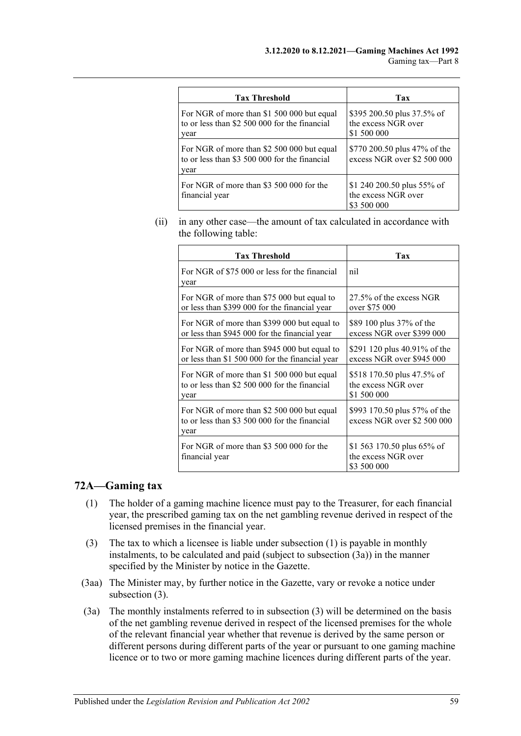| <b>Tax Threshold</b>                                                                                | Tax                                                              |
|-----------------------------------------------------------------------------------------------------|------------------------------------------------------------------|
| For NGR of more than \$1 500 000 but equal<br>to or less than \$2 500 000 for the financial<br>year | \$395 200.50 plus 37.5% of<br>the excess NGR over<br>\$1 500 000 |
| For NGR of more than \$2 500 000 but equal<br>to or less than \$3 500 000 for the financial<br>year | \$770 200.50 plus 47% of the<br>excess NGR over \$2 500 000      |
| For NGR of more than \$3 500 000 for the<br>financial year                                          | \$1 240 200.50 plus 55% of<br>the excess NGR over<br>\$3 500 000 |

(ii) in any other case—the amount of tax calculated in accordance with the following table:

| <b>Tax Threshold</b>                                                                                | Tax                                                              |
|-----------------------------------------------------------------------------------------------------|------------------------------------------------------------------|
| For NGR of \$75 000 or less for the financial<br>year                                               | nil                                                              |
| For NGR of more than \$75 000 but equal to                                                          | 27.5% of the excess NGR                                          |
| or less than \$399 000 for the financial year                                                       | over \$75 000                                                    |
| For NGR of more than \$399 000 but equal to                                                         | \$89 100 plus 37% of the                                         |
| or less than \$945 000 for the financial year                                                       | excess NGR over \$399 000                                        |
| For NGR of more than \$945 000 but equal to                                                         | \$291 120 plus 40.91% of the                                     |
| or less than \$1 500 000 for the financial year                                                     | excess NGR over \$945 000                                        |
| For NGR of more than \$1 500 000 but equal                                                          | \$518 170.50 plus 47.5% of                                       |
| to or less than \$2 500 000 for the financial                                                       | the excess NGR over                                              |
| year                                                                                                | \$1 500 000                                                      |
| For NGR of more than \$2 500 000 but equal<br>to or less than \$3 500 000 for the financial<br>year | \$993 170.50 plus 57% of the<br>excess NGR over \$2 500 000      |
| For NGR of more than \$3 500 000 for the<br>financial year                                          | \$1 563 170.50 plus 65% of<br>the excess NGR over<br>\$3 500 000 |

### <span id="page-58-0"></span>**72A—Gaming tax**

- (1) The holder of a gaming machine licence must pay to the Treasurer, for each financial year, the prescribed gaming tax on the net gambling revenue derived in respect of the licensed premises in the financial year.
- <span id="page-58-2"></span>(3) The tax to which a licensee is liable under [subsection](#page-58-0) (1) is payable in monthly instalments, to be calculated and paid (subject to [subsection](#page-58-1) (3a)) in the manner specified by the Minister by notice in the Gazette.
- (3aa) The Minister may, by further notice in the Gazette, vary or revoke a notice under [subsection](#page-58-2) (3).
- <span id="page-58-1"></span>(3a) The monthly instalments referred to in [subsection](#page-58-2) (3) will be determined on the basis of the net gambling revenue derived in respect of the licensed premises for the whole of the relevant financial year whether that revenue is derived by the same person or different persons during different parts of the year or pursuant to one gaming machine licence or to two or more gaming machine licences during different parts of the year.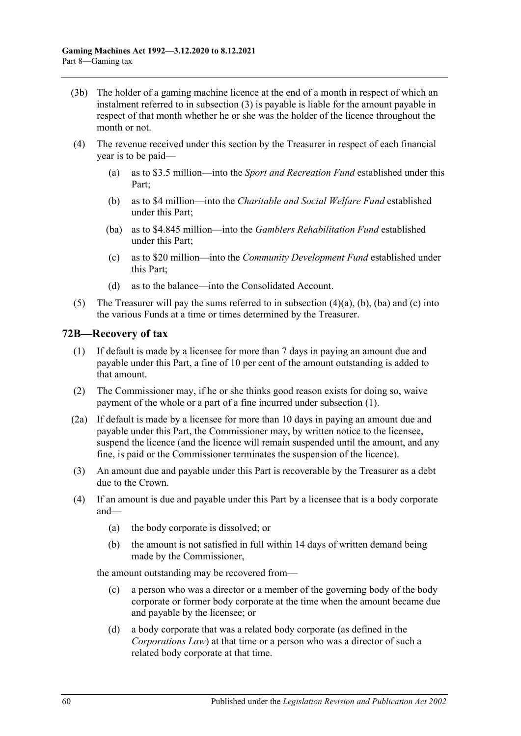- (3b) The holder of a gaming machine licence at the end of a month in respect of which an instalment referred to in [subsection](#page-58-2) (3) is payable is liable for the amount payable in respect of that month whether he or she was the holder of the licence throughout the month or not.
- <span id="page-59-2"></span><span id="page-59-1"></span><span id="page-59-0"></span>(4) The revenue received under this section by the Treasurer in respect of each financial year is to be paid—
	- (a) as to \$3.5 million—into the *Sport and Recreation Fund* established under this Part;
	- (b) as to \$4 million—into the *Charitable and Social Welfare Fund* established under this Part;
	- (ba) as to \$4.845 million—into the *Gamblers Rehabilitation Fund* established under this Part;
	- (c) as to \$20 million—into the *Community Development Fund* established under this Part;
	- (d) as to the balance—into the Consolidated Account.
- <span id="page-59-3"></span>(5) The Treasurer will pay the sums referred to in [subsection](#page-59-0)  $(4)(a)$ ,  $(b)$ ,  $(ba)$  and  $(c)$  into the various Funds at a time or times determined by the Treasurer.

#### <span id="page-59-4"></span>**72B—Recovery of tax**

- (1) If default is made by a licensee for more than 7 days in paying an amount due and payable under this Part, a fine of 10 per cent of the amount outstanding is added to that amount.
- (2) The Commissioner may, if he or she thinks good reason exists for doing so, waive payment of the whole or a part of a fine incurred under [subsection](#page-59-4) (1).
- (2a) If default is made by a licensee for more than 10 days in paying an amount due and payable under this Part, the Commissioner may, by written notice to the licensee, suspend the licence (and the licence will remain suspended until the amount, and any fine, is paid or the Commissioner terminates the suspension of the licence).
- (3) An amount due and payable under this Part is recoverable by the Treasurer as a debt due to the Crown.
- (4) If an amount is due and payable under this Part by a licensee that is a body corporate and—
	- (a) the body corporate is dissolved; or
	- (b) the amount is not satisfied in full within 14 days of written demand being made by the Commissioner,

the amount outstanding may be recovered from—

- (c) a person who was a director or a member of the governing body of the body corporate or former body corporate at the time when the amount became due and payable by the licensee; or
- (d) a body corporate that was a related body corporate (as defined in the *Corporations Law*) at that time or a person who was a director of such a related body corporate at that time.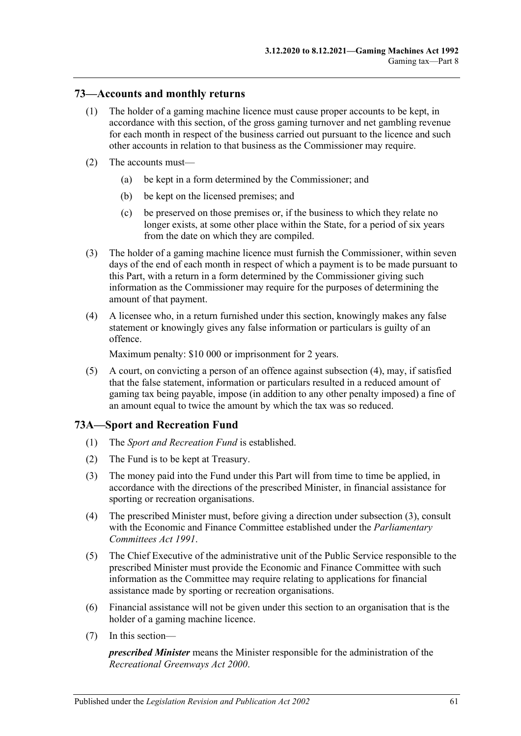### **73—Accounts and monthly returns**

- (1) The holder of a gaming machine licence must cause proper accounts to be kept, in accordance with this section, of the gross gaming turnover and net gambling revenue for each month in respect of the business carried out pursuant to the licence and such other accounts in relation to that business as the Commissioner may require.
- (2) The accounts must—
	- (a) be kept in a form determined by the Commissioner; and
	- (b) be kept on the licensed premises; and
	- (c) be preserved on those premises or, if the business to which they relate no longer exists, at some other place within the State, for a period of six years from the date on which they are compiled.
- (3) The holder of a gaming machine licence must furnish the Commissioner, within seven days of the end of each month in respect of which a payment is to be made pursuant to this Part, with a return in a form determined by the Commissioner giving such information as the Commissioner may require for the purposes of determining the amount of that payment.
- <span id="page-60-0"></span>(4) A licensee who, in a return furnished under this section, knowingly makes any false statement or knowingly gives any false information or particulars is guilty of an offence.

Maximum penalty: \$10 000 or imprisonment for 2 years.

(5) A court, on convicting a person of an offence against [subsection](#page-60-0) (4), may, if satisfied that the false statement, information or particulars resulted in a reduced amount of gaming tax being payable, impose (in addition to any other penalty imposed) a fine of an amount equal to twice the amount by which the tax was so reduced.

### **73A—Sport and Recreation Fund**

- (1) The *Sport and Recreation Fund* is established.
- (2) The Fund is to be kept at Treasury.
- <span id="page-60-1"></span>(3) The money paid into the Fund under this Part will from time to time be applied, in accordance with the directions of the prescribed Minister, in financial assistance for sporting or recreation organisations.
- (4) The prescribed Minister must, before giving a direction under [subsection](#page-60-1) (3), consult with the Economic and Finance Committee established under the *[Parliamentary](http://www.legislation.sa.gov.au/index.aspx?action=legref&type=act&legtitle=Parliamentary%20Committees%20Act%201991)  [Committees Act](http://www.legislation.sa.gov.au/index.aspx?action=legref&type=act&legtitle=Parliamentary%20Committees%20Act%201991) 1991*.
- (5) The Chief Executive of the administrative unit of the Public Service responsible to the prescribed Minister must provide the Economic and Finance Committee with such information as the Committee may require relating to applications for financial assistance made by sporting or recreation organisations.
- (6) Financial assistance will not be given under this section to an organisation that is the holder of a gaming machine licence.
- (7) In this section—

*prescribed Minister* means the Minister responsible for the administration of the *[Recreational Greenways Act](http://www.legislation.sa.gov.au/index.aspx?action=legref&type=act&legtitle=Recreational%20Greenways%20Act%202000) 2000*.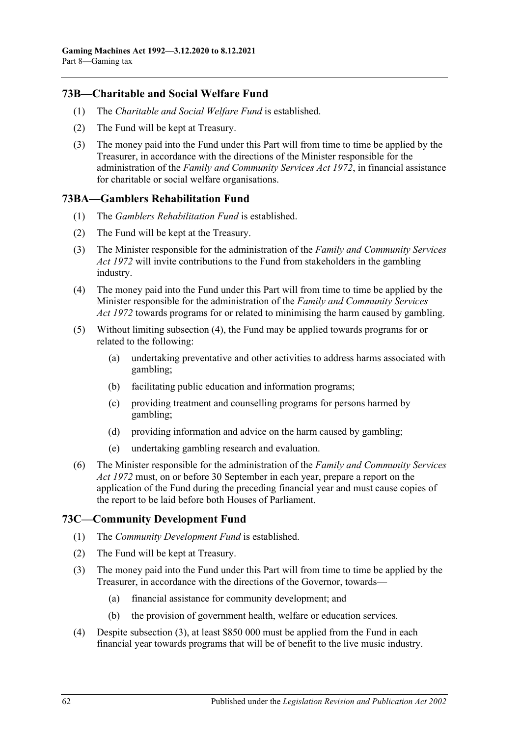## **73B—Charitable and Social Welfare Fund**

- (1) The *Charitable and Social Welfare Fund* is established.
- (2) The Fund will be kept at Treasury.
- (3) The money paid into the Fund under this Part will from time to time be applied by the Treasurer, in accordance with the directions of the Minister responsible for the administration of the *[Family and Community Services Act](http://www.legislation.sa.gov.au/index.aspx?action=legref&type=act&legtitle=Family%20and%20Community%20Services%20Act%201972) 1972*, in financial assistance for charitable or social welfare organisations.

## **73BA—Gamblers Rehabilitation Fund**

- (1) The *Gamblers Rehabilitation Fund* is established.
- (2) The Fund will be kept at the Treasury.
- (3) The Minister responsible for the administration of the *[Family and Community Services](http://www.legislation.sa.gov.au/index.aspx?action=legref&type=act&legtitle=Family%20and%20Community%20Services%20Act%201972)  Act [1972](http://www.legislation.sa.gov.au/index.aspx?action=legref&type=act&legtitle=Family%20and%20Community%20Services%20Act%201972)* will invite contributions to the Fund from stakeholders in the gambling industry.
- <span id="page-61-0"></span>(4) The money paid into the Fund under this Part will from time to time be applied by the Minister responsible for the administration of the *[Family and Community Services](http://www.legislation.sa.gov.au/index.aspx?action=legref&type=act&legtitle=Family%20and%20Community%20Services%20Act%201972)  Act [1972](http://www.legislation.sa.gov.au/index.aspx?action=legref&type=act&legtitle=Family%20and%20Community%20Services%20Act%201972)* towards programs for or related to minimising the harm caused by gambling.
- (5) Without limiting [subsection](#page-61-0) (4), the Fund may be applied towards programs for or related to the following:
	- (a) undertaking preventative and other activities to address harms associated with gambling;
	- (b) facilitating public education and information programs;
	- (c) providing treatment and counselling programs for persons harmed by gambling;
	- (d) providing information and advice on the harm caused by gambling;
	- (e) undertaking gambling research and evaluation.
- (6) The Minister responsible for the administration of the *[Family and Community Services](http://www.legislation.sa.gov.au/index.aspx?action=legref&type=act&legtitle=Family%20and%20Community%20Services%20Act%201972)  Act [1972](http://www.legislation.sa.gov.au/index.aspx?action=legref&type=act&legtitle=Family%20and%20Community%20Services%20Act%201972)* must, on or before 30 September in each year, prepare a report on the application of the Fund during the preceding financial year and must cause copies of the report to be laid before both Houses of Parliament.

## **73C—Community Development Fund**

- (1) The *Community Development Fund* is established.
- (2) The Fund will be kept at Treasury.
- <span id="page-61-1"></span>(3) The money paid into the Fund under this Part will from time to time be applied by the Treasurer, in accordance with the directions of the Governor, towards—
	- (a) financial assistance for community development; and
	- (b) the provision of government health, welfare or education services.
- (4) Despite [subsection](#page-61-1) (3), at least \$850 000 must be applied from the Fund in each financial year towards programs that will be of benefit to the live music industry.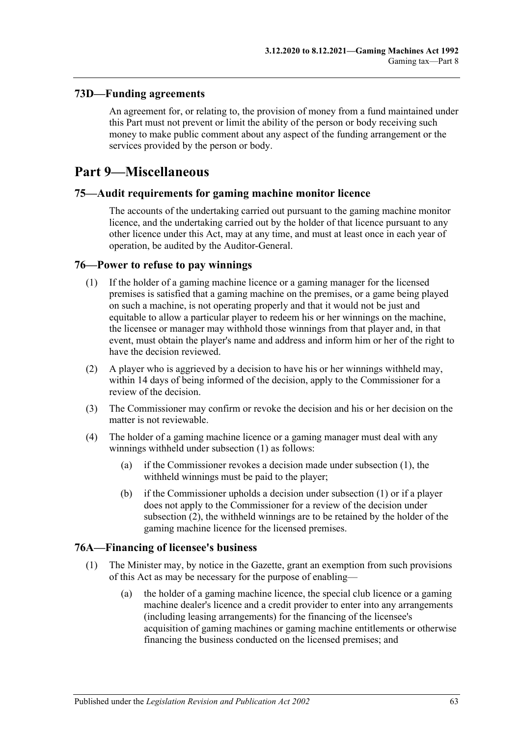## **73D—Funding agreements**

An agreement for, or relating to, the provision of money from a fund maintained under this Part must not prevent or limit the ability of the person or body receiving such money to make public comment about any aspect of the funding arrangement or the services provided by the person or body.

# **Part 9—Miscellaneous**

## **75—Audit requirements for gaming machine monitor licence**

The accounts of the undertaking carried out pursuant to the gaming machine monitor licence, and the undertaking carried out by the holder of that licence pursuant to any other licence under this Act, may at any time, and must at least once in each year of operation, be audited by the Auditor-General.

### <span id="page-62-0"></span>**76—Power to refuse to pay winnings**

- (1) If the holder of a gaming machine licence or a gaming manager for the licensed premises is satisfied that a gaming machine on the premises, or a game being played on such a machine, is not operating properly and that it would not be just and equitable to allow a particular player to redeem his or her winnings on the machine, the licensee or manager may withhold those winnings from that player and, in that event, must obtain the player's name and address and inform him or her of the right to have the decision reviewed.
- (2) A player who is aggrieved by a decision to have his or her winnings withheld may, within 14 days of being informed of the decision, apply to the Commissioner for a review of the decision.
- (3) The Commissioner may confirm or revoke the decision and his or her decision on the matter is not reviewable.
- (4) The holder of a gaming machine licence or a gaming manager must deal with any winnings withheld under [subsection](#page-62-0) (1) as follows:
	- (a) if the Commissioner revokes a decision made under [subsection](#page-62-0) (1), the withheld winnings must be paid to the player;
	- (b) if the Commissioner upholds a decision under [subsection](#page-62-0) (1) or if a player does not apply to the Commissioner for a review of the decision under subsection (2), the withheld winnings are to be retained by the holder of the gaming machine licence for the licensed premises.

### **76A—Financing of licensee's business**

- (1) The Minister may, by notice in the Gazette, grant an exemption from such provisions of this Act as may be necessary for the purpose of enabling—
	- (a) the holder of a gaming machine licence, the special club licence or a gaming machine dealer's licence and a credit provider to enter into any arrangements (including leasing arrangements) for the financing of the licensee's acquisition of gaming machines or gaming machine entitlements or otherwise financing the business conducted on the licensed premises; and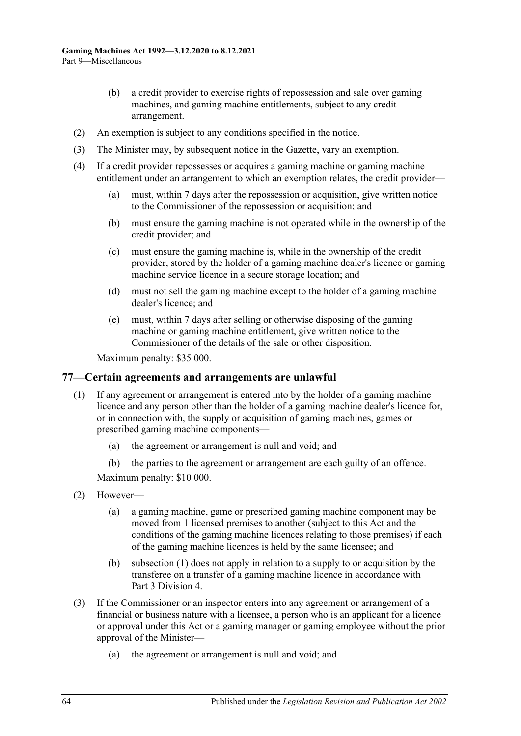- (b) a credit provider to exercise rights of repossession and sale over gaming machines, and gaming machine entitlements, subject to any credit arrangement.
- (2) An exemption is subject to any conditions specified in the notice.
- (3) The Minister may, by subsequent notice in the Gazette, vary an exemption.
- (4) If a credit provider repossesses or acquires a gaming machine or gaming machine entitlement under an arrangement to which an exemption relates, the credit provider—
	- (a) must, within 7 days after the repossession or acquisition, give written notice to the Commissioner of the repossession or acquisition; and
	- (b) must ensure the gaming machine is not operated while in the ownership of the credit provider; and
	- (c) must ensure the gaming machine is, while in the ownership of the credit provider, stored by the holder of a gaming machine dealer's licence or gaming machine service licence in a secure storage location; and
	- (d) must not sell the gaming machine except to the holder of a gaming machine dealer's licence; and
	- (e) must, within 7 days after selling or otherwise disposing of the gaming machine or gaming machine entitlement, give written notice to the Commissioner of the details of the sale or other disposition.

Maximum penalty: \$35 000.

#### **77—Certain agreements and arrangements are unlawful**

- <span id="page-63-0"></span>(1) If any agreement or arrangement is entered into by the holder of a gaming machine licence and any person other than the holder of a gaming machine dealer's licence for, or in connection with, the supply or acquisition of gaming machines, games or prescribed gaming machine components—
	- (a) the agreement or arrangement is null and void; and
	- (b) the parties to the agreement or arrangement are each guilty of an offence.

Maximum penalty: \$10 000.

- (2) However—
	- (a) a gaming machine, game or prescribed gaming machine component may be moved from 1 licensed premises to another (subject to this Act and the conditions of the gaming machine licences relating to those premises) if each of the gaming machine licences is held by the same licensee; and
	- (b) [subsection](#page-63-0) (1) does not apply in relation to a supply to or acquisition by the transferee on a transfer of a gaming machine licence in accordance with Part [3 Division 4.](#page-28-0)
- (3) If the Commissioner or an inspector enters into any agreement or arrangement of a financial or business nature with a licensee, a person who is an applicant for a licence or approval under this Act or a gaming manager or gaming employee without the prior approval of the Minister—
	- (a) the agreement or arrangement is null and void; and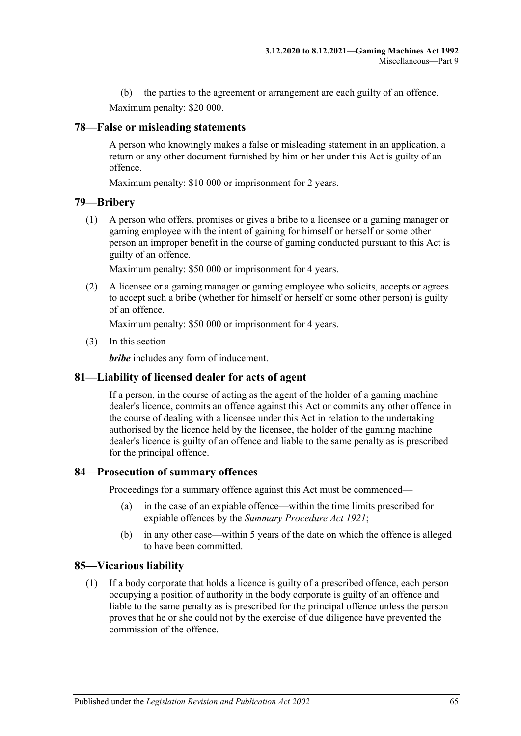(b) the parties to the agreement or arrangement are each guilty of an offence. Maximum penalty: \$20 000.

### **78—False or misleading statements**

A person who knowingly makes a false or misleading statement in an application, a return or any other document furnished by him or her under this Act is guilty of an offence.

Maximum penalty: \$10 000 or imprisonment for 2 years.

### **79—Bribery**

(1) A person who offers, promises or gives a bribe to a licensee or a gaming manager or gaming employee with the intent of gaining for himself or herself or some other person an improper benefit in the course of gaming conducted pursuant to this Act is guilty of an offence.

Maximum penalty: \$50 000 or imprisonment for 4 years.

(2) A licensee or a gaming manager or gaming employee who solicits, accepts or agrees to accept such a bribe (whether for himself or herself or some other person) is guilty of an offence.

Maximum penalty: \$50 000 or imprisonment for 4 years.

(3) In this section—

*bribe* includes any form of inducement.

### **81—Liability of licensed dealer for acts of agent**

If a person, in the course of acting as the agent of the holder of a gaming machine dealer's licence, commits an offence against this Act or commits any other offence in the course of dealing with a licensee under this Act in relation to the undertaking authorised by the licence held by the licensee, the holder of the gaming machine dealer's licence is guilty of an offence and liable to the same penalty as is prescribed for the principal offence.

### **84—Prosecution of summary offences**

Proceedings for a summary offence against this Act must be commenced—

- (a) in the case of an expiable offence—within the time limits prescribed for expiable offences by the *[Summary Procedure Act](http://www.legislation.sa.gov.au/index.aspx?action=legref&type=act&legtitle=Summary%20Procedure%20Act%201921) 1921*;
- (b) in any other case—within 5 years of the date on which the offence is alleged to have been committed.

### **85—Vicarious liability**

(1) If a body corporate that holds a licence is guilty of a prescribed offence, each person occupying a position of authority in the body corporate is guilty of an offence and liable to the same penalty as is prescribed for the principal offence unless the person proves that he or she could not by the exercise of due diligence have prevented the commission of the offence.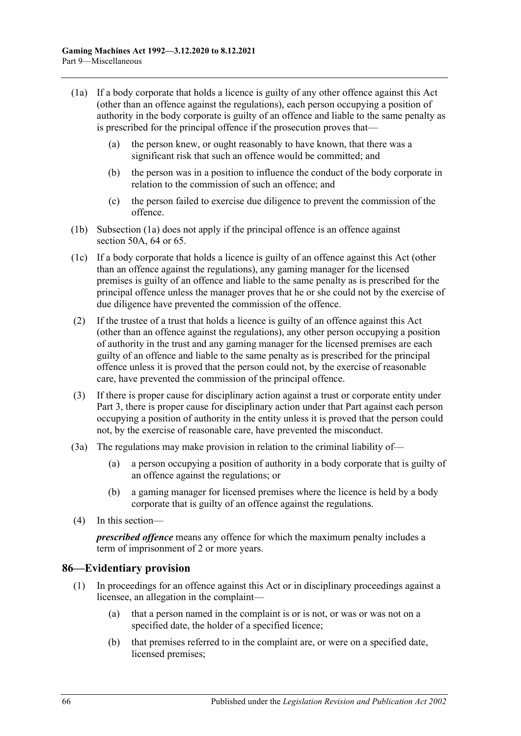- <span id="page-65-0"></span>(1a) If a body corporate that holds a licence is guilty of any other offence against this Act (other than an offence against the regulations), each person occupying a position of authority in the body corporate is guilty of an offence and liable to the same penalty as is prescribed for the principal offence if the prosecution proves that—
	- (a) the person knew, or ought reasonably to have known, that there was a significant risk that such an offence would be committed; and
	- (b) the person was in a position to influence the conduct of the body corporate in relation to the commission of such an offence; and
	- (c) the person failed to exercise due diligence to prevent the commission of the offence.
- (1b) [Subsection](#page-65-0) (1a) does not apply if the principal offence is an offence against [section](#page-46-0) 50A, [64](#page-53-1) or [65.](#page-53-2)
- (1c) If a body corporate that holds a licence is guilty of an offence against this Act (other than an offence against the regulations), any gaming manager for the licensed premises is guilty of an offence and liable to the same penalty as is prescribed for the principal offence unless the manager proves that he or she could not by the exercise of due diligence have prevented the commission of the offence.
- (2) If the trustee of a trust that holds a licence is guilty of an offence against this Act (other than an offence against the regulations), any other person occupying a position of authority in the trust and any gaming manager for the licensed premises are each guilty of an offence and liable to the same penalty as is prescribed for the principal offence unless it is proved that the person could not, by the exercise of reasonable care, have prevented the commission of the principal offence.
- (3) If there is proper cause for disciplinary action against a trust or corporate entity under [Part 3,](#page-10-0) there is proper cause for disciplinary action under that Part against each person occupying a position of authority in the entity unless it is proved that the person could not, by the exercise of reasonable care, have prevented the misconduct.
- (3a) The regulations may make provision in relation to the criminal liability of—
	- (a) a person occupying a position of authority in a body corporate that is guilty of an offence against the regulations; or
	- (b) a gaming manager for licensed premises where the licence is held by a body corporate that is guilty of an offence against the regulations.
- (4) In this section—

*prescribed offence* means any offence for which the maximum penalty includes a term of imprisonment of 2 or more years.

### **86—Evidentiary provision**

- (1) In proceedings for an offence against this Act or in disciplinary proceedings against a licensee, an allegation in the complaint—
	- (a) that a person named in the complaint is or is not, or was or was not on a specified date, the holder of a specified licence;
	- (b) that premises referred to in the complaint are, or were on a specified date, licensed premises;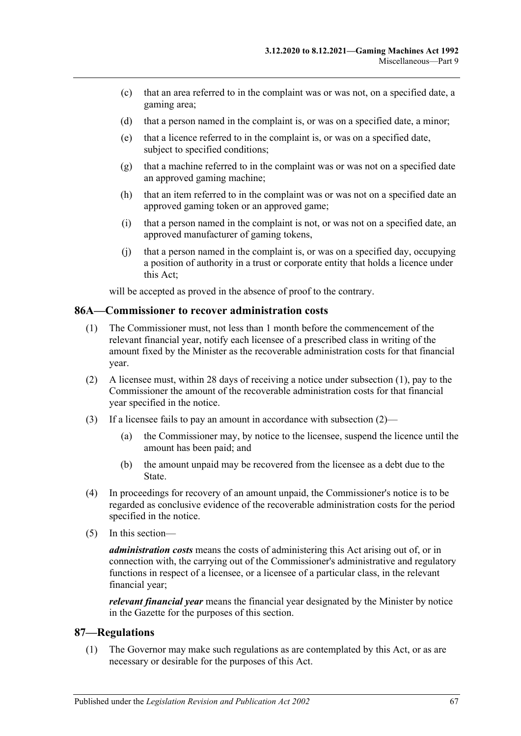- (c) that an area referred to in the complaint was or was not, on a specified date, a gaming area;
- (d) that a person named in the complaint is, or was on a specified date, a minor;
- (e) that a licence referred to in the complaint is, or was on a specified date, subject to specified conditions;
- (g) that a machine referred to in the complaint was or was not on a specified date an approved gaming machine;
- (h) that an item referred to in the complaint was or was not on a specified date an approved gaming token or an approved game;
- (i) that a person named in the complaint is not, or was not on a specified date, an approved manufacturer of gaming tokens,
- (j) that a person named in the complaint is, or was on a specified day, occupying a position of authority in a trust or corporate entity that holds a licence under this Act;

will be accepted as proved in the absence of proof to the contrary.

### <span id="page-66-0"></span>**86A—Commissioner to recover administration costs**

- (1) The Commissioner must, not less than 1 month before the commencement of the relevant financial year, notify each licensee of a prescribed class in writing of the amount fixed by the Minister as the recoverable administration costs for that financial year.
- <span id="page-66-1"></span>(2) A licensee must, within 28 days of receiving a notice unde[r subsection](#page-66-0) (1), pay to the Commissioner the amount of the recoverable administration costs for that financial year specified in the notice.
- (3) If a licensee fails to pay an amount in accordance with [subsection](#page-66-1) (2)—
	- (a) the Commissioner may, by notice to the licensee, suspend the licence until the amount has been paid; and
	- (b) the amount unpaid may be recovered from the licensee as a debt due to the State.
- (4) In proceedings for recovery of an amount unpaid, the Commissioner's notice is to be regarded as conclusive evidence of the recoverable administration costs for the period specified in the notice.
- (5) In this section—

*administration costs* means the costs of administering this Act arising out of, or in connection with, the carrying out of the Commissioner's administrative and regulatory functions in respect of a licensee, or a licensee of a particular class, in the relevant financial year;

*relevant financial year* means the financial year designated by the Minister by notice in the Gazette for the purposes of this section.

#### <span id="page-66-2"></span>**87—Regulations**

(1) The Governor may make such regulations as are contemplated by this Act, or as are necessary or desirable for the purposes of this Act.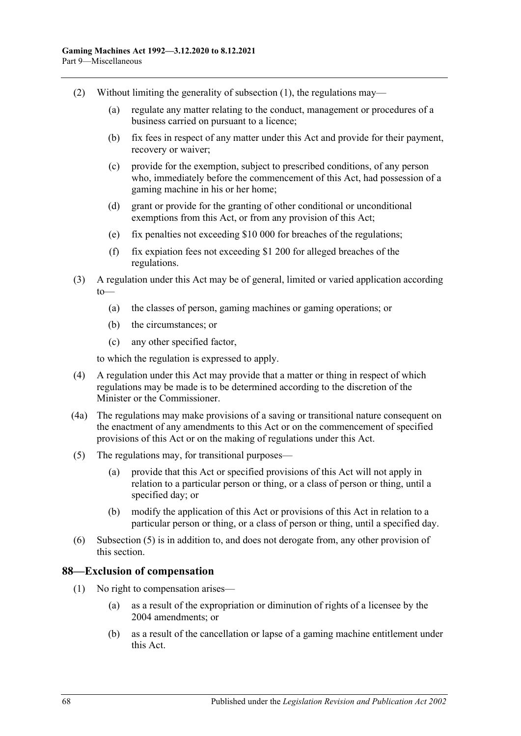- (2) Without limiting the generality of [subsection](#page-66-2) (1), the regulations may—
	- (a) regulate any matter relating to the conduct, management or procedures of a business carried on pursuant to a licence;
	- (b) fix fees in respect of any matter under this Act and provide for their payment, recovery or waiver;
	- (c) provide for the exemption, subject to prescribed conditions, of any person who, immediately before the commencement of this Act, had possession of a gaming machine in his or her home;
	- (d) grant or provide for the granting of other conditional or unconditional exemptions from this Act, or from any provision of this Act;
	- (e) fix penalties not exceeding \$10 000 for breaches of the regulations;
	- (f) fix expiation fees not exceeding \$1 200 for alleged breaches of the regulations.
- (3) A regulation under this Act may be of general, limited or varied application according to—
	- (a) the classes of person, gaming machines or gaming operations; or
	- (b) the circumstances; or
	- (c) any other specified factor,

to which the regulation is expressed to apply.

- (4) A regulation under this Act may provide that a matter or thing in respect of which regulations may be made is to be determined according to the discretion of the Minister or the Commissioner.
- (4a) The regulations may make provisions of a saving or transitional nature consequent on the enactment of any amendments to this Act or on the commencement of specified provisions of this Act or on the making of regulations under this Act.
- <span id="page-67-0"></span>(5) The regulations may, for transitional purposes—
	- (a) provide that this Act or specified provisions of this Act will not apply in relation to a particular person or thing, or a class of person or thing, until a specified day; or
	- (b) modify the application of this Act or provisions of this Act in relation to a particular person or thing, or a class of person or thing, until a specified day.
- (6) [Subsection](#page-67-0) (5) is in addition to, and does not derogate from, any other provision of this section.

#### **88—Exclusion of compensation**

- (1) No right to compensation arises—
	- (a) as a result of the expropriation or diminution of rights of a licensee by the 2004 amendments; or
	- (b) as a result of the cancellation or lapse of a gaming machine entitlement under this Act.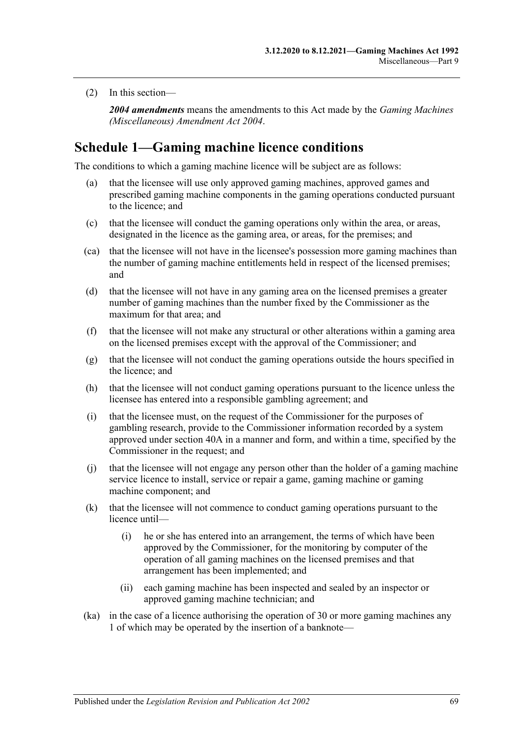(2) In this section—

*2004 amendments* means the amendments to this Act made by the *[Gaming Machines](http://www.legislation.sa.gov.au/index.aspx?action=legref&type=act&legtitle=Gaming%20Machines%20(Miscellaneous)%20Amendment%20Act%202004)  [\(Miscellaneous\) Amendment Act](http://www.legislation.sa.gov.au/index.aspx?action=legref&type=act&legtitle=Gaming%20Machines%20(Miscellaneous)%20Amendment%20Act%202004) 2004*.

# <span id="page-68-0"></span>**Schedule 1—Gaming machine licence conditions**

The conditions to which a gaming machine licence will be subject are as follows:

- (a) that the licensee will use only approved gaming machines, approved games and prescribed gaming machine components in the gaming operations conducted pursuant to the licence; and
- (c) that the licensee will conduct the gaming operations only within the area, or areas, designated in the licence as the gaming area, or areas, for the premises; and
- (ca) that the licensee will not have in the licensee's possession more gaming machines than the number of gaming machine entitlements held in respect of the licensed premises; and
- (d) that the licensee will not have in any gaming area on the licensed premises a greater number of gaming machines than the number fixed by the Commissioner as the maximum for that area; and
- (f) that the licensee will not make any structural or other alterations within a gaming area on the licensed premises except with the approval of the Commissioner; and
- (g) that the licensee will not conduct the gaming operations outside the hours specified in the licence; and
- (h) that the licensee will not conduct gaming operations pursuant to the licence unless the licensee has entered into a responsible gambling agreement; and
- (i) that the licensee must, on the request of the Commissioner for the purposes of gambling research, provide to the Commissioner information recorded by a system approved under [section](#page-34-0) 40A in a manner and form, and within a time, specified by the Commissioner in the request; and
- (j) that the licensee will not engage any person other than the holder of a gaming machine service licence to install, service or repair a game, gaming machine or gaming machine component; and
- (k) that the licensee will not commence to conduct gaming operations pursuant to the licence until—
	- (i) he or she has entered into an arrangement, the terms of which have been approved by the Commissioner, for the monitoring by computer of the operation of all gaming machines on the licensed premises and that arrangement has been implemented; and
	- (ii) each gaming machine has been inspected and sealed by an inspector or approved gaming machine technician; and
- (ka) in the case of a licence authorising the operation of 30 or more gaming machines any 1 of which may be operated by the insertion of a banknote—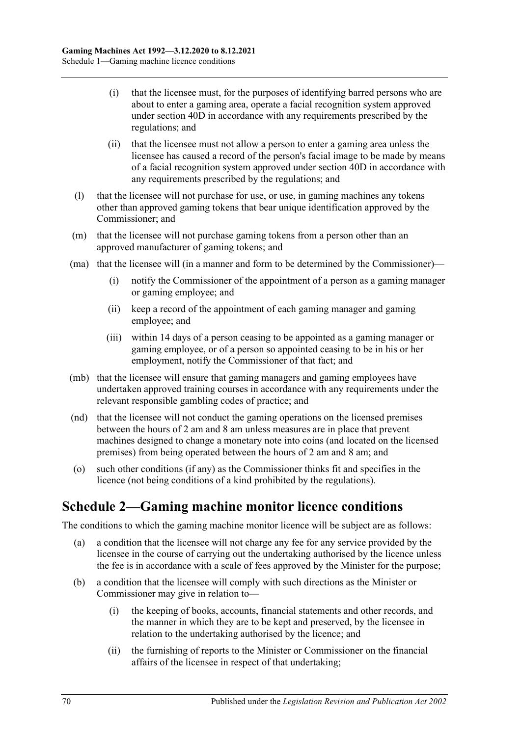- (i) that the licensee must, for the purposes of identifying barred persons who are about to enter a gaming area, operate a facial recognition system approved under [section](#page-35-0) 40D in accordance with any requirements prescribed by the regulations; and
- (ii) that the licensee must not allow a person to enter a gaming area unless the licensee has caused a record of the person's facial image to be made by means of a facial recognition system approved under [section](#page-35-0) 40D in accordance with any requirements prescribed by the regulations; and
- (l) that the licensee will not purchase for use, or use, in gaming machines any tokens other than approved gaming tokens that bear unique identification approved by the Commissioner; and
- (m) that the licensee will not purchase gaming tokens from a person other than an approved manufacturer of gaming tokens; and
- (ma) that the licensee will (in a manner and form to be determined by the Commissioner)—
	- (i) notify the Commissioner of the appointment of a person as a gaming manager or gaming employee; and
	- (ii) keep a record of the appointment of each gaming manager and gaming employee; and
	- (iii) within 14 days of a person ceasing to be appointed as a gaming manager or gaming employee, or of a person so appointed ceasing to be in his or her employment, notify the Commissioner of that fact; and
- (mb) that the licensee will ensure that gaming managers and gaming employees have undertaken approved training courses in accordance with any requirements under the relevant responsible gambling codes of practice; and
- (nd) that the licensee will not conduct the gaming operations on the licensed premises between the hours of 2 am and 8 am unless measures are in place that prevent machines designed to change a monetary note into coins (and located on the licensed premises) from being operated between the hours of 2 am and 8 am; and
- (o) such other conditions (if any) as the Commissioner thinks fit and specifies in the licence (not being conditions of a kind prohibited by the regulations).

# **Schedule 2—Gaming machine monitor licence conditions**

The conditions to which the gaming machine monitor licence will be subject are as follows:

- (a) a condition that the licensee will not charge any fee for any service provided by the licensee in the course of carrying out the undertaking authorised by the licence unless the fee is in accordance with a scale of fees approved by the Minister for the purpose;
- (b) a condition that the licensee will comply with such directions as the Minister or Commissioner may give in relation to—
	- (i) the keeping of books, accounts, financial statements and other records, and the manner in which they are to be kept and preserved, by the licensee in relation to the undertaking authorised by the licence; and
	- (ii) the furnishing of reports to the Minister or Commissioner on the financial affairs of the licensee in respect of that undertaking;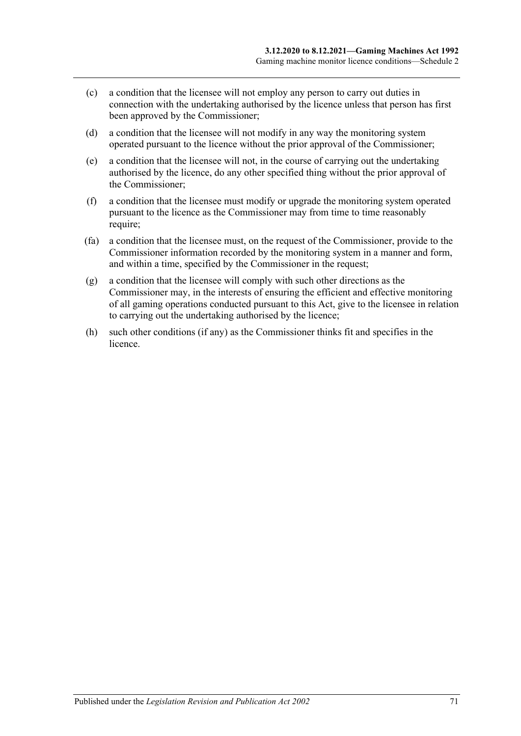- (c) a condition that the licensee will not employ any person to carry out duties in connection with the undertaking authorised by the licence unless that person has first been approved by the Commissioner;
- (d) a condition that the licensee will not modify in any way the monitoring system operated pursuant to the licence without the prior approval of the Commissioner;
- (e) a condition that the licensee will not, in the course of carrying out the undertaking authorised by the licence, do any other specified thing without the prior approval of the Commissioner;
- (f) a condition that the licensee must modify or upgrade the monitoring system operated pursuant to the licence as the Commissioner may from time to time reasonably require;
- (fa) a condition that the licensee must, on the request of the Commissioner, provide to the Commissioner information recorded by the monitoring system in a manner and form, and within a time, specified by the Commissioner in the request;
- (g) a condition that the licensee will comply with such other directions as the Commissioner may, in the interests of ensuring the efficient and effective monitoring of all gaming operations conducted pursuant to this Act, give to the licensee in relation to carrying out the undertaking authorised by the licence;
- (h) such other conditions (if any) as the Commissioner thinks fit and specifies in the licence.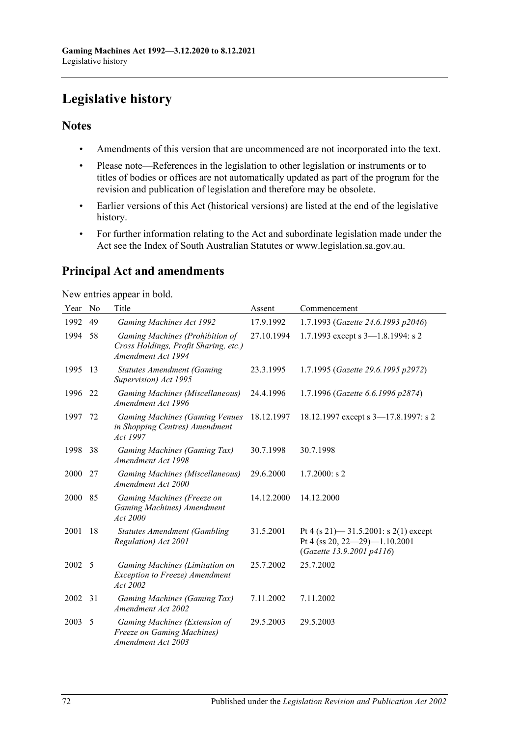# **Legislative history**

# **Notes**

- Amendments of this version that are uncommenced are not incorporated into the text.
- Please note—References in the legislation to other legislation or instruments or to titles of bodies or offices are not automatically updated as part of the program for the revision and publication of legislation and therefore may be obsolete.
- Earlier versions of this Act (historical versions) are listed at the end of the legislative history.
- For further information relating to the Act and subordinate legislation made under the Act see the Index of South Australian Statutes or www.legislation.sa.gov.au.

# **Principal Act and amendments**

New entries appear in bold.

| Year | No | Title                                                                                          | Assent     | Commencement                                                                                           |
|------|----|------------------------------------------------------------------------------------------------|------------|--------------------------------------------------------------------------------------------------------|
| 1992 | 49 | Gaming Machines Act 1992                                                                       | 17.9.1992  | 1.7.1993 (Gazette 24.6.1993 p2046)                                                                     |
| 1994 | 58 | Gaming Machines (Prohibition of<br>Cross Holdings, Profit Sharing, etc.)<br>Amendment Act 1994 | 27.10.1994 | 1.7.1993 except s $3-1.8.1994$ : s 2                                                                   |
| 1995 | 13 | <b>Statutes Amendment (Gaming</b><br>Supervision) Act 1995                                     | 23.3.1995  | 1.7.1995 (Gazette 29.6.1995 p2972)                                                                     |
| 1996 | 22 | Gaming Machines (Miscellaneous)<br>Amendment Act 1996                                          | 24.4.1996  | 1.7.1996 (Gazette 6.6.1996 p2874)                                                                      |
| 1997 | 72 | <b>Gaming Machines (Gaming Venues</b><br>in Shopping Centres) Amendment<br>Act 1997            | 18.12.1997 | 18.12.1997 except s 3-17.8.1997: s 2                                                                   |
| 1998 | 38 | Gaming Machines (Gaming Tax)<br>Amendment Act 1998                                             | 30.7.1998  | 30.7.1998                                                                                              |
| 2000 | 27 | Gaming Machines (Miscellaneous)<br>Amendment Act 2000                                          | 29.6.2000  | $1.7.2000$ : s 2                                                                                       |
| 2000 | 85 | Gaming Machines (Freeze on<br>Gaming Machines) Amendment<br>Act 2000                           | 14.12.2000 | 14.12.2000                                                                                             |
| 2001 | 18 | <b>Statutes Amendment (Gambling</b><br>Regulation) Act 2001                                    | 31.5.2001  | Pt 4 (s 21) $-$ 31.5.2001: s 2(1) except<br>Pt 4 (ss 20, 22-29)-1.10.2001<br>(Gazette 13.9.2001 p4116) |
| 2002 | -5 | Gaming Machines (Limitation on<br>Exception to Freeze) Amendment<br>Act 2002                   | 25.7.2002  | 25.7.2002                                                                                              |
| 2002 | 31 | Gaming Machines (Gaming Tax)<br>Amendment Act 2002                                             | 7.11.2002  | 7.11.2002                                                                                              |
| 2003 | 5  | Gaming Machines (Extension of<br><b>Freeze on Gaming Machines)</b><br>Amendment Act 2003       | 29.5.2003  | 29.5.2003                                                                                              |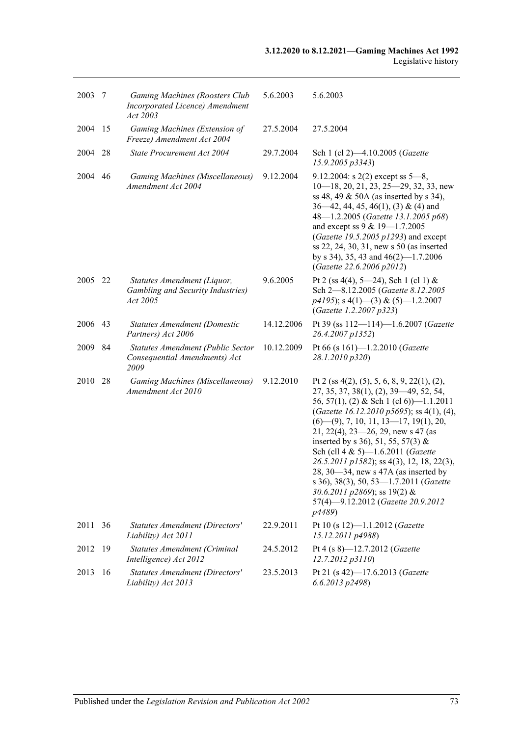| 2003    | -7 | <b>Gaming Machines (Roosters Club</b><br>Incorporated Licence) Amendment<br>Act 2003 | 5.6.2003   | 5.6.2003                                                                                                                                                                                                                                                                                                                                                                                                                                                                                                                                                                     |
|---------|----|--------------------------------------------------------------------------------------|------------|------------------------------------------------------------------------------------------------------------------------------------------------------------------------------------------------------------------------------------------------------------------------------------------------------------------------------------------------------------------------------------------------------------------------------------------------------------------------------------------------------------------------------------------------------------------------------|
| 2004    | 15 | Gaming Machines (Extension of<br>Freeze) Amendment Act 2004                          | 27.5.2004  | 27.5.2004                                                                                                                                                                                                                                                                                                                                                                                                                                                                                                                                                                    |
| 2004    | 28 | State Procurement Act 2004                                                           | 29.7.2004  | Sch 1 (cl 2)-4.10.2005 (Gazette<br>15.9.2005 p3343)                                                                                                                                                                                                                                                                                                                                                                                                                                                                                                                          |
| 2004    | 46 | Gaming Machines (Miscellaneous)<br>Amendment Act 2004                                | 9.12.2004  | 9.12.2004: s $2(2)$ except ss $5-8$ ,<br>$10-18$ , 20, 21, 23, 25-29, 32, 33, new<br>ss 48, 49 & 50A (as inserted by s 34),<br>$36-42$ , 44, 45, 46(1), (3) & (4) and<br>48-1.2.2005 (Gazette 13.1.2005 p68)<br>and except ss 9 & 19-1.7.2005<br>(Gazette 19.5.2005 $p1293$ ) and except<br>ss 22, 24, 30, 31, new s 50 (as inserted<br>by s 34), 35, 43 and $46(2)$ —1.7.2006<br>(Gazette 22.6.2006 p2012)                                                                                                                                                                  |
| 2005 22 |    | Statutes Amendment (Liquor,<br>Gambling and Security Industries)<br>Act 2005         | 9.6.2005   | Pt 2 (ss 4(4), 5–24), Sch 1 (cl 1) &<br>Sch 2-8.12.2005 (Gazette 8.12.2005<br>$p4195$ ; s 4(1)–(3) & (5)–1.2.2007<br>(Gazette 1.2.2007 p323)                                                                                                                                                                                                                                                                                                                                                                                                                                 |
| 2006    | 43 | <b>Statutes Amendment (Domestic</b><br>Partners) Act 2006                            | 14.12.2006 | Pt 39 (ss $112 - 114$ )-1.6.2007 (Gazette<br>26.4.2007 p1352)                                                                                                                                                                                                                                                                                                                                                                                                                                                                                                                |
| 2009    | 84 | Statutes Amendment (Public Sector<br>Consequential Amendments) Act<br>2009           | 10.12.2009 | Pt 66 (s 161)-1.2.2010 (Gazette<br>28.1.2010 p320)                                                                                                                                                                                                                                                                                                                                                                                                                                                                                                                           |
| 2010    | 28 | Gaming Machines (Miscellaneous)<br>Amendment Act 2010                                | 9.12.2010  | Pt 2 (ss $4(2)$ , (5), 5, 6, 8, 9, 22(1), (2),<br>27, 35, 37, 38(1), (2), 39 - 49, 52, 54,<br>56, 57(1), (2) & Sch 1 (cl 6))—1.1.2011<br>(Gazette 16.12.2010 p5695); ss 4(1), (4),<br>$(6)$ — $(9)$ , 7, 10, 11, 13—17, 19(1), 20,<br>$21, 22(4), 23-26, 29$ , new s 47 (as<br>inserted by s 36), 51, 55, 57(3) &<br>Sch (cll 4 & 5)-1.6.2011 (Gazette<br>26.5.2011 p1582); ss 4(3), 12, 18, 22(3),<br>$28, 30 - 34$ , new s $47A$ (as inserted by<br>s 36), 38(3), 50, 53-1.7.2011 (Gazette<br>30.6.2011 p2869); ss 19(2) &<br>57(4)-9.12.2012 (Gazette 20.9.2012<br>p4489) |
| 2011 36 |    | <b>Statutes Amendment (Directors'</b><br>Liability) Act 2011                         | 22.9.2011  | Pt 10 (s 12)-1.1.2012 (Gazette<br>15.12.2011 p4988)                                                                                                                                                                                                                                                                                                                                                                                                                                                                                                                          |
| 2012    | 19 | <b>Statutes Amendment (Criminal</b><br>Intelligence) Act 2012                        | 24.5.2012  | Pt 4 (s 8)-12.7.2012 (Gazette<br>12.7.2012 p3110)                                                                                                                                                                                                                                                                                                                                                                                                                                                                                                                            |
| 2013    | 16 | <b>Statutes Amendment (Directors'</b><br>Liability) Act 2013                         | 23.5.2013  | Pt 21 (s 42)-17.6.2013 (Gazette<br>6.6.2013 p2498)                                                                                                                                                                                                                                                                                                                                                                                                                                                                                                                           |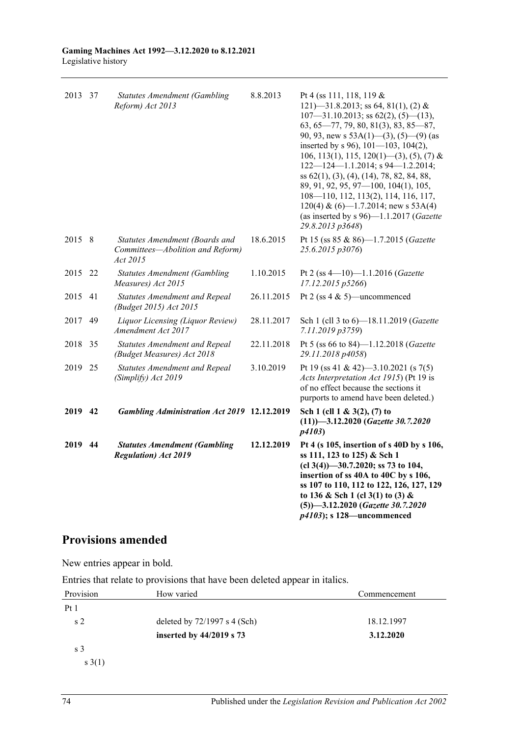| 2013 37 |     | <b>Statutes Amendment (Gambling</b><br>Reform) Act 2013                        | 8.8.2013   | Pt 4 (ss 111, 118, 119 $\&$<br>121)—31.8.2013; ss 64, 81(1), (2) &<br>$107 - 31.10.2013$ ; ss $62(2)$ , $(5)$ $-(13)$ ,<br>$63, 65 - 77, 79, 80, 81(3), 83, 85 - 87,$<br>90, 93, new s $53A(1)$ —(3), (5)—(9) (as<br>inserted by s 96), 101-103, 104(2),<br>106, 113(1), 115, 120(1)—(3), (5), (7) &<br>$122 - 124 - 1.1.2014$ ; s 94 - 1.2.2014;<br>ss 62(1), (3), (4), (14), 78, 82, 84, 88,<br>89, 91, 92, 95, 97-100, 104(1), 105,<br>108-110, 112, 113(2), 114, 116, 117,<br>$120(4)$ & $(6)$ —1.7.2014; new s 53A(4)<br>(as inserted by s 96)-1.1.2017 (Gazette<br>29.8.2013 p3648) |
|---------|-----|--------------------------------------------------------------------------------|------------|-------------------------------------------------------------------------------------------------------------------------------------------------------------------------------------------------------------------------------------------------------------------------------------------------------------------------------------------------------------------------------------------------------------------------------------------------------------------------------------------------------------------------------------------------------------------------------------------|
| 2015 8  |     | Statutes Amendment (Boards and<br>Committees-Abolition and Reform)<br>Act 2015 | 18.6.2015  | Pt 15 (ss 85 & 86)-1.7.2015 (Gazette<br>25.6.2015 p3076)                                                                                                                                                                                                                                                                                                                                                                                                                                                                                                                                  |
| 2015    | -22 | <b>Statutes Amendment (Gambling</b><br>Measures) Act 2015                      | 1.10.2015  | Pt 2 (ss $4-10$ )-1.1.2016 (Gazette<br>17.12.2015 p5266)                                                                                                                                                                                                                                                                                                                                                                                                                                                                                                                                  |
| 2015    | 41  | <b>Statutes Amendment and Repeal</b><br>(Budget 2015) Act 2015                 | 26.11.2015 | Pt 2 (ss $4 \& 5$ )—uncommenced                                                                                                                                                                                                                                                                                                                                                                                                                                                                                                                                                           |
| 2017    | 49  | Liquor Licensing (Liquor Review)<br>Amendment Act 2017                         | 28.11.2017 | Sch 1 (cll 3 to 6)-18.11.2019 (Gazette<br>7.11.2019 p3759)                                                                                                                                                                                                                                                                                                                                                                                                                                                                                                                                |
| 2018    | 35  | <b>Statutes Amendment and Repeal</b><br>(Budget Measures) Act 2018             | 22.11.2018 | Pt 5 (ss 66 to 84)-1.12.2018 (Gazette<br>29.11.2018 p4058)                                                                                                                                                                                                                                                                                                                                                                                                                                                                                                                                |
| 2019 25 |     | <b>Statutes Amendment and Repeal</b><br>(Simplify) Act 2019                    | 3.10.2019  | Pt 19 (ss 41 & 42)-3.10.2021 (s 7(5)<br>Acts Interpretation Act 1915) (Pt 19 is<br>of no effect because the sections it<br>purports to amend have been deleted.)                                                                                                                                                                                                                                                                                                                                                                                                                          |
| 2019 42 |     | <b>Gambling Administration Act 2019 12.12.2019</b>                             |            | Sch 1 (cll $1 \& 3(2), (7)$ to<br>$(11)$ )-3.12.2020 (Gazette 30.7.2020)<br>p4103                                                                                                                                                                                                                                                                                                                                                                                                                                                                                                         |
| 2019 44 |     | <b>Statutes Amendment (Gambling</b><br><b>Regulation</b> ) Act 2019            | 12.12.2019 | Pt 4 (s 105, insertion of s 40D by s 106,<br>ss 111, 123 to 125) & Sch 1<br>$(cl 3(4))$ —30.7.2020; ss 73 to 104,<br>insertion of ss 40A to 40C by s 106,<br>ss 107 to 110, 112 to 122, 126, 127, 129<br>to 136 & Sch 1 (cl 3(1) to (3) &<br>$(5)$ -3.12.2020 (Gazette 30.7.2020)<br>$p4103$ ; s 128—uncommenced                                                                                                                                                                                                                                                                          |

# **Provisions amended**

New entries appear in bold.

Entries that relate to provisions that have been deleted appear in italics.

| Provision      | How varied                     | Commencement |
|----------------|--------------------------------|--------------|
| Pt1            |                                |              |
| s <sub>2</sub> | deleted by $72/1997$ s 4 (Sch) | 18.12.1997   |
|                | inserted by $44/2019$ s 73     | 3.12.2020    |
| s 3            |                                |              |
| s(1)           |                                |              |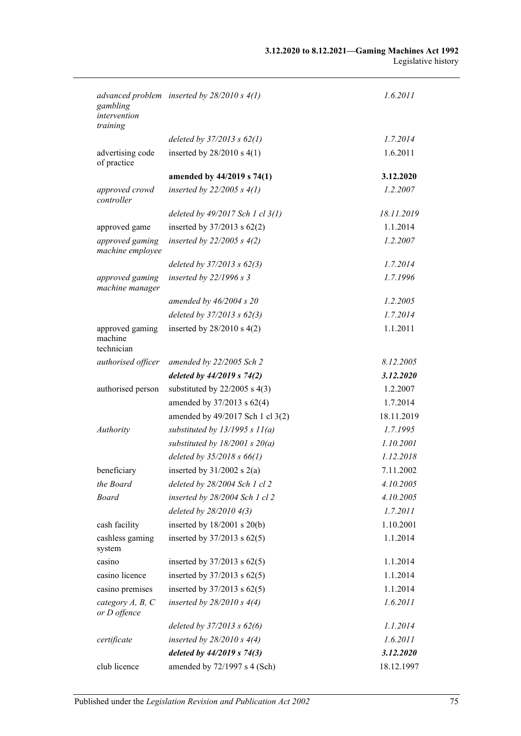| gambling<br>intervention                 | advanced problem inserted by $28/2010 s 4(1)$ | 1.6.2011   |
|------------------------------------------|-----------------------------------------------|------------|
| training                                 |                                               |            |
|                                          | deleted by $37/2013$ s $62(1)$                | 1.7.2014   |
| advertising code<br>of practice          | inserted by $28/2010$ s $4(1)$                | 1.6.2011   |
|                                          | amended by 44/2019 s 74(1)                    | 3.12.2020  |
| approved crowd<br>controller             | inserted by $22/2005 s 4(1)$                  | 1.2.2007   |
|                                          | deleted by $49/2017$ Sch 1 cl $3(1)$          | 18.11.2019 |
| approved game                            | inserted by $37/2013$ s $62(2)$               | 1.1.2014   |
| approved gaming<br>machine employee      | inserted by $22/2005 s 4(2)$                  | 1.2.2007   |
|                                          | deleted by $37/2013$ s $62(3)$                | 1.7.2014   |
| approved gaming<br>machine manager       | inserted by 22/1996 s 3                       | 1.7.1996   |
|                                          | amended by $46/2004$ s $20$                   | 1.2.2005   |
|                                          | deleted by $37/2013$ s $62(3)$                | 1.7.2014   |
| approved gaming<br>machine<br>technician | inserted by $28/2010$ s $4(2)$                | 1.1.2011   |
| authorised officer                       | amended by 22/2005 Sch 2                      | 8.12.2005  |
|                                          | deleted by $44/2019$ s $74(2)$                | 3.12.2020  |
| authorised person                        | substituted by $22/2005$ s 4(3)               | 1.2.2007   |
|                                          | amended by 37/2013 s 62(4)                    | 1.7.2014   |
|                                          | amended by 49/2017 Sch 1 cl 3(2)              | 18.11.2019 |
| Authority                                | substituted by $13/1995 s 11(a)$              | 1.7.1995   |
|                                          | substituted by $18/2001$ s $20(a)$            | 1.10.2001  |
|                                          | deleted by $35/2018$ s $66(1)$                | 1.12.2018  |
| beneficiary                              | inserted by $31/2002$ s $2(a)$                | 7.11.2002  |
| the Board                                | deleted by 28/2004 Sch 1 cl 2                 | 4.10.2005  |
| <b>Board</b>                             | inserted by 28/2004 Sch 1 cl 2                | 4.10.2005  |
|                                          | deleted by 28/2010 4(3)                       | 1.7.2011   |
| cash facility                            | inserted by 18/2001 s 20(b)                   | 1.10.2001  |
| cashless gaming<br>system                | inserted by $37/2013$ s $62(5)$               | 1.1.2014   |
| casino                                   | inserted by $37/2013$ s $62(5)$               | 1.1.2014   |
| casino licence                           | inserted by $37/2013$ s $62(5)$               | 1.1.2014   |
| casino premises                          | inserted by $37/2013$ s $62(5)$               | 1.1.2014   |
| category $A, B, C$<br>or D offence       | inserted by $28/2010 s 4(4)$                  | 1.6.2011   |
|                                          | deleted by $37/2013$ s $62(6)$                | 1.1.2014   |
| certificate                              | inserted by $28/2010 s 4(4)$                  | 1.6.2011   |
|                                          | deleted by 44/2019 s 74(3)                    | 3.12.2020  |
| club licence                             | amended by 72/1997 s 4 (Sch)                  | 18.12.1997 |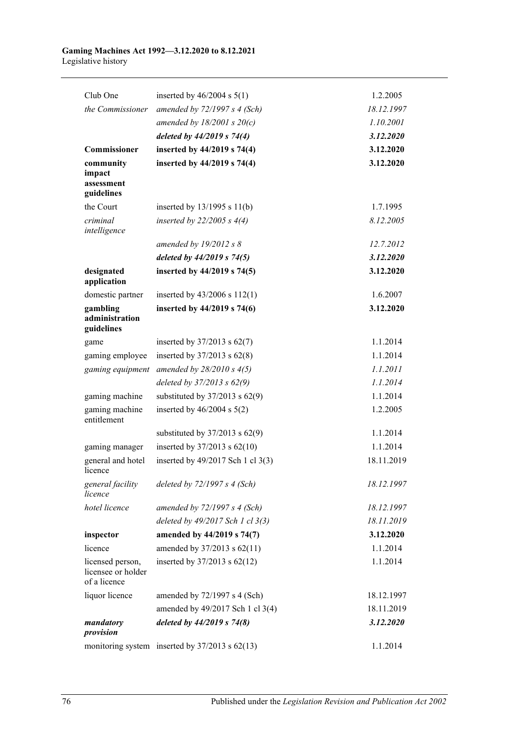| Club One                                               | inserted by $46/2004$ s $5(1)$                     | 1.2.2005   |
|--------------------------------------------------------|----------------------------------------------------|------------|
| the Commissioner                                       | amended by $72/1997 s 4$ (Sch)                     | 18.12.1997 |
|                                                        | amended by $18/2001$ s $20(c)$                     | 1.10.2001  |
|                                                        | deleted by $44/2019$ s $74(4)$                     | 3.12.2020  |
| Commissioner                                           | inserted by 44/2019 s 74(4)                        | 3.12.2020  |
| community<br>impact<br>assessment<br>guidelines        | inserted by 44/2019 s 74(4)                        | 3.12.2020  |
| the Court                                              | inserted by $13/1995$ s $11(b)$                    | 1.7.1995   |
| criminal<br>intelligence                               | inserted by $22/2005 s 4(4)$                       | 8.12.2005  |
|                                                        | amended by $19/2012$ s 8                           | 12.7.2012  |
|                                                        | deleted by $44/2019$ s $74(5)$                     | 3.12.2020  |
| designated<br>application                              | inserted by 44/2019 s 74(5)                        | 3.12.2020  |
| domestic partner                                       | inserted by 43/2006 s 112(1)                       | 1.6.2007   |
| gambling<br>administration<br>guidelines               | inserted by 44/2019 s 74(6)                        | 3.12.2020  |
| game                                                   | inserted by $37/2013$ s $62(7)$                    | 1.1.2014   |
| gaming employee                                        | inserted by $37/2013$ s $62(8)$                    | 1.1.2014   |
| gaming equipment                                       | amended by $28/2010 s 4(5)$                        | 1.1.2011   |
|                                                        | deleted by $37/2013$ s $62(9)$                     | 1.1.2014   |
| gaming machine                                         | substituted by $37/2013$ s $62(9)$                 | 1.1.2014   |
| gaming machine<br>entitlement                          | inserted by $46/2004$ s $5(2)$                     | 1.2.2005   |
|                                                        | substituted by $37/2013$ s $62(9)$                 | 1.1.2014   |
| gaming manager                                         | inserted by $37/2013$ s $62(10)$                   | 1.1.2014   |
| general and hotel<br>licence                           | inserted by 49/2017 Sch 1 cl 3(3)                  | 18.11.2019 |
| general facility<br>licence                            | deleted by 72/1997 s 4 (Sch)                       | 18.12.1997 |
| hotel licence                                          | amended by $72/1997 s 4$ (Sch)                     | 18.12.1997 |
|                                                        | deleted by 49/2017 Sch 1 cl 3(3)                   | 18.11.2019 |
| inspector                                              | amended by 44/2019 s 74(7)                         | 3.12.2020  |
| licence                                                | amended by 37/2013 s 62(11)                        | 1.1.2014   |
| licensed person,<br>licensee or holder<br>of a licence | inserted by $37/2013$ s $62(12)$                   | 1.1.2014   |
| liquor licence                                         | amended by 72/1997 s 4 (Sch)                       | 18.12.1997 |
|                                                        | amended by 49/2017 Sch 1 cl 3(4)                   | 18.11.2019 |
| mandatory<br>provision                                 | deleted by $44/2019$ s $74(8)$                     | 3.12.2020  |
|                                                        | monitoring system inserted by $37/2013$ s $62(13)$ | 1.1.2014   |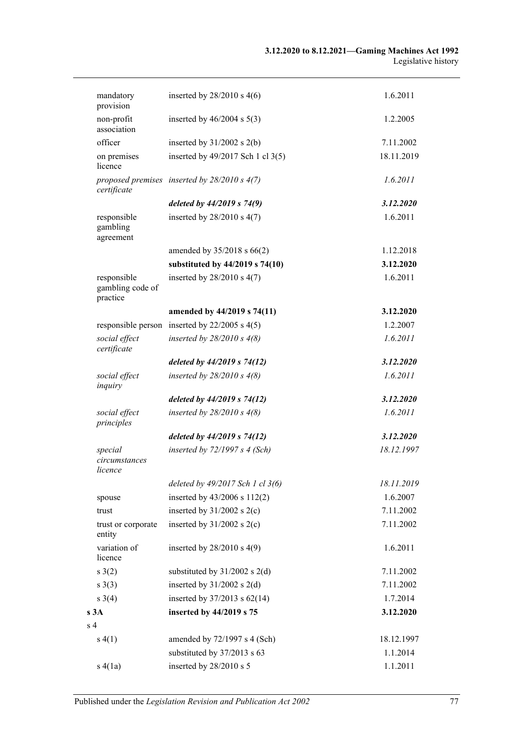| mandatory<br>provision                      | inserted by $28/2010$ s $4(6)$                    | 1.6.2011   |
|---------------------------------------------|---------------------------------------------------|------------|
| non-profit<br>association                   | inserted by $46/2004$ s $5(3)$                    | 1.2.2005   |
| officer                                     | inserted by $31/2002$ s $2(b)$                    | 7.11.2002  |
| on premises<br>licence                      | inserted by 49/2017 Sch 1 cl 3(5)                 | 18.11.2019 |
| certificate                                 | proposed premises inserted by $28/2010 s 4(7)$    | 1.6.2011   |
|                                             | deleted by $44/2019$ s $74(9)$                    | 3.12.2020  |
| responsible<br>gambling<br>agreement        | inserted by $28/2010$ s $4(7)$                    | 1.6.2011   |
|                                             | amended by $35/2018$ s $66(2)$                    | 1.12.2018  |
|                                             | substituted by 44/2019 s 74(10)                   | 3.12.2020  |
| responsible<br>gambling code of<br>practice | inserted by $28/2010$ s $4(7)$                    | 1.6.2011   |
|                                             | amended by 44/2019 s 74(11)                       | 3.12.2020  |
|                                             | responsible person inserted by $22/2005$ s $4(5)$ | 1.2.2007   |
| social effect<br>certificate                | inserted by $28/2010 s 4(8)$                      | 1.6.2011   |
|                                             | deleted by $44/2019$ s $74(12)$                   | 3.12.2020  |
| social effect<br>inquiry                    | inserted by $28/2010 s 4(8)$                      | 1.6.2011   |
|                                             | deleted by $44/2019$ s $74(12)$                   | 3.12.2020  |
| social effect<br>principles                 | inserted by $28/2010 s 4(8)$                      | 1.6.2011   |
|                                             | deleted by $44/2019$ s $74(12)$                   | 3.12.2020  |
| special<br>circumstances<br>licence         | inserted by $72/1997 s 4$ (Sch)                   | 18.12.1997 |
|                                             | deleted by 49/2017 Sch 1 cl 3(6)                  | 18.11.2019 |
| spouse                                      | inserted by 43/2006 s 112(2)                      | 1.6.2007   |
| trust                                       | inserted by $31/2002$ s $2(c)$                    | 7.11.2002  |
| trust or corporate<br>entity                | inserted by $31/2002$ s $2(c)$                    | 7.11.2002  |
| variation of<br>licence                     | inserted by $28/2010$ s $4(9)$                    | 1.6.2011   |
| s(2)                                        | substituted by $31/2002$ s 2(d)                   | 7.11.2002  |
| s(3)                                        | inserted by $31/2002$ s 2(d)                      | 7.11.2002  |
| $s \; 3(4)$                                 | inserted by $37/2013$ s $62(14)$                  | 1.7.2014   |
| s3A                                         | inserted by 44/2019 s 75                          | 3.12.2020  |
| s <sub>4</sub>                              |                                                   |            |
| s(4(1))                                     | amended by $72/1997$ s 4 (Sch)                    | 18.12.1997 |
|                                             | substituted by 37/2013 s 63                       | 1.1.2014   |
| s(4(a)                                      | inserted by 28/2010 s 5                           | 1.1.2011   |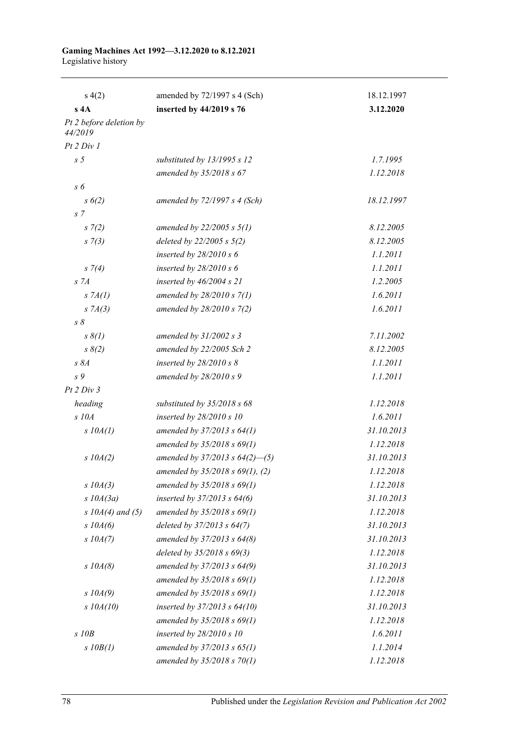| s(4(2)                             | amended by 72/1997 s 4 (Sch)         | 18.12.1997 |
|------------------------------------|--------------------------------------|------------|
| s 4A                               | inserted by 44/2019 s 76             | 3.12.2020  |
| Pt 2 before deletion by<br>44/2019 |                                      |            |
| Pt 2 Div 1                         |                                      |            |
| s <sub>5</sub>                     | substituted by 13/1995 s 12          | 1.7.1995   |
|                                    | amended by 35/2018 s 67              | 1.12.2018  |
| s 6                                |                                      |            |
| s(6(2))                            | amended by $72/1997 s 4 (Sch)$       | 18.12.1997 |
| s <sub>7</sub>                     |                                      |            |
| $s \, 7(2)$                        | amended by $22/2005 s 5(1)$          | 8.12.2005  |
| $s \, 7(3)$                        | deleted by $22/2005 s 5(2)$          | 8.12.2005  |
|                                    | inserted by $28/2010 s 6$            | 1.1.2011   |
| $s \, 7(4)$                        | inserted by $28/2010 s 6$            | 1.1.2011   |
| S <sub>7A</sub>                    | inserted by $46/2004$ s $21$         | 1.2.2005   |
| $S$ 7 $A(I)$                       | amended by $28/2010 s 7(1)$          | 1.6.2011   |
| $S$ 7 $A(3)$                       | amended by 28/2010 s 7(2)            | 1.6.2011   |
| $s \, \delta$                      |                                      |            |
| $s \, \delta(l)$                   | amended by $31/2002$ s 3             | 7.11.2002  |
| $s \, 8(2)$                        | amended by 22/2005 Sch 2             | 8.12.2005  |
| $s\,8A$                            | inserted by $28/2010 s 8$            | 1.1.2011   |
| s 9                                | amended by $28/2010 s$ 9             | 1.1.2011   |
| Pt 2 Div 3                         |                                      |            |
| heading                            | substituted by $35/2018$ s 68        | 1.12.2018  |
| $S$ 10 $A$                         | inserted by 28/2010 s 10             | 1.6.2011   |
| $s$ 10A(1)                         | amended by $37/2013$ s $64(1)$       | 31.10.2013 |
|                                    | amended by $35/2018$ s $69(1)$       | 1.12.2018  |
| $s$ 10A(2)                         | amended by $37/2013$ s $64(2)$ —(5)  | 31.10.2013 |
|                                    | amended by $35/2018$ s $69(1)$ , (2) | 1.12.2018  |
| $s$ 10A(3)                         | amended by $35/2018$ s $69(1)$       | 1.12.2018  |
| $s$ 10A(3a)                        | inserted by $37/2013$ s $64(6)$      | 31.10.2013 |
| s $10A(4)$ and (5)                 | amended by $35/2018$ s $69(1)$       | 1.12.2018  |
| $s$ 10A(6)                         | deleted by 37/2013 s 64(7)           | 31.10.2013 |
| $s$ 10A(7)                         | amended by 37/2013 s 64(8)           | 31.10.2013 |
|                                    | deleted by 35/2018 s 69(3)           | 1.12.2018  |
| $s$ 10A(8)                         | amended by 37/2013 s 64(9)           | 31.10.2013 |
|                                    | amended by $35/2018$ s $69(1)$       | 1.12.2018  |
| $s$ 10A(9)                         | amended by $35/2018$ s $69(1)$       | 1.12.2018  |
| $s$ 10A(10)                        | inserted by $37/2013$ s $64(10)$     | 31.10.2013 |
|                                    | amended by $35/2018$ s $69(1)$       | 1.12.2018  |
| $s$ 10 $B$                         | inserted by $28/2010 s 10$           | 1.6.2011   |
| $s$ $10B(1)$                       | amended by $37/2013$ s $65(1)$       | 1.1.2014   |
|                                    | amended by $35/2018$ s $70(1)$       | 1.12.2018  |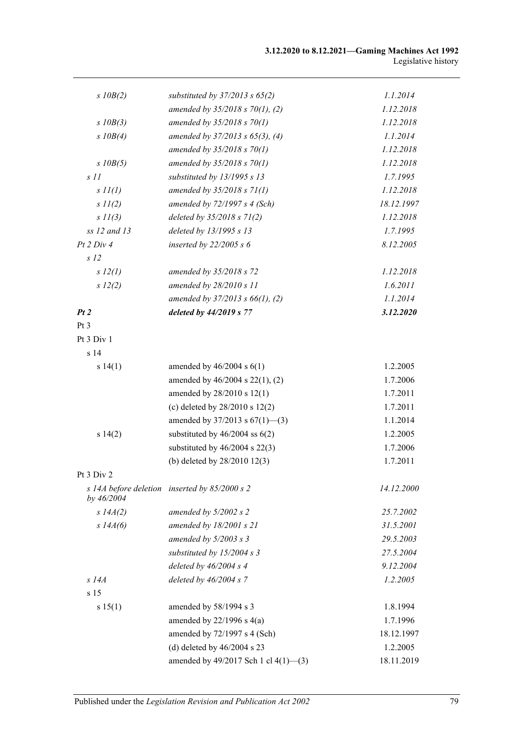| $s$ $10B(2)$     | substituted by $37/2013$ s $65(2)$              | 1.1.2014   |
|------------------|-------------------------------------------------|------------|
|                  | amended by $35/2018$ s $70(1)$ , (2)            | 1.12.2018  |
| $s$ 10B(3)       | amended by $35/2018 s 70(1)$                    | 1.12.2018  |
| $s$ $10B(4)$     | amended by $37/2013$ s $65(3)$ , (4)            | 1.1.2014   |
|                  | amended by $35/2018 s 70(1)$                    | 1.12.2018  |
| $s$ $10B(5)$     | amended by $35/2018$ s $70(1)$                  | 1.12.2018  |
| $s$ $11$         | substituted by 13/1995 s 13                     | 1.7.1995   |
| $s$ $11(l)$      | amended by $35/2018 s 71(1)$                    | 1.12.2018  |
| $s$ $11(2)$      | amended by $72/1997 s 4$ (Sch)                  | 18.12.1997 |
| $s$ $11(3)$      | deleted by $35/2018$ s $71(2)$                  | 1.12.2018  |
| $ss 12$ and $13$ | deleted by 13/1995 s 13                         | 1.7.1995   |
| Pt 2 Div 4       | inserted by $22/2005 s 6$                       | 8.12.2005  |
| s <sub>12</sub>  |                                                 |            |
| s 12(l)          | amended by 35/2018 s 72                         | 1.12.2018  |
| s 12(2)          | amended by $28/2010 s 11$                       | 1.6.2011   |
|                  | amended by $37/2013$ s $66(1)$ , (2)            | 1.1.2014   |
| Pt2              | deleted by 44/2019 s 77                         | 3.12.2020  |
| Pt 3             |                                                 |            |
| Pt 3 Div 1       |                                                 |            |
| s <sub>14</sub>  |                                                 |            |
| s 14(1)          | amended by $46/2004$ s $6(1)$                   | 1.2.2005   |
|                  | amended by 46/2004 s 22(1), (2)                 | 1.7.2006   |
|                  | amended by 28/2010 s 12(1)                      | 1.7.2011   |
|                  | (c) deleted by $28/2010$ s $12(2)$              | 1.7.2011   |
|                  | amended by $37/2013$ s $67(1)$ —(3)             | 1.1.2014   |
| s 14(2)          | substituted by $46/2004$ ss $6(2)$              | 1.2.2005   |
|                  | substituted by $46/2004$ s $22(3)$              | 1.7.2006   |
|                  | (b) deleted by 28/2010 12(3)                    | 1.7.2011   |
| Pt 3 Div 2       |                                                 |            |
| by 46/2004       | s 14A before deletion inserted by $85/2000$ s 2 | 14.12.2000 |
| $s$ 14 $A(2)$    | amended by $5/2002$ s 2                         | 25.7.2002  |
| $s$ 14 $A(6)$    | amended by $18/2001$ s $21$                     | 31.5.2001  |
|                  | amended by $5/2003$ s 3                         | 29.5.2003  |
|                  | substituted by 15/2004 s 3                      | 27.5.2004  |
|                  | deleted by $46/2004$ s 4                        | 9.12.2004  |
| $s$ 14 $A$       | deleted by $46/2004 s$ 7                        | 1.2.2005   |
| s 15             |                                                 |            |
| s 15(1)          | amended by 58/1994 s 3                          | 1.8.1994   |
|                  | amended by $22/1996$ s $4(a)$                   | 1.7.1996   |
|                  | amended by 72/1997 s 4 (Sch)                    | 18.12.1997 |
|                  | (d) deleted by $46/2004$ s 23                   | 1.2.2005   |
|                  | amended by 49/2017 Sch 1 cl 4(1)-(3)            | 18.11.2019 |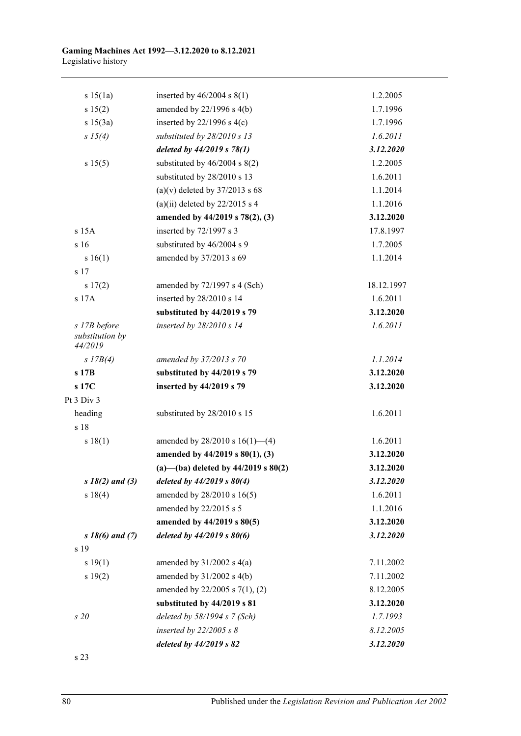| s 15(1a)                                   | inserted by $46/2004$ s $8(1)$          | 1.2.2005   |
|--------------------------------------------|-----------------------------------------|------------|
| s 15(2)                                    | amended by $22/1996$ s $4(b)$           | 1.7.1996   |
| s 15(3a)                                   | inserted by $22/1996$ s 4(c)            | 1.7.1996   |
| s 15(4)                                    | substituted by $28/2010 s 13$           | 1.6.2011   |
|                                            | deleted by $44/2019$ s $78(1)$          | 3.12.2020  |
| s 15(5)                                    | substituted by $46/2004$ s $8(2)$       | 1.2.2005   |
|                                            | substituted by 28/2010 s 13             | 1.6.2011   |
|                                            | (a)(v) deleted by $37/2013$ s 68        | 1.1.2014   |
|                                            | (a)(ii) deleted by $22/2015$ s 4        | 1.1.2016   |
|                                            | amended by 44/2019 s 78(2), (3)         | 3.12.2020  |
| s 15A                                      | inserted by 72/1997 s 3                 | 17.8.1997  |
| s16                                        | substituted by 46/2004 s 9              | 1.7.2005   |
| s 16(1)                                    | amended by 37/2013 s 69                 | 1.1.2014   |
| s 17                                       |                                         |            |
| s 17(2)                                    | amended by 72/1997 s 4 (Sch)            | 18.12.1997 |
| s 17A                                      | inserted by 28/2010 s 14                | 1.6.2011   |
|                                            | substituted by 44/2019 s 79             | 3.12.2020  |
| s 17B before<br>substitution by<br>44/2019 | inserted by 28/2010 s 14                | 1.6.2011   |
| $s$ 17B(4)                                 | amended by 37/2013 s 70                 | 1.1.2014   |
| s 17B                                      | substituted by 44/2019 s 79             | 3.12.2020  |
| s 17C                                      | inserted by 44/2019 s 79                | 3.12.2020  |
| Pt 3 Div 3                                 |                                         |            |
| heading                                    | substituted by 28/2010 s 15             | 1.6.2011   |
| s 18                                       |                                         |            |
| s 18(1)                                    | amended by $28/2010$ s $16(1)$ —(4)     | 1.6.2011   |
|                                            | amended by 44/2019 s 80(1), (3)         | 3.12.2020  |
|                                            | (a)-(ba) deleted by $44/2019$ s $80(2)$ | 3.12.2020  |
| $s 18(2)$ and (3)                          | deleted by $44/2019 s 80(4)$            | 3.12.2020  |
| s18(4)                                     | amended by 28/2010 s 16(5)              | 1.6.2011   |
|                                            | amended by 22/2015 s 5                  | 1.1.2016   |
|                                            | amended by 44/2019 s 80(5)              | 3.12.2020  |
| $s18(6)$ and (7)                           | deleted by $44/2019$ s $80(6)$          | 3.12.2020  |
| s 19                                       |                                         |            |
| s 19(1)                                    | amended by $31/2002$ s $4(a)$           | 7.11.2002  |
| s 19(2)                                    | amended by $31/2002$ s $4(b)$           | 7.11.2002  |
|                                            | amended by 22/2005 s 7(1), (2)          | 8.12.2005  |
|                                            | substituted by 44/2019 s 81             | 3.12.2020  |
| s20                                        | deleted by $58/1994 s$ 7 (Sch)          | 1.7.1993   |
|                                            | inserted by $22/2005$ s $8$             | 8.12.2005  |
|                                            | deleted by $44/2019$ s $82$             | 3.12.2020  |
| s 23                                       |                                         |            |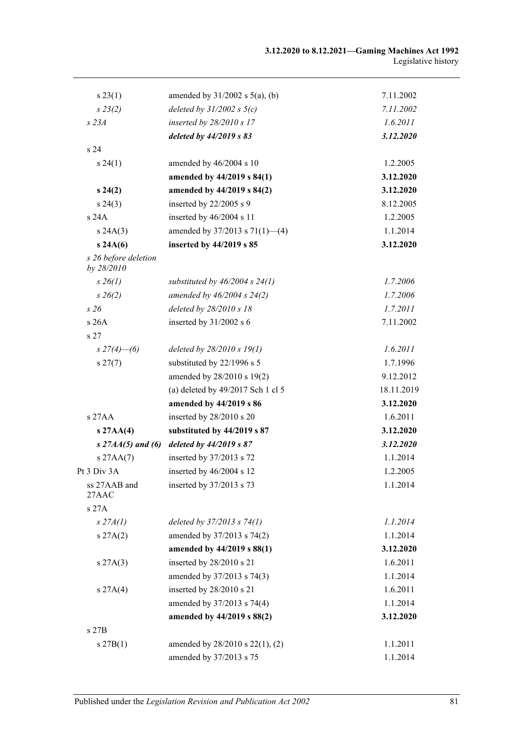| s 23(1)                            | amended by $31/2002$ s $5(a)$ , (b) | 7.11.2002  |
|------------------------------------|-------------------------------------|------------|
| $s\,23(2)$                         | deleted by $31/2002$ s $5(c)$       | 7.11.2002  |
| $s$ 23 $A$                         | inserted by 28/2010 s 17            | 1.6.2011   |
|                                    | deleted by $44/2019$ s $83$         | 3.12.2020  |
| s <sub>24</sub>                    |                                     |            |
| s 24(1)                            | amended by 46/2004 s 10             | 1.2.2005   |
|                                    | amended by 44/2019 s 84(1)          | 3.12.2020  |
| $s\,24(2)$                         | amended by 44/2019 s 84(2)          | 3.12.2020  |
| $s\,24(3)$                         | inserted by 22/2005 s 9             | 8.12.2005  |
| s 24A                              | inserted by 46/2004 s 11            | 1.2.2005   |
| s 24A(3)                           | amended by $37/2013$ s $71(1)$ —(4) | 1.1.2014   |
| s 24A(6)                           | inserted by 44/2019 s 85            | 3.12.2020  |
| s 26 before deletion<br>by 28/2010 |                                     |            |
| $s \, 26(1)$                       | substituted by $46/2004$ s $24(1)$  | 1.7.2006   |
| $s\,26(2)$                         | amended by $46/2004$ s $24(2)$      | 1.7.2006   |
| s26                                | deleted by 28/2010 s 18             | 1.7.2011   |
| s26A                               | inserted by 31/2002 s 6             | 7.11.2002  |
| s <sub>27</sub>                    |                                     |            |
| $s \frac{27(4) - (6)}{ }$          | deleted by $28/2010 s 19(1)$        | 1.6.2011   |
| $s\,27(7)$                         | substituted by 22/1996 s 5          | 1.7.1996   |
|                                    | amended by 28/2010 s 19(2)          | 9.12.2012  |
|                                    | (a) deleted by 49/2017 Sch 1 cl 5   | 18.11.2019 |
|                                    | amended by 44/2019 s 86             | 3.12.2020  |
| $s$ 27AA                           | inserted by 28/2010 s 20            | 1.6.2011   |
| s 27AA(4)                          | substituted by 44/2019 s 87         | 3.12.2020  |
| s $27AA(5)$ and (6)                | deleted by $44/2019 s 87$           | 3.12.2020  |
| $s$ 27AA $(7)$                     | inserted by 37/2013 s 72            | 1.1.2014   |
| Pt 3 Div 3A                        | inserted by 46/2004 s 12            | 1.2.2005   |
| ss 27AAB and<br>27AAC              | inserted by 37/2013 s 73            | 1.1.2014   |
| s 27A                              |                                     |            |
| $s\,27A(1)$                        | deleted by $37/2013$ s $74(1)$      | 1.1.2014   |
| s 27A(2)                           | amended by 37/2013 s 74(2)          | 1.1.2014   |
|                                    | amended by 44/2019 s 88(1)          | 3.12.2020  |
| s 27A(3)                           | inserted by 28/2010 s 21            | 1.6.2011   |
|                                    | amended by 37/2013 s 74(3)          | 1.1.2014   |
| s 27A(4)                           | inserted by 28/2010 s 21            | 1.6.2011   |
|                                    | amended by 37/2013 s 74(4)          | 1.1.2014   |
|                                    | amended by 44/2019 s 88(2)          | 3.12.2020  |
| s 27B                              |                                     |            |
| s 27B(1)                           | amended by 28/2010 s 22(1), (2)     | 1.1.2011   |
|                                    | amended by 37/2013 s 75             | 1.1.2014   |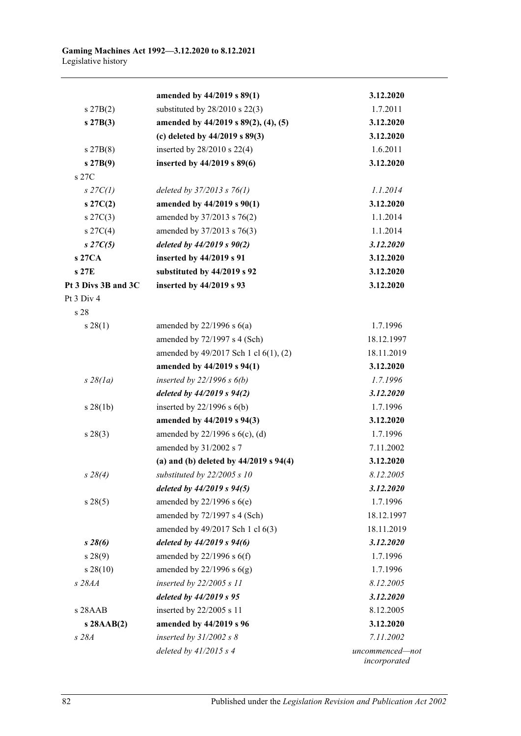|                     | amended by 44/2019 s 89(1)                 | 3.12.2020                       |
|---------------------|--------------------------------------------|---------------------------------|
| $s\,27B(2)$         | substituted by $28/2010$ s $22(3)$         | 1.7.2011                        |
| $s\,27B(3)$         | amended by 44/2019 s 89(2), (4), (5)       | 3.12.2020                       |
|                     | (c) deleted by $44/2019$ s $89(3)$         | 3.12.2020                       |
| $s\,27B(8)$         | inserted by $28/2010$ s $22(4)$            | 1.6.2011                        |
| s 27B(9)            | inserted by 44/2019 s 89(6)                | 3.12.2020                       |
| s 27C               |                                            |                                 |
| $s$ 27C(1)          | deleted by $37/2013$ s $76(1)$             | 1.1.2014                        |
| $s\,27C(2)$         | amended by 44/2019 s 90(1)                 | 3.12.2020                       |
| $s \, 27C(3)$       | amended by 37/2013 s 76(2)                 | 1.1.2014                        |
| $s \, 27C(4)$       | amended by 37/2013 s 76(3)                 | 1.1.2014                        |
| $s\,27C(5)$         | deleted by $44/2019$ s $90(2)$             | 3.12.2020                       |
| s 27CA              | inserted by 44/2019 s 91                   | 3.12.2020                       |
| s 27E               | substituted by 44/2019 s 92                | 3.12.2020                       |
| Pt 3 Divs 3B and 3C | inserted by 44/2019 s 93                   | 3.12.2020                       |
| Pt 3 Div 4          |                                            |                                 |
| s 28                |                                            |                                 |
| s 28(1)             | amended by $22/1996$ s $6(a)$              | 1.7.1996                        |
|                     | amended by 72/1997 s 4 (Sch)               | 18.12.1997                      |
|                     | amended by 49/2017 Sch 1 cl 6(1), (2)      | 18.11.2019                      |
|                     | amended by 44/2019 s 94(1)                 | 3.12.2020                       |
| $s\,28(1a)$         | inserted by $22/1996 s 6(b)$               | 1.7.1996                        |
|                     | deleted by $44/2019$ s $94(2)$             | 3.12.2020                       |
| $s \, 28(1b)$       | inserted by $22/1996$ s $6(b)$             | 1.7.1996                        |
|                     | amended by 44/2019 s 94(3)                 | 3.12.2020                       |
| s 28(3)             | amended by $22/1996$ s $6(c)$ , (d)        | 1.7.1996                        |
|                     | amended by 31/2002 s 7                     | 7.11.2002                       |
|                     | (a) and (b) deleted by $44/2019$ s $94(4)$ | 3.12.2020                       |
| $s\,28(4)$          | substituted by 22/2005 s 10                | 8.12.2005                       |
|                     | deleted by $44/2019$ s $94(5)$             | 3.12.2020                       |
| s 28(5)             | amended by $22/1996$ s $6(e)$              | 1.7.1996                        |
|                     | amended by 72/1997 s 4 (Sch)               | 18.12.1997                      |
|                     | amended by 49/2017 Sch 1 cl 6(3)           | 18.11.2019                      |
| $s\,28(6)$          | deleted by $44/2019$ s $94(6)$             | 3.12.2020                       |
| s 28(9)             | amended by $22/1996$ s $6(f)$              | 1.7.1996                        |
| $s\,28(10)$         | amended by $22/1996$ s $6(g)$              | 1.7.1996                        |
| s 28AA              | inserted by $22/2005 s$ 11                 | 8.12.2005                       |
|                     | deleted by 44/2019 s 95                    | 3.12.2020                       |
| $s$ 28 $A$ $AB$     | inserted by 22/2005 s 11                   | 8.12.2005                       |
| $s$ 28AAB(2)        | amended by 44/2019 s 96                    | 3.12.2020                       |
| s 28A               | inserted by $31/2002 s 8$                  | 7.11.2002                       |
|                     | deleted by $41/2015$ s 4                   | uncommenced-not<br>incorporated |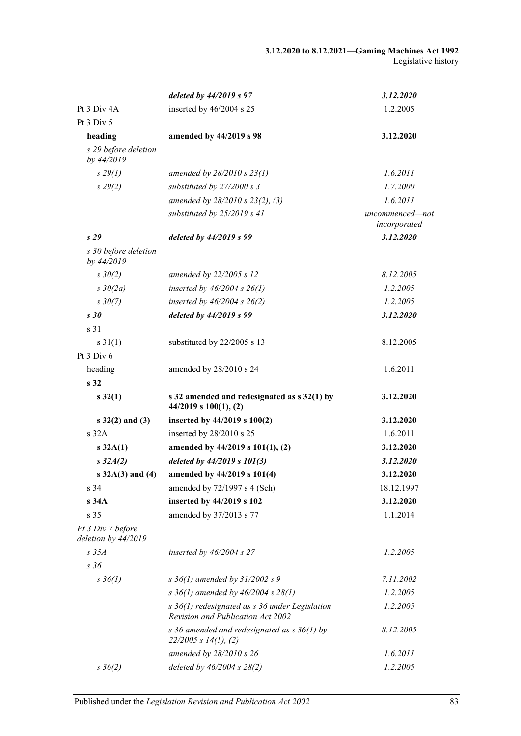|                                          | deleted by $44/2019 s 97$                                                               | 3.12.2020                       |
|------------------------------------------|-----------------------------------------------------------------------------------------|---------------------------------|
| Pt 3 Div 4A                              | inserted by 46/2004 s 25                                                                | 1.2.2005                        |
| Pt 3 Div 5                               |                                                                                         |                                 |
| heading                                  | amended by 44/2019 s 98                                                                 | 3.12.2020                       |
| s 29 before deletion<br>by 44/2019       |                                                                                         |                                 |
| $s\,29(1)$                               | amended by $28/2010 s 23(1)$                                                            | 1.6.2011                        |
| $s\,29(2)$                               | substituted by $27/2000 s 3$                                                            | 1.7.2000                        |
|                                          | amended by 28/2010 s 23(2), (3)                                                         | 1.6.2011                        |
|                                          | substituted by $25/2019$ s 41                                                           | uncommenced-not<br>incorporated |
| s29                                      | deleted by $44/2019 s 99$                                                               | 3.12.2020                       |
| s 30 before deletion<br>by 44/2019       |                                                                                         |                                 |
| $s \frac{30}{2}$                         | amended by 22/2005 s 12                                                                 | 8.12.2005                       |
| $s \frac{30}{2a}$                        | inserted by $46/2004$ s $26(1)$                                                         | 1.2.2005                        |
| $s \frac{30(7)}{2}$                      | inserted by $46/2004$ s $26(2)$                                                         | 1.2.2005                        |
| s30                                      | deleted by 44/2019 s 99                                                                 | 3.12.2020                       |
| s 31                                     |                                                                                         |                                 |
| $s \, 31(1)$                             | substituted by 22/2005 s 13                                                             | 8.12.2005                       |
| Pt 3 Div 6                               |                                                                                         |                                 |
| heading                                  | amended by 28/2010 s 24                                                                 | 1.6.2011                        |
| s 32                                     |                                                                                         |                                 |
| $s\,32(1)$                               | s 32 amended and redesignated as s 32(1) by<br>$44/2019$ s $100(1)$ , (2)               | 3.12.2020                       |
| $s$ 32(2) and (3)                        | inserted by $44/2019$ s $100(2)$                                                        | 3.12.2020                       |
| s 32A                                    | inserted by 28/2010 s 25                                                                | 1.6.2011                        |
| $s\,32A(1)$                              | amended by 44/2019 s 101(1), (2)                                                        | 3.12.2020                       |
| $s\,32A(2)$                              | deleted by 44/2019 s 101(3)                                                             | 3.12.2020                       |
| s $32A(3)$ and (4)                       | amended by 44/2019 s 101(4)                                                             | 3.12.2020                       |
| s <sub>34</sub>                          | amended by 72/1997 s 4 (Sch)                                                            | 18.12.1997                      |
| s 34A                                    | inserted by 44/2019 s 102                                                               | 3.12.2020                       |
| s 35                                     | amended by 37/2013 s 77                                                                 | 1.1.2014                        |
| Pt 3 Div 7 before<br>deletion by 44/2019 |                                                                                         |                                 |
| $s$ 35 $A$                               | inserted by $46/2004$ s 27                                                              | 1.2.2005                        |
| s 36                                     |                                                                                         |                                 |
| $s \, 36(1)$                             | s $36(1)$ amended by $31/2002$ s 9                                                      | 7.11.2002                       |
|                                          | s 36(1) amended by 46/2004 s 28(1)                                                      | 1.2.2005                        |
|                                          | $s$ 36(1) redesignated as $s$ 36 under Legislation<br>Revision and Publication Act 2002 | 1.2.2005                        |
|                                          | s 36 amended and redesignated as $s$ 36(1) by<br>22/2005 s 14(1), (2)                   | 8.12.2005                       |
|                                          | amended by 28/2010 s 26                                                                 | 1.6.2011                        |
| $s \; 36(2)$                             | deleted by 46/2004 s 28(2)                                                              | 1.2.2005                        |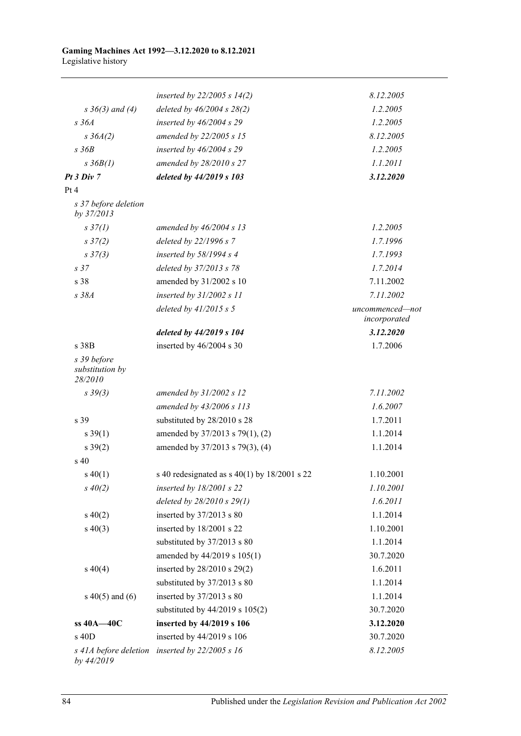|                                           | inserted by $22/2005 s 14(2)$                    | 8.12.2005                       |
|-------------------------------------------|--------------------------------------------------|---------------------------------|
| $s \; 36(3)$ and (4)                      | deleted by $46/2004 s 28(2)$                     | 1.2.2005                        |
| $s\,36A$                                  | inserted by $46/2004$ s 29                       | 1.2.2005                        |
| $s \, 36A(2)$                             | amended by 22/2005 s 15                          | 8.12.2005                       |
| $s\,36B$                                  | inserted by $46/2004$ s 29                       | 1.2.2005                        |
| $s \frac{3}{6}B(1)$                       | amended by 28/2010 s 27                          | 1.1.2011                        |
| Pt3 Div7                                  | deleted by 44/2019 s 103                         | 3.12.2020                       |
| Pt 4                                      |                                                  |                                 |
| s 37 before deletion<br>by 37/2013        |                                                  |                                 |
| $s \frac{37}{l}$                          | amended by $46/2004$ s 13                        | 1.2.2005                        |
| s37(2)                                    | deleted by 22/1996 s 7                           | 1.7.1996                        |
| $s \frac{37(3)}{2}$                       | inserted by $58/1994 s 4$                        | 1.7.1993                        |
| s <sub>37</sub>                           | deleted by 37/2013 s 78                          | 1.7.2014                        |
| s 38                                      | amended by 31/2002 s 10                          | 7.11.2002                       |
| s 38A                                     | inserted by $31/2002 s 11$                       | 7.11.2002                       |
|                                           | deleted by $41/2015 s 5$                         | uncommenced-not<br>incorporated |
|                                           | deleted by 44/2019 s 104                         | 3.12.2020                       |
| s 38B                                     | inserted by 46/2004 s 30                         | 1.7.2006                        |
| s 39 before<br>substitution by<br>28/2010 |                                                  |                                 |
| $s \frac{39(3)}{3}$                       | amended by $31/2002$ s 12                        | 7.11.2002                       |
|                                           | amended by 43/2006 s 113                         | 1.6.2007                        |
| s 39                                      | substituted by 28/2010 s 28                      | 1.7.2011                        |
| $s \, 39(1)$                              | amended by 37/2013 s 79(1), (2)                  | 1.1.2014                        |
| $s \, 39(2)$                              | amended by 37/2013 s 79(3), (4)                  | 1.1.2014                        |
| s <sub>40</sub>                           |                                                  |                                 |
| $s\,40(1)$                                | s 40 redesignated as s $40(1)$ by $18/2001$ s 22 | 1.10.2001                       |
| $s\,40(2)$                                | inserted by $18/2001$ s 22                       | 1.10.2001                       |
|                                           | deleted by $28/2010 s 29(1)$                     | 1.6.2011                        |
| $s\ 40(2)$                                | inserted by 37/2013 s 80                         | 1.1.2014                        |
| $s\ 40(3)$                                | inserted by 18/2001 s 22                         | 1.10.2001                       |
|                                           | substituted by 37/2013 s 80                      | 1.1.2014                        |
|                                           | amended by 44/2019 s 105(1)                      | 30.7.2020                       |
| $s\ 40(4)$                                | inserted by 28/2010 s 29(2)                      | 1.6.2011                        |
|                                           | substituted by 37/2013 s 80                      | 1.1.2014                        |
| s $40(5)$ and $(6)$                       | inserted by 37/2013 s 80                         | 1.1.2014                        |
|                                           | substituted by $44/2019$ s $105(2)$              | 30.7.2020                       |
| ss 40A-40C                                | inserted by 44/2019 s 106                        | 3.12.2020                       |
| $s$ 40D                                   | inserted by 44/2019 s 106                        | 30.7.2020                       |
| by 44/2019                                | s 41A before deletion inserted by $22/2005$ s 16 | 8.12.2005                       |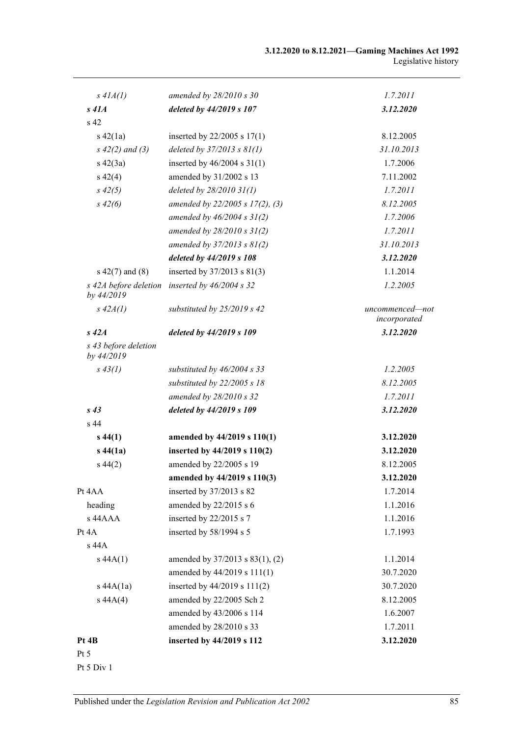| $s$ 41 $A(1)$                       | amended by $28/2010 s 30$            | 1.7.2011                        |
|-------------------------------------|--------------------------------------|---------------------------------|
| $s$ 41 $A$                          | deleted by 44/2019 s 107             | 3.12.2020                       |
| s <sub>42</sub>                     |                                      |                                 |
| $s\ 42(1a)$                         | inserted by $22/2005$ s $17(1)$      | 8.12.2005                       |
| $s\ 42(2)$ and (3)                  | deleted by $37/2013$ s $81(1)$       | 31.10.2013                      |
| $s\ 42(3a)$                         | inserted by $46/2004$ s $31(1)$      | 1.7.2006                        |
| $s\ 42(4)$                          | amended by 31/2002 s 13              | 7.11.2002                       |
| $s\,42(5)$                          | deleted by 28/2010 31(1)             | 1.7.2011                        |
| $s\,42(6)$                          | amended by $22/2005$ s $17(2)$ , (3) | 8.12.2005                       |
|                                     | amended by $46/2004 s 31(2)$         | 1.7.2006                        |
|                                     | amended by $28/2010 s 31(2)$         | 1.7.2011                        |
|                                     | amended by $37/2013$ s $81(2)$       | 31.10.2013                      |
|                                     | deleted by 44/2019 s 108             | 3.12.2020                       |
| $s\ 42(7)$ and $(8)$                | inserted by 37/2013 s 81(3)          | 1.1.2014                        |
| s 42A before deletion<br>by 44/2019 | inserted by 46/2004 s 32             | 1.2.2005                        |
| $s$ 42 $A(1)$                       | substituted by $25/2019$ s 42        | uncommenced-not<br>incorporated |
| $s\,42A$                            | deleted by 44/2019 s 109             | 3.12.2020                       |
| s 43 before deletion<br>by 44/2019  |                                      |                                 |
| $s\,43(1)$                          | substituted by $46/2004$ s 33        | 1.2.2005                        |
|                                     | substituted by 22/2005 s 18          | 8.12.2005                       |
|                                     | amended by 28/2010 s 32              | 1.7.2011                        |
| $s\,43$                             | deleted by 44/2019 s 109             | 3.12.2020                       |
| s <sub>44</sub>                     |                                      |                                 |
| $s\,44(1)$                          | amended by 44/2019 s 110(1)          | 3.12.2020                       |
| $s\,44(1a)$                         | inserted by 44/2019 s 110(2)         | 3.12.2020                       |
| $s\,44(2)$                          | amended by 22/2005 s 19              | 8.12.2005                       |
|                                     | amended by 44/2019 s 110(3)          | 3.12.2020                       |
| Pt 4AA                              | inserted by 37/2013 s 82             | 1.7.2014                        |
| heading                             | amended by 22/2015 s 6               | 1.1.2016                        |
| s 44AAA                             | inserted by 22/2015 s 7              | 1.1.2016                        |
| Pt 4A                               | inserted by 58/1994 s 5              | 1.7.1993                        |
| s 44A                               |                                      |                                 |
| $s\,44A(1)$                         | amended by 37/2013 s 83(1), (2)      | 1.1.2014                        |
|                                     | amended by 44/2019 s 111(1)          | 30.7.2020                       |
| $s$ 44A $(1a)$                      | inserted by 44/2019 s 111(2)         | 30.7.2020                       |
| s 44A(4)                            | amended by 22/2005 Sch 2             | 8.12.2005                       |
|                                     | amended by 43/2006 s 114             | 1.6.2007                        |
|                                     | amended by 28/2010 s 33              | 1.7.2011                        |
| Pt 4B                               | inserted by 44/2019 s 112            | 3.12.2020                       |
| Pt $5$                              |                                      |                                 |

Pt 5 Div 1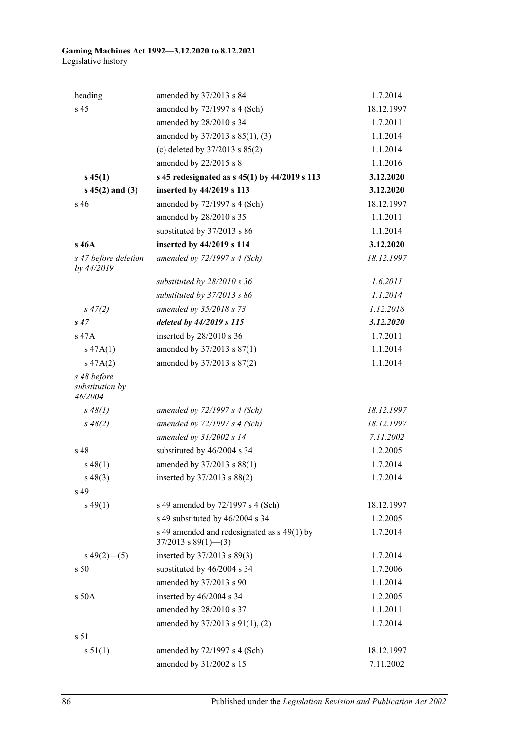| heading                                   | amended by 37/2013 s 84                                                | 1.7.2014   |
|-------------------------------------------|------------------------------------------------------------------------|------------|
| s 45                                      | amended by 72/1997 s 4 (Sch)                                           | 18.12.1997 |
|                                           | amended by 28/2010 s 34                                                | 1.7.2011   |
|                                           | amended by 37/2013 s 85(1), (3)                                        | 1.1.2014   |
|                                           | (c) deleted by 37/2013 s 85(2)                                         | 1.1.2014   |
|                                           | amended by 22/2015 s 8                                                 | 1.1.2016   |
| $s\,45(1)$                                | s 45 redesignated as s 45(1) by 44/2019 s 113                          | 3.12.2020  |
| $s\,45(2)$ and (3)                        | inserted by 44/2019 s 113                                              | 3.12.2020  |
| s 46                                      | amended by 72/1997 s 4 (Sch)                                           | 18.12.1997 |
|                                           | amended by 28/2010 s 35                                                | 1.1.2011   |
|                                           | substituted by 37/2013 s 86                                            | 1.1.2014   |
| s 46A                                     | inserted by 44/2019 s 114                                              | 3.12.2020  |
| s 47 before deletion<br>by 44/2019        | amended by $72/1997 s 4$ (Sch)                                         | 18.12.1997 |
|                                           | substituted by 28/2010 s 36                                            | 1.6.2011   |
|                                           | substituted by 37/2013 s 86                                            | 1.1.2014   |
| $s\,47(2)$                                | amended by 35/2018 s 73                                                | 1.12.2018  |
| s47                                       | deleted by 44/2019 s 115                                               | 3.12.2020  |
| s 47A                                     | inserted by 28/2010 s 36                                               | 1.7.2011   |
| $s\,47A(1)$                               | amended by 37/2013 s 87(1)                                             | 1.1.2014   |
| $s\,47A(2)$                               | amended by 37/2013 s 87(2)                                             | 1.1.2014   |
| s 48 before<br>substitution by<br>46/2004 |                                                                        |            |
| $s\,48(1)$                                | amended by $72/1997 s 4$ (Sch)                                         | 18.12.1997 |
| $s\,48(2)$                                | amended by $72/1997 s 4$ (Sch)                                         | 18.12.1997 |
|                                           | amended by 31/2002 s 14                                                | 7.11.2002  |
| s 48                                      | substituted by 46/2004 s 34                                            | 1.2.2005   |
| $s\,48(1)$                                | amended by 37/2013 s 88(1)                                             | 1.7.2014   |
| $s\,48(3)$                                | inserted by 37/2013 s 88(2)                                            | 1.7.2014   |
| s 49                                      |                                                                        |            |
| $s\,49(1)$                                | s 49 amended by 72/1997 s 4 (Sch)                                      | 18.12.1997 |
|                                           | s 49 substituted by 46/2004 s 34                                       | 1.2.2005   |
|                                           | s 49 amended and redesignated as s 49(1) by<br>$37/2013$ s $89(1)$ (3) | 1.7.2014   |
| $s\,49(2)$ (5)                            | inserted by 37/2013 s 89(3)                                            | 1.7.2014   |
| s 50                                      | substituted by 46/2004 s 34                                            | 1.7.2006   |
|                                           | amended by 37/2013 s 90                                                | 1.1.2014   |
| s 50A                                     | inserted by 46/2004 s 34                                               | 1.2.2005   |
|                                           | amended by 28/2010 s 37                                                | 1.1.2011   |
|                                           | amended by 37/2013 s 91(1), (2)                                        | 1.7.2014   |
| s <sub>51</sub>                           |                                                                        |            |
| s 51(1)                                   | amended by 72/1997 s 4 (Sch)                                           | 18.12.1997 |
|                                           | amended by 31/2002 s 15                                                | 7.11.2002  |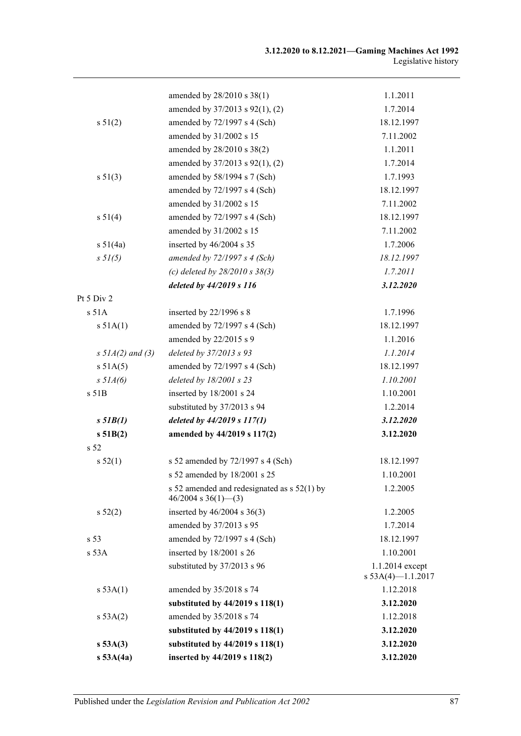|                       | amended by 28/2010 s 38(1)                                             | 1.1.2011                                |
|-----------------------|------------------------------------------------------------------------|-----------------------------------------|
|                       | amended by 37/2013 s 92(1), (2)                                        | 1.7.2014                                |
| s 51(2)               | amended by 72/1997 s 4 (Sch)                                           | 18.12.1997                              |
|                       | amended by 31/2002 s 15                                                | 7.11.2002                               |
|                       | amended by 28/2010 s 38(2)                                             | 1.1.2011                                |
|                       | amended by 37/2013 s 92(1), (2)                                        | 1.7.2014                                |
| s 51(3)               | amended by 58/1994 s 7 (Sch)                                           | 1.7.1993                                |
|                       | amended by 72/1997 s 4 (Sch)                                           | 18.12.1997                              |
|                       | amended by 31/2002 s 15                                                | 7.11.2002                               |
| s 51(4)               | amended by 72/1997 s 4 (Sch)                                           | 18.12.1997                              |
|                       | amended by 31/2002 s 15                                                | 7.11.2002                               |
| s 51(4a)              | inserted by 46/2004 s 35                                               | 1.7.2006                                |
| $s \, 51(5)$          | amended by $72/1997 s 4$ (Sch)                                         | 18.12.1997                              |
|                       | (c) deleted by $28/2010 s 38(3)$                                       | 1.7.2011                                |
|                       | deleted by 44/2019 s 116                                               | 3.12.2020                               |
| Pt 5 Div 2            |                                                                        |                                         |
| s 51A                 | inserted by 22/1996 s 8                                                | 1.7.1996                                |
| s 51A(1)              | amended by 72/1997 s 4 (Sch)                                           | 18.12.1997                              |
|                       | amended by 22/2015 s 9                                                 | 1.1.2016                                |
| $s \, 5IA(2)$ and (3) | deleted by 37/2013 s 93                                                | 1.1.2014                                |
| s 51A(5)              | amended by 72/1997 s 4 (Sch)                                           | 18.12.1997                              |
| $s$ 51 $A(6)$         | deleted by $18/2001$ s $23$                                            | 1.10.2001                               |
| s 51B                 | inserted by 18/2001 s 24                                               | 1.10.2001                               |
|                       | substituted by 37/2013 s 94                                            | 1.2.2014                                |
| $s$ 51 $B(1)$         | deleted by 44/2019 s 117(1)                                            | 3.12.2020                               |
| s 51B(2)              | amended by 44/2019 s 117(2)                                            | 3.12.2020                               |
| s <sub>52</sub>       |                                                                        |                                         |
| s 52(1)               | s 52 amended by 72/1997 s 4 (Sch)                                      | 18.12.1997                              |
|                       | s 52 amended by 18/2001 s 25                                           | 1.10.2001                               |
|                       | s 52 amended and redesignated as $s$ 52(1) by<br>$46/2004$ s 36(1)–(3) | 1.2.2005                                |
| s 52(2)               | inserted by $46/2004$ s $36(3)$                                        | 1.2.2005                                |
|                       | amended by 37/2013 s 95                                                | 1.7.2014                                |
| s <sub>53</sub>       | amended by 72/1997 s 4 (Sch)                                           | 18.12.1997                              |
| s 53A                 | inserted by 18/2001 s 26                                               | 1.10.2001                               |
|                       | substituted by 37/2013 s 96                                            | 1.1.2014 except<br>s $53A(4)$ -1.1.2017 |
| s 53A(1)              | amended by 35/2018 s 74                                                | 1.12.2018                               |
|                       | substituted by 44/2019 s 118(1)                                        | 3.12.2020                               |
| s 53A(2)              | amended by 35/2018 s 74                                                | 1.12.2018                               |
|                       | substituted by 44/2019 s 118(1)                                        | 3.12.2020                               |
| s 53A(3)              | substituted by 44/2019 s 118(1)                                        | 3.12.2020                               |
| $s$ 53A $(4a)$        | inserted by 44/2019 s 118(2)                                           | 3.12.2020                               |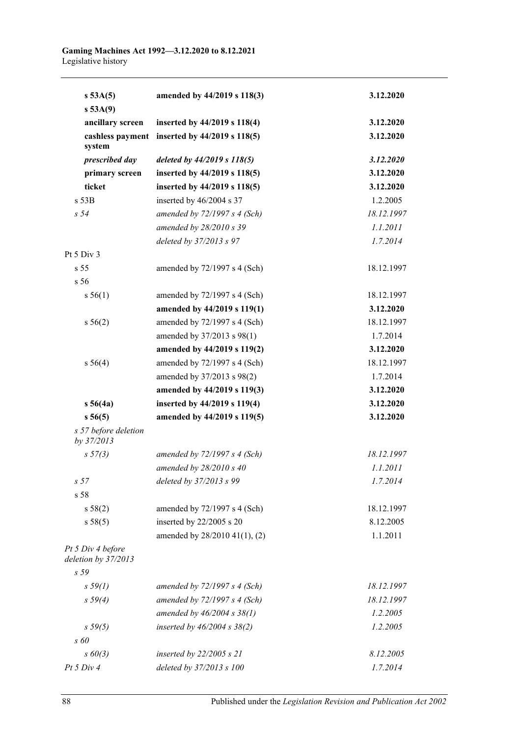| s 53A(5)<br>s 53A(9)                     | amended by 44/2019 s 118(3)                   | 3.12.2020  |
|------------------------------------------|-----------------------------------------------|------------|
| ancillary screen                         | inserted by 44/2019 s 118(4)                  | 3.12.2020  |
| system                                   | cashless payment inserted by 44/2019 s 118(5) | 3.12.2020  |
| prescribed day                           | deleted by 44/2019 s 118(5)                   | 3.12.2020  |
| primary screen                           | inserted by 44/2019 s 118(5)                  | 3.12.2020  |
| ticket                                   | inserted by 44/2019 s 118(5)                  | 3.12.2020  |
| $s$ 53 $B$                               | inserted by 46/2004 s 37                      | 1.2.2005   |
| s <sub>54</sub>                          | amended by $72/1997 s 4 (Sch)$                | 18.12.1997 |
|                                          | amended by 28/2010 s 39                       | 1.1.2011   |
|                                          | deleted by 37/2013 s 97                       | 1.7.2014   |
| Pt 5 Div 3                               |                                               |            |
| s <sub>55</sub>                          | amended by 72/1997 s 4 (Sch)                  | 18.12.1997 |
| s <sub>56</sub>                          |                                               |            |
| s 56(1)                                  | amended by 72/1997 s 4 (Sch)                  | 18.12.1997 |
|                                          | amended by 44/2019 s 119(1)                   | 3.12.2020  |
| s 56(2)                                  | amended by 72/1997 s 4 (Sch)                  | 18.12.1997 |
|                                          | amended by 37/2013 s 98(1)                    | 1.7.2014   |
|                                          | amended by 44/2019 s 119(2)                   | 3.12.2020  |
| s 56(4)                                  | amended by 72/1997 s 4 (Sch)                  | 18.12.1997 |
|                                          | amended by 37/2013 s 98(2)                    | 1.7.2014   |
|                                          | amended by 44/2019 s 119(3)                   | 3.12.2020  |
| s 56(4a)                                 | inserted by 44/2019 s 119(4)                  | 3.12.2020  |
| s 56(5)                                  | amended by 44/2019 s 119(5)                   | 3.12.2020  |
| s 57 before deletion<br>by 37/2013       |                                               |            |
| s 57(3)                                  | amended by $72/1997 s 4$ (Sch)                | 18.12.1997 |
|                                          | amended by $28/2010 s 40$                     | 1.1.2011   |
| s <sub>57</sub>                          | deleted by 37/2013 s 99                       | 1.7.2014   |
| s 58                                     |                                               |            |
| s 58(2)                                  | amended by 72/1997 s 4 (Sch)                  | 18.12.1997 |
| s 58(5)                                  | inserted by 22/2005 s 20                      | 8.12.2005  |
|                                          | amended by 28/2010 41(1), (2)                 | 1.1.2011   |
| Pt 5 Div 4 before<br>deletion by 37/2013 |                                               |            |
| s <sub>59</sub>                          |                                               |            |
| $s\,59(1)$                               | amended by $72/1997 s 4$ (Sch)                | 18.12.1997 |
| s 59(4)                                  | amended by $72/1997 s 4 (Sch)$                | 18.12.1997 |
|                                          | amended by $46/2004 s 38(1)$                  | 1.2.2005   |
| s 59(5)                                  | inserted by $46/2004 s 38(2)$                 | 1.2.2005   |
| $s\,60$                                  |                                               |            |
| $s\ 60(3)$                               | inserted by $22/2005 s 21$                    | 8.12.2005  |
| Pt 5 Div 4                               | deleted by 37/2013 s 100                      | 1.7.2014   |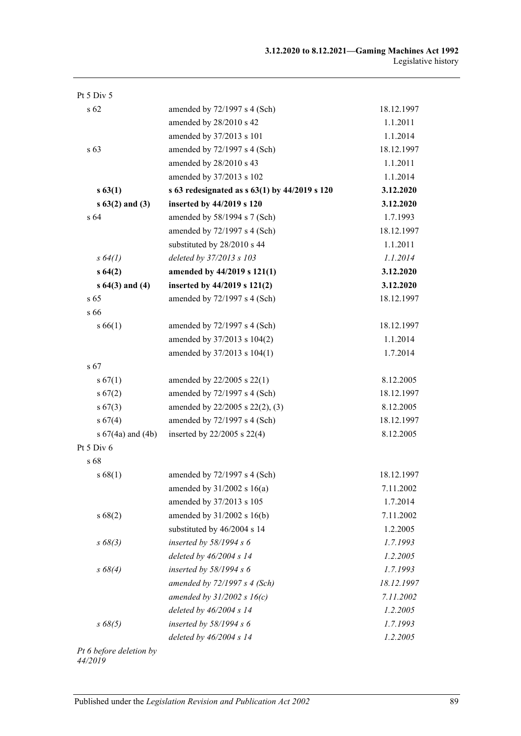| Pt $5$ Div $5$      |                                                   |            |
|---------------------|---------------------------------------------------|------------|
| s 62                | amended by $72/1997$ s 4 (Sch)                    | 18.12.1997 |
|                     | amended by 28/2010 s 42                           | 1.1.2011   |
|                     | amended by 37/2013 s 101                          | 1.1.2014   |
| s 63                | amended by $72/1997$ s 4 (Sch)                    | 18.12.1997 |
|                     | amended by 28/2010 s 43                           | 1.1.2011   |
|                     | amended by 37/2013 s 102                          | 1.1.2014   |
| s 63(1)             | s 63 redesignated as s $63(1)$ by $44/2019$ s 120 | 3.12.2020  |
| $s\,63(2)$ and (3)  | inserted by 44/2019 s 120                         | 3.12.2020  |
| s <sub>64</sub>     | amended by 58/1994 s 7 (Sch)                      | 1.7.1993   |
|                     | amended by 72/1997 s 4 (Sch)                      | 18.12.1997 |
|                     | substituted by 28/2010 s 44                       | 1.1.2011   |
| $s \, 64(1)$        | deleted by 37/2013 s 103                          | 1.1.2014   |
| s64(2)              | amended by 44/2019 s 121(1)                       | 3.12.2020  |
| $s 64(3)$ and $(4)$ | inserted by 44/2019 s 121(2)                      | 3.12.2020  |
| $s\,65$             | amended by 72/1997 s 4 (Sch)                      | 18.12.1997 |
| s 66                |                                                   |            |
| s 66(1)             | amended by 72/1997 s 4 (Sch)                      | 18.12.1997 |
|                     | amended by 37/2013 s 104(2)                       | 1.1.2014   |
|                     | amended by 37/2013 s 104(1)                       | 1.7.2014   |
| s 67                |                                                   |            |
| s 67(1)             | amended by $22/2005$ s $22(1)$                    | 8.12.2005  |
| $s\,67(2)$          | amended by 72/1997 s 4 (Sch)                      | 18.12.1997 |
| $s\,67(3)$          | amended by 22/2005 s 22(2), (3)                   | 8.12.2005  |
| s 67(4)             | amended by 72/1997 s 4 (Sch)                      | 18.12.1997 |
| s 67(4a) and (4b)   | inserted by $22/2005$ s $22(4)$                   | 8.12.2005  |
| Pt 5 Div 6          |                                                   |            |
| s 68                |                                                   |            |
| s 68(1)             | amended by $72/1997$ s 4 (Sch)                    | 18.12.1997 |
|                     | amended by $31/2002$ s $16(a)$                    | 7.11.2002  |
|                     | amended by 37/2013 s 105                          | 1.7.2014   |
| s 68(2)             | amended by 31/2002 s 16(b)                        | 7.11.2002  |
|                     | substituted by 46/2004 s 14                       | 1.2.2005   |
| $s\,68(3)$          | inserted by $58/1994 s 6$                         | 1.7.1993   |
|                     | deleted by 46/2004 s 14                           | 1.2.2005   |
| $s\,68(4)$          | inserted by $58/1994 s 6$                         | 1.7.1993   |
|                     | amended by $72/1997 s 4$ (Sch)                    | 18.12.1997 |
|                     | amended by $31/2002 s 16(c)$                      | 7.11.2002  |
|                     | deleted by 46/2004 s 14                           | 1.2.2005   |
| $s\,68(5)$          | inserted by $58/1994 s 6$                         | 1.7.1993   |
|                     | deleted by $46/2004$ s 14                         | 1.2.2005   |
|                     |                                                   |            |

*Pt 6 before deletion by 44/2019*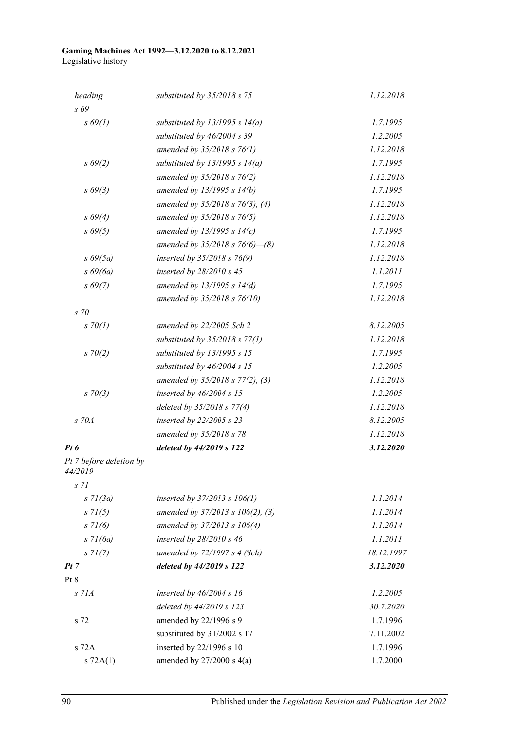| heading                            | substituted by $35/2018$ s 75        | 1.12.2018  |
|------------------------------------|--------------------------------------|------------|
| s 69                               |                                      |            |
| $s\,69(1)$                         | substituted by $13/1995 s 14(a)$     | 1.7.1995   |
|                                    | substituted by 46/2004 s 39          | 1.2.2005   |
|                                    | amended by $35/2018$ s $76(1)$       | 1.12.2018  |
| $s\,69(2)$                         | substituted by $13/1995 s 14(a)$     | 1.7.1995   |
|                                    | amended by 35/2018 s 76(2)           | 1.12.2018  |
| $s\,69(3)$                         | amended by $13/1995 s 14(b)$         | 1.7.1995   |
|                                    | amended by $35/2018$ s $76(3)$ , (4) | 1.12.2018  |
| $s\,69(4)$                         | amended by 35/2018 s 76(5)           | 1.12.2018  |
| $s\,69(5)$                         | amended by 13/1995 s 14(c)           | 1.7.1995   |
|                                    | amended by $35/2018$ s $76(6)$ - (8) | 1.12.2018  |
| $s\,69(5a)$                        | inserted by 35/2018 s 76(9)          | 1.12.2018  |
| $s\,69(6a)$                        | inserted by $28/2010 s 45$           | 1.1.2011   |
| $s\,69(7)$                         | amended by $13/1995 s 14(d)$         | 1.7.1995   |
|                                    | amended by 35/2018 s 76(10)          | 1.12.2018  |
| $s$ 70                             |                                      |            |
| $s \, 70(1)$                       | amended by 22/2005 Sch 2             | 8.12.2005  |
|                                    | substituted by $35/2018$ s $77(1)$   | 1.12.2018  |
| $s \, 70(2)$                       | substituted by 13/1995 s 15          | 1.7.1995   |
|                                    | substituted by 46/2004 s 15          | 1.2.2005   |
|                                    | amended by $35/2018$ s $77(2)$ , (3) | 1.12.2018  |
| $s \, 70(3)$                       | inserted by $46/2004 s$ 15           | 1.2.2005   |
|                                    | deleted by $35/2018$ s $77(4)$       | 1.12.2018  |
| $S$ 70 $A$                         | inserted by $22/2005$ s $23$         | 8.12.2005  |
|                                    | amended by 35/2018 s 78              | 1.12.2018  |
| Pt 6                               | deleted by 44/2019 s 122             | 3.12.2020  |
| Pt 7 before deletion by<br>44/2019 |                                      |            |
| S <sub>71</sub>                    |                                      |            |
| $s \, 7l(3a)$                      | inserted by 37/2013 s 106(1)         | 1.1.2014   |
| $s \, 71(5)$                       | amended by 37/2013 s 106(2), (3)     | 1.1.2014   |
| $s \, 71(6)$                       | amended by 37/2013 s 106(4)          | 1.1.2014   |
| $s$ 71(6a)                         | inserted by $28/2010 s 46$           | 1.1.2011   |
| $s \, 71(7)$                       | amended by $72/1997 s 4 (Sch)$       | 18.12.1997 |
| Pt 7                               | deleted by 44/2019 s 122             | 3.12.2020  |
| Pt 8                               |                                      |            |
| $S$ 71 $A$                         | inserted by $46/2004 s 16$           | 1.2.2005   |
|                                    | deleted by 44/2019 s 123             | 30.7.2020  |
| s 72                               | amended by 22/1996 s 9               | 1.7.1996   |
|                                    | substituted by 31/2002 s 17          | 7.11.2002  |
| s 72A                              | inserted by 22/1996 s 10             | 1.7.1996   |
| s 72A(1)                           | amended by $27/2000$ s $4(a)$        | 1.7.2000   |
|                                    |                                      |            |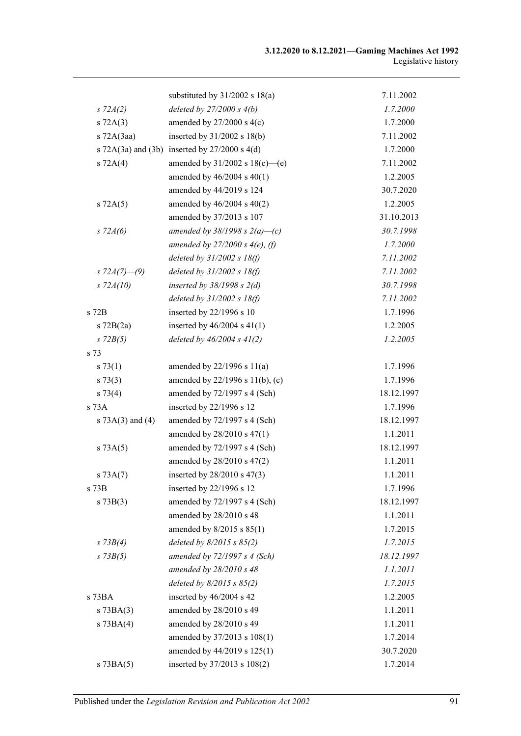|                  | substituted by $31/2002$ s $18(a)$              | 7.11.2002  |
|------------------|-------------------------------------------------|------------|
| $s \, 72A(2)$    | deleted by $27/2000 s 4(b)$                     | 1.7.2000   |
| $s$ 72A $(3)$    | amended by $27/2000$ s $4(c)$                   | 1.7.2000   |
| $s$ 72A $(3aa)$  | inserted by $31/2002$ s $18(b)$                 | 7.11.2002  |
|                  | s 72A(3a) and (3b) inserted by $27/2000$ s 4(d) | 1.7.2000   |
| $s \, 72A(4)$    | amended by $31/2002$ s $18(c)$ —(e)             | 7.11.2002  |
|                  | amended by 46/2004 s 40(1)                      | 1.2.2005   |
|                  | amended by 44/2019 s 124                        | 30.7.2020  |
| $s$ 72A $(5)$    | amended by $46/2004$ s $40(2)$                  | 1.2.2005   |
|                  | amended by 37/2013 s 107                        | 31.10.2013 |
| $s \, 72A(6)$    | amended by $38/1998$ s $2(a)$ –(c)              | 30.7.1998  |
|                  | amended by $27/2000 s 4(e)$ , (f)               | 1.7.2000   |
|                  | deleted by $31/2002$ s $18(f)$                  | 7.11.2002  |
| s $72A(7)$ —(9)  | deleted by $31/2002 s 18(f)$                    | 7.11.2002  |
| $s$ 72 $A(10)$   | inserted by $38/1998$ s $2(d)$                  | 30.7.1998  |
|                  | deleted by $31/2002$ s $18(f)$                  | 7.11.2002  |
| s 72B            | inserted by 22/1996 s 10                        | 1.7.1996   |
| $s$ 72B $(2a)$   | inserted by $46/2004$ s $41(1)$                 | 1.2.2005   |
| $s$ 72 $B(5)$    | deleted by $46/2004 s 41(2)$                    | 1.2.2005   |
| s 73             |                                                 |            |
| s 73(1)          | amended by $22/1996$ s $11(a)$                  | 1.7.1996   |
| s 73(3)          | amended by 22/1996 s 11(b), (c)                 | 1.7.1996   |
| s 73(4)          | amended by 72/1997 s 4 (Sch)                    | 18.12.1997 |
| $s\ 73A$         | inserted by 22/1996 s 12                        | 1.7.1996   |
| s 73A(3) and (4) | amended by $72/1997$ s 4 (Sch)                  | 18.12.1997 |
|                  | amended by 28/2010 s 47(1)                      | 1.1.2011   |
| s 73A(5)         | amended by 72/1997 s 4 (Sch)                    | 18.12.1997 |
|                  | amended by 28/2010 s 47(2)                      | 1.1.2011   |
| $s \, 73A(7)$    | inserted by 28/2010 s 47(3)                     | 1.1.2011   |
| s 73B            | inserted by 22/1996 s 12                        | 1.7.1996   |
| s 73B(3)         | amended by 72/1997 s 4 (Sch)                    | 18.12.1997 |
|                  | amended by 28/2010 s 48                         | 1.1.2011   |
|                  | amended by $8/2015$ s $85(1)$                   | 1.7.2015   |
| $s \, 73B(4)$    | deleted by $8/2015$ s $85(2)$                   | 1.7.2015   |
| $s$ 73 $B(5)$    | amended by $72/1997 s 4$ (Sch)                  | 18.12.1997 |
|                  | amended by 28/2010 s 48                         | 1.1.2011   |
|                  | deleted by $8/2015$ s $85(2)$                   | 1.7.2015   |
| s 73BA           | inserted by 46/2004 s 42                        | 1.2.2005   |
| $s$ 73BA $(3)$   | amended by 28/2010 s 49                         | 1.1.2011   |
| $s$ 73BA $(4)$   | amended by 28/2010 s 49                         | 1.1.2011   |
|                  | amended by 37/2013 s 108(1)                     | 1.7.2014   |
|                  | amended by 44/2019 s 125(1)                     | 30.7.2020  |
| $s$ 73BA $(5)$   | inserted by 37/2013 s 108(2)                    | 1.7.2014   |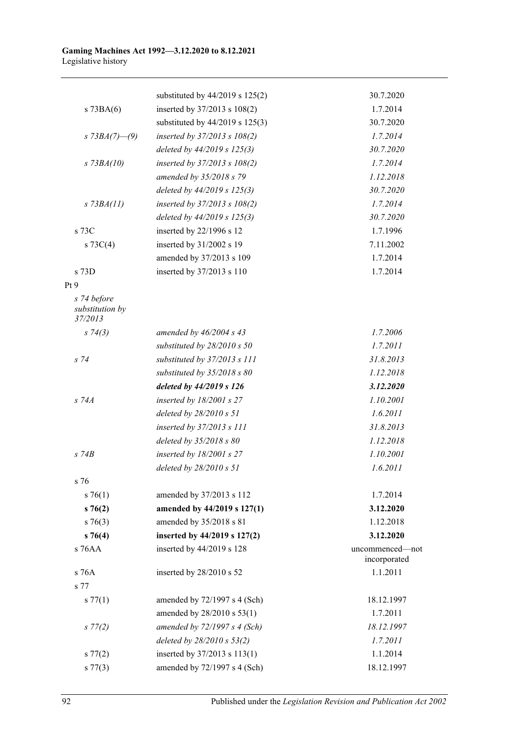|                                | substituted by 44/2019 s 125(2)  | 30.7.2020                       |
|--------------------------------|----------------------------------|---------------------------------|
| $s$ 73BA $(6)$                 | inserted by 37/2013 s 108(2)     | 1.7.2014                        |
|                                | substituted by 44/2019 s 125(3)  | 30.7.2020                       |
| s $73BA(7)$ —(9)               | inserted by 37/2013 s 108(2)     | 1.7.2014                        |
|                                | deleted by 44/2019 s 125(3)      | 30.7.2020                       |
| $s$ 73BA(10)                   | inserted by $37/2013$ s $108(2)$ | 1.7.2014                        |
|                                | amended by 35/2018 s 79          | 1.12.2018                       |
|                                | deleted by 44/2019 s 125(3)      | 30.7.2020                       |
| $s$ 73BA(11)                   | inserted by 37/2013 s 108(2)     | 1.7.2014                        |
|                                | deleted by 44/2019 s 125(3)      | 30.7.2020                       |
| s 73C                          | inserted by 22/1996 s 12         | 1.7.1996                        |
| s $73C(4)$                     | inserted by 31/2002 s 19         | 7.11.2002                       |
|                                | amended by 37/2013 s 109         | 1.7.2014                        |
| s 73D                          | inserted by 37/2013 s 110        | 1.7.2014                        |
| Pt <sub>9</sub>                |                                  |                                 |
| s 74 before<br>substitution by |                                  |                                 |
| 37/2013                        |                                  |                                 |
| $s \, 74(3)$                   | amended by $46/2004$ s $43$      | 1.7.2006                        |
|                                | substituted by $28/2010 s 50$    | 1.7.2011                        |
| $s\,74$                        | substituted by 37/2013 s 111     | 31.8.2013                       |
|                                | substituted by $35/2018$ s 80    | 1.12.2018                       |
|                                | deleted by 44/2019 s 126         | 3.12.2020                       |
| s 74A                          | inserted by $18/2001$ s 27       | 1.10.2001                       |
|                                | deleted by $28/2010 s 51$        | 1.6.2011                        |
|                                | inserted by 37/2013 s 111        | 31.8.2013                       |
|                                | deleted by 35/2018 s 80          | 1.12.2018                       |
| $s$ 74 $B$                     | inserted by 18/2001 s 27         | 1.10.2001                       |
|                                | deleted by 28/2010 s 51          | 1.6.2011                        |
| s 76                           |                                  |                                 |
| $s \, 76(1)$                   | amended by 37/2013 s 112         | 1.7.2014                        |
| s76(2)                         | amended by 44/2019 s 127(1)      | 3.12.2020                       |
| $s \, 76(3)$                   | amended by 35/2018 s 81          | 1.12.2018                       |
| $s \, 76(4)$                   | inserted by 44/2019 s 127(2)     | 3.12.2020                       |
| s 76AA                         | inserted by 44/2019 s 128        | uncommenced-not<br>incorporated |
| s 76A                          | inserted by 28/2010 s 52         | 1.1.2011                        |
| s 77                           |                                  |                                 |
| s 77(1)                        | amended by $72/1997$ s 4 (Sch)   | 18.12.1997                      |
|                                | amended by 28/2010 s 53(1)       | 1.7.2011                        |
| $s\,77(2)$                     | amended by $72/1997 s 4$ (Sch)   | 18.12.1997                      |
|                                | deleted by $28/2010 s 53(2)$     | 1.7.2011                        |
| s 77(2)                        | inserted by 37/2013 s 113(1)     | 1.1.2014                        |
| s 77(3)                        | amended by 72/1997 s 4 (Sch)     | 18.12.1997                      |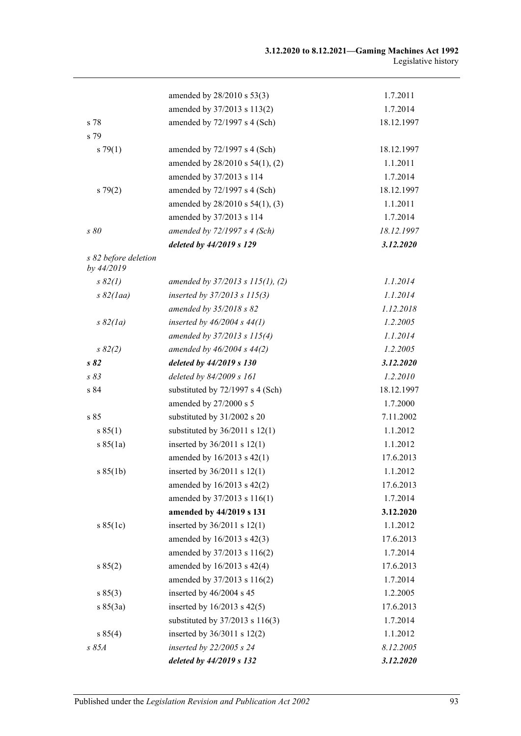|                                    | amended by 28/2010 s 53(3)         | 1.7.2011   |
|------------------------------------|------------------------------------|------------|
|                                    | amended by 37/2013 s 113(2)        | 1.7.2014   |
| s 78                               | amended by 72/1997 s 4 (Sch)       | 18.12.1997 |
| s 79                               |                                    |            |
| s79(1)                             | amended by $72/1997$ s 4 (Sch)     | 18.12.1997 |
|                                    | amended by 28/2010 s 54(1), (2)    | 1.1.2011   |
|                                    | amended by 37/2013 s 114           | 1.7.2014   |
| $s\,79(2)$                         | amended by 72/1997 s 4 (Sch)       | 18.12.1997 |
|                                    | amended by 28/2010 s 54(1), (3)    | 1.1.2011   |
|                                    | amended by 37/2013 s 114           | 1.7.2014   |
| s 80                               | amended by $72/1997 s 4$ (Sch)     | 18.12.1997 |
|                                    | deleted by 44/2019 s 129           | 3.12.2020  |
| s 82 before deletion<br>by 44/2019 |                                    |            |
| $s\,82(1)$                         | amended by 37/2013 s 115(1), (2)   | 1.1.2014   |
| $s\,82 (la)$                       | inserted by 37/2013 s 115(3)       | 1.1.2014   |
|                                    | amended by 35/2018 s 82            | 1.12.2018  |
| $s\,82(la)$                        | inserted by $46/2004$ s $44(1)$    | 1.2.2005   |
|                                    | amended by 37/2013 s 115(4)        | 1.1.2014   |
| $s \, 82(2)$                       | amended by $46/2004 s 44(2)$       | 1.2.2005   |
| s 82                               | deleted by 44/2019 s 130           | 3.12.2020  |
| s83                                | deleted by 84/2009 s 161           | 1.2.2010   |
| s 84                               | substituted by 72/1997 s 4 (Sch)   | 18.12.1997 |
|                                    | amended by 27/2000 s 5             | 1.7.2000   |
| s 85                               | substituted by 31/2002 s 20        | 7.11.2002  |
| s 85(1)                            | substituted by $36/2011$ s $12(1)$ | 1.1.2012   |
| s 85(1a)                           | inserted by 36/2011 s 12(1)        | 1.1.2012   |
|                                    | amended by 16/2013 s 42(1)         | 17.6.2013  |
| s 85(1b)                           | inserted by $36/2011$ s $12(1)$    | 1.1.2012   |
|                                    | amended by 16/2013 s 42(2)         | 17.6.2013  |
|                                    | amended by 37/2013 s 116(1)        | 1.7.2014   |
|                                    | amended by 44/2019 s 131           | 3.12.2020  |
| s 85(1c)                           | inserted by $36/2011$ s $12(1)$    | 1.1.2012   |
|                                    | amended by 16/2013 s 42(3)         | 17.6.2013  |
|                                    | amended by 37/2013 s 116(2)        | 1.7.2014   |
| s 85(2)                            | amended by 16/2013 s 42(4)         | 17.6.2013  |
|                                    | amended by 37/2013 s 116(2)        | 1.7.2014   |
| s 85(3)                            | inserted by 46/2004 s 45           | 1.2.2005   |
| s 85(3a)                           | inserted by $16/2013$ s $42(5)$    | 17.6.2013  |
|                                    | substituted by 37/2013 s 116(3)    | 1.7.2014   |
| s 85(4)                            | inserted by $36/3011$ s $12(2)$    | 1.1.2012   |
| s 85A                              | inserted by 22/2005 s 24           | 8.12.2005  |
|                                    | deleted by 44/2019 s 132           | 3.12.2020  |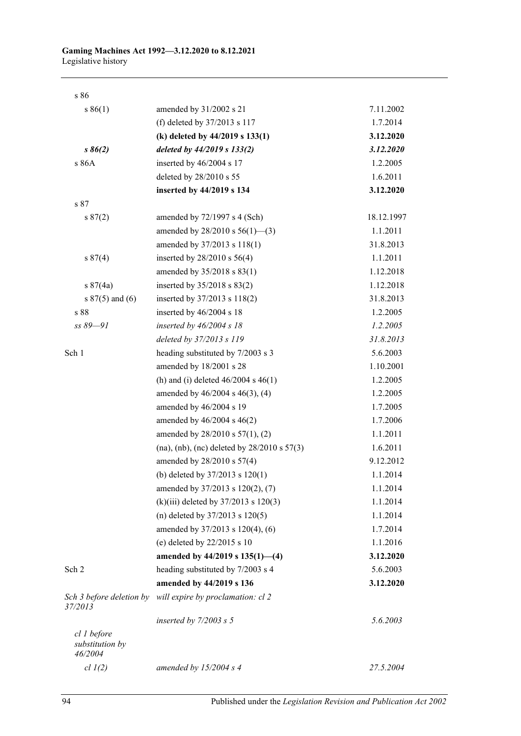| s 86                                      |                                                 |            |
|-------------------------------------------|-------------------------------------------------|------------|
| s 86(1)                                   | amended by 31/2002 s 21                         | 7.11.2002  |
|                                           | (f) deleted by 37/2013 s 117                    | 1.7.2014   |
|                                           | (k) deleted by 44/2019 s 133(1)                 | 3.12.2020  |
| $s\,86(2)$                                | deleted by 44/2019 s 133(2)                     | 3.12.2020  |
| s 86A                                     | inserted by 46/2004 s 17                        | 1.2.2005   |
|                                           | deleted by 28/2010 s 55                         | 1.6.2011   |
|                                           | inserted by 44/2019 s 134                       | 3.12.2020  |
| s 87                                      |                                                 |            |
| s 87(2)                                   | amended by $72/1997$ s 4 (Sch)                  | 18.12.1997 |
|                                           | amended by $28/2010$ s $56(1)$ —(3)             | 1.1.2011   |
|                                           | amended by 37/2013 s 118(1)                     | 31.8.2013  |
| s 87(4)                                   | inserted by $28/2010$ s $56(4)$                 | 1.1.2011   |
|                                           | amended by 35/2018 s 83(1)                      | 1.12.2018  |
| s 87(4a)                                  | inserted by $35/2018$ s $83(2)$                 | 1.12.2018  |
| s $87(5)$ and (6)                         | inserted by 37/2013 s 118(2)                    | 31.8.2013  |
| s 88                                      | inserted by 46/2004 s 18                        | 1.2.2005   |
| ss 89-91                                  | inserted by $46/2004$ s 18                      | 1.2.2005   |
|                                           | deleted by 37/2013 s 119                        | 31.8.2013  |
| Sch 1                                     | heading substituted by 7/2003 s 3               | 5.6.2003   |
|                                           | amended by 18/2001 s 28                         | 1.10.2001  |
|                                           | (h) and (i) deleted $46/2004$ s $46(1)$         | 1.2.2005   |
|                                           | amended by 46/2004 s 46(3), (4)                 | 1.2.2005   |
|                                           | amended by 46/2004 s 19                         | 1.7.2005   |
|                                           | amended by 46/2004 s 46(2)                      | 1.7.2006   |
|                                           | amended by 28/2010 s 57(1), (2)                 | 1.1.2011   |
|                                           | (na), (nb), (nc) deleted by $28/2010$ s $57(3)$ | 1.6.2011   |
|                                           | amended by 28/2010 s 57(4)                      | 9.12.2012  |
|                                           | (b) deleted by $37/2013$ s $120(1)$             | 1.1.2014   |
|                                           | amended by 37/2013 s 120(2), (7)                | 1.1.2014   |
|                                           | (k)(iii) deleted by $37/2013$ s $120(3)$        | 1.1.2014   |
|                                           | (n) deleted by $37/2013$ s $120(5)$             | 1.1.2014   |
|                                           | amended by 37/2013 s 120(4), (6)                | 1.7.2014   |
|                                           | (e) deleted by $22/2015$ s 10                   | 1.1.2016   |
|                                           | amended by $44/2019$ s $135(1)$ —(4)            | 3.12.2020  |
| Sch 2                                     | heading substituted by 7/2003 s 4               | 5.6.2003   |
|                                           | amended by 44/2019 s 136                        | 3.12.2020  |
| Sch 3 before deletion by<br>37/2013       | will expire by proclamation: cl 2               |            |
|                                           | inserted by $7/2003$ s 5                        | 5.6.2003   |
| cl 1 before<br>substitution by<br>46/2004 |                                                 |            |
| $cl$ $l(2)$                               | amended by $15/2004$ s 4                        | 27.5.2004  |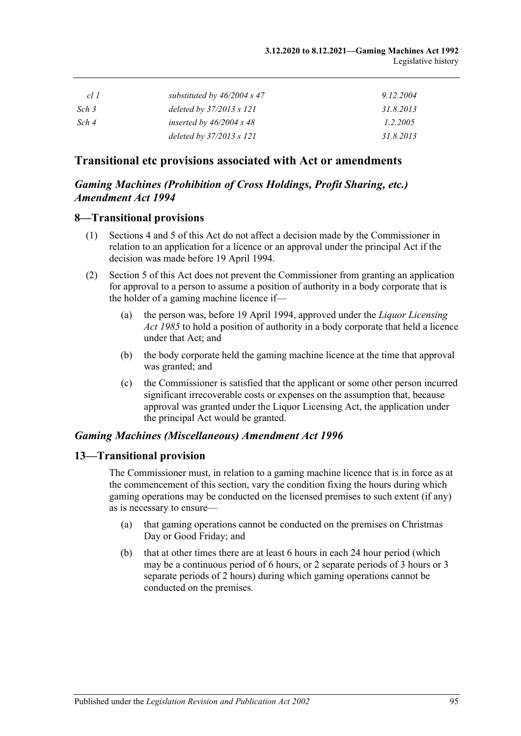| cl 1  | substituted by $46/2004$ s 47 | 9.12.2004 |
|-------|-------------------------------|-----------|
| Sch 3 | deleted by $37/2013$ s $121$  | 31.8.2013 |
| Sch 4 | inserted by $46/2004$ s 48    | 1.2.2005  |
|       | deleted by $37/2013$ s $121$  | 31.8.2013 |

## **Transitional etc provisions associated with Act or amendments**

## *Gaming Machines (Prohibition of Cross Holdings, Profit Sharing, etc.) Amendment Act 1994*

### **8—Transitional provisions**

- (1) Sections 4 and 5 of this Act do not affect a decision made by the Commissioner in relation to an application for a licence or an approval under the principal Act if the decision was made before 19 April 1994.
- (2) Section 5 of this Act does not prevent the Commissioner from granting an application for approval to a person to assume a position of authority in a body corporate that is the holder of a gaming machine licence if—
	- (a) the person was, before 19 April 1994, approved under the *[Liquor Licensing](http://www.legislation.sa.gov.au/index.aspx?action=legref&type=act&legtitle=Liquor%20Licensing%20Act%201985)  Act [1985](http://www.legislation.sa.gov.au/index.aspx?action=legref&type=act&legtitle=Liquor%20Licensing%20Act%201985)* to hold a position of authority in a body corporate that held a licence under that Act; and
	- (b) the body corporate held the gaming machine licence at the time that approval was granted; and
	- (c) the Commissioner is satisfied that the applicant or some other person incurred significant irrecoverable costs or expenses on the assumption that, because approval was granted under the Liquor Licensing Act, the application under the principal Act would be granted.

## *Gaming Machines (Miscellaneous) Amendment Act 1996*

### **13—Transitional provision**

The Commissioner must, in relation to a gaming machine licence that is in force as at the commencement of this section, vary the condition fixing the hours during which gaming operations may be conducted on the licensed premises to such extent (if any) as is necessary to ensure—

- (a) that gaming operations cannot be conducted on the premises on Christmas Day or Good Friday; and
- (b) that at other times there are at least 6 hours in each 24 hour period (which may be a continuous period of 6 hours, or 2 separate periods of 3 hours or 3 separate periods of 2 hours) during which gaming operations cannot be conducted on the premises.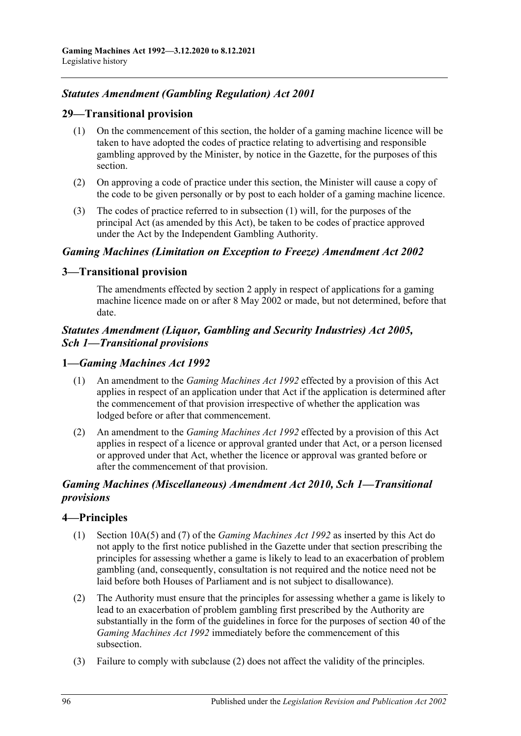## *Statutes Amendment (Gambling Regulation) Act 2001*

## **29—Transitional provision**

- (1) On the commencement of this section, the holder of a gaming machine licence will be taken to have adopted the codes of practice relating to advertising and responsible gambling approved by the Minister, by notice in the Gazette, for the purposes of this section.
- (2) On approving a code of practice under this section, the Minister will cause a copy of the code to be given personally or by post to each holder of a gaming machine licence.
- (3) The codes of practice referred to in subsection (1) will, for the purposes of the principal Act (as amended by this Act), be taken to be codes of practice approved under the Act by the Independent Gambling Authority.

## *Gaming Machines (Limitation on Exception to Freeze) Amendment Act 2002*

## **3—Transitional provision**

The amendments effected by section 2 apply in respect of applications for a gaming machine licence made on or after 8 May 2002 or made, but not determined, before that date.

## *Statutes Amendment (Liquor, Gambling and Security Industries) Act 2005, Sch 1—Transitional provisions*

## **1—***Gaming Machines Act 1992*

- (1) An amendment to the *[Gaming Machines Act](http://www.legislation.sa.gov.au/index.aspx?action=legref&type=act&legtitle=Gaming%20Machines%20Act%201992) 1992* effected by a provision of this Act applies in respect of an application under that Act if the application is determined after the commencement of that provision irrespective of whether the application was lodged before or after that commencement.
- (2) An amendment to the *[Gaming Machines Act](http://www.legislation.sa.gov.au/index.aspx?action=legref&type=act&legtitle=Gaming%20Machines%20Act%201992) 1992* effected by a provision of this Act applies in respect of a licence or approval granted under that Act, or a person licensed or approved under that Act, whether the licence or approval was granted before or after the commencement of that provision.

## *Gaming Machines (Miscellaneous) Amendment Act 2010, Sch 1—Transitional provisions*

## **4—Principles**

- (1) Section 10A(5) and (7) of the *[Gaming Machines Act](http://www.legislation.sa.gov.au/index.aspx?action=legref&type=act&legtitle=Gaming%20Machines%20Act%201992) 1992* as inserted by this Act do not apply to the first notice published in the Gazette under that section prescribing the principles for assessing whether a game is likely to lead to an exacerbation of problem gambling (and, consequently, consultation is not required and the notice need not be laid before both Houses of Parliament and is not subject to disallowance).
- <span id="page-95-0"></span>(2) The Authority must ensure that the principles for assessing whether a game is likely to lead to an exacerbation of problem gambling first prescribed by the Authority are substantially in the form of the guidelines in force for the purposes of section 40 of the *[Gaming Machines Act](http://www.legislation.sa.gov.au/index.aspx?action=legref&type=act&legtitle=Gaming%20Machines%20Act%201992) 1992* immediately before the commencement of this subsection.
- (3) Failure to comply with [subclause](#page-95-0) (2) does not affect the validity of the principles.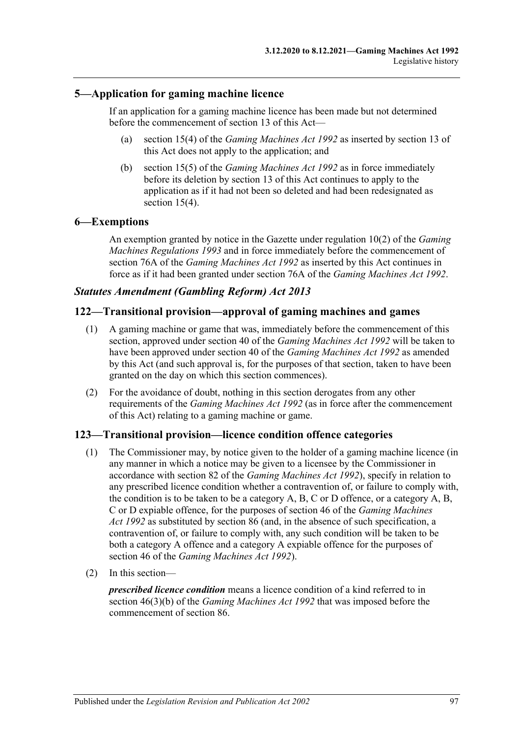## **5—Application for gaming machine licence**

If an application for a gaming machine licence has been made but not determined before the commencement of section 13 of this Act—

- (a) section 15(4) of the *[Gaming Machines Act](http://www.legislation.sa.gov.au/index.aspx?action=legref&type=act&legtitle=Gaming%20Machines%20Act%201992) 1992* as inserted by section 13 of this Act does not apply to the application; and
- (b) section 15(5) of the *[Gaming Machines Act](http://www.legislation.sa.gov.au/index.aspx?action=legref&type=act&legtitle=Gaming%20Machines%20Act%201992) 1992* as in force immediately before its deletion by section 13 of this Act continues to apply to the application as if it had not been so deleted and had been redesignated as section  $15(4)$ .

## **6—Exemptions**

An exemption granted by notice in the Gazette under regulation 10(2) of the *[Gaming](http://www.legislation.sa.gov.au/index.aspx?action=legref&type=subordleg&legtitle=Gaming%20Machines%20Regulations%201993)  [Machines Regulations](http://www.legislation.sa.gov.au/index.aspx?action=legref&type=subordleg&legtitle=Gaming%20Machines%20Regulations%201993) 1993* and in force immediately before the commencement of section 76A of the *[Gaming Machines Act](http://www.legislation.sa.gov.au/index.aspx?action=legref&type=act&legtitle=Gaming%20Machines%20Act%201992) 1992* as inserted by this Act continues in force as if it had been granted under section 76A of the *Gaming [Machines Act](http://www.legislation.sa.gov.au/index.aspx?action=legref&type=act&legtitle=Gaming%20Machines%20Act%201992) 1992*.

## *Statutes Amendment (Gambling Reform) Act 2013*

## **122—Transitional provision—approval of gaming machines and games**

- (1) A gaming machine or game that was, immediately before the commencement of this section, approved under section 40 of the *[Gaming Machines Act](http://www.legislation.sa.gov.au/index.aspx?action=legref&type=act&legtitle=Gaming%20Machines%20Act%201992) 1992* will be taken to have been approved under section 40 of the *[Gaming Machines Act](http://www.legislation.sa.gov.au/index.aspx?action=legref&type=act&legtitle=Gaming%20Machines%20Act%201992) 1992* as amended by this Act (and such approval is, for the purposes of that section, taken to have been granted on the day on which this section commences).
- (2) For the avoidance of doubt, nothing in this section derogates from any other requirements of the *[Gaming Machines Act](http://www.legislation.sa.gov.au/index.aspx?action=legref&type=act&legtitle=Gaming%20Machines%20Act%201992) 1992* (as in force after the commencement of this Act) relating to a gaming machine or game.

## **123—Transitional provision—licence condition offence categories**

- (1) The Commissioner may, by notice given to the holder of a gaming machine licence (in any manner in which a notice may be given to a licensee by the Commissioner in accordance with section 82 of the *[Gaming Machines Act](http://www.legislation.sa.gov.au/index.aspx?action=legref&type=act&legtitle=Gaming%20Machines%20Act%201992) 1992*), specify in relation to any prescribed licence condition whether a contravention of, or failure to comply with, the condition is to be taken to be a category  $A, B, C$  or  $D$  offence, or a category  $A, B$ , C or D expiable offence, for the purposes of section 46 of the *[Gaming Machines](http://www.legislation.sa.gov.au/index.aspx?action=legref&type=act&legtitle=Gaming%20Machines%20Act%201992)  Act [1992](http://www.legislation.sa.gov.au/index.aspx?action=legref&type=act&legtitle=Gaming%20Machines%20Act%201992)* as substituted by section 86 (and, in the absence of such specification, a contravention of, or failure to comply with, any such condition will be taken to be both a category A offence and a category A expiable offence for the purposes of section 46 of the *[Gaming Machines Act](http://www.legislation.sa.gov.au/index.aspx?action=legref&type=act&legtitle=Gaming%20Machines%20Act%201992) 1992*).
- (2) In this section—

*prescribed licence condition* means a licence condition of a kind referred to in section 46(3)(b) of the *[Gaming Machines Act](http://www.legislation.sa.gov.au/index.aspx?action=legref&type=act&legtitle=Gaming%20Machines%20Act%201992) 1992* that was imposed before the commencement of section 86.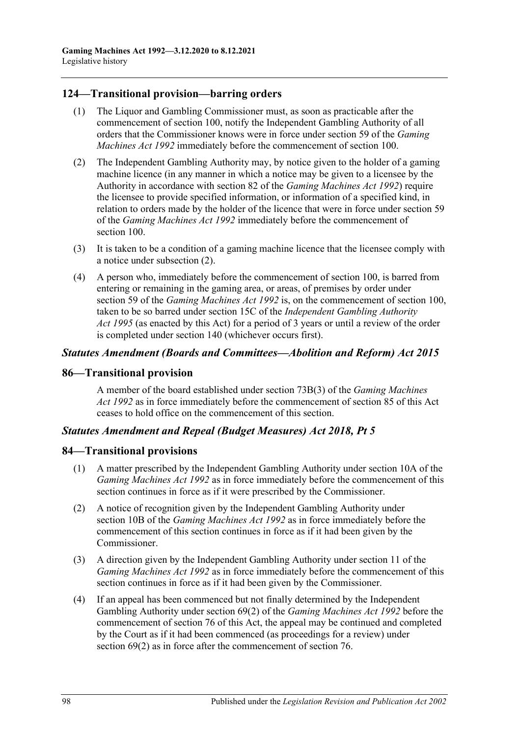## **124—Transitional provision—barring orders**

- (1) The Liquor and Gambling Commissioner must, as soon as practicable after the commencement of section 100, notify the Independent Gambling Authority of all orders that the Commissioner knows were in force under section 59 of the *[Gaming](http://www.legislation.sa.gov.au/index.aspx?action=legref&type=act&legtitle=Gaming%20Machines%20Act%201992)  [Machines Act](http://www.legislation.sa.gov.au/index.aspx?action=legref&type=act&legtitle=Gaming%20Machines%20Act%201992) 1992* immediately before the commencement of section 100.
- <span id="page-97-0"></span>(2) The Independent Gambling Authority may, by notice given to the holder of a gaming machine licence (in any manner in which a notice may be given to a licensee by the Authority in accordance with section 82 of the *[Gaming Machines Act](http://www.legislation.sa.gov.au/index.aspx?action=legref&type=act&legtitle=Gaming%20Machines%20Act%201992) 1992*) require the licensee to provide specified information, or information of a specified kind, in relation to orders made by the holder of the licence that were in force under section 59 of the *[Gaming Machines Act](http://www.legislation.sa.gov.au/index.aspx?action=legref&type=act&legtitle=Gaming%20Machines%20Act%201992) 1992* immediately before the commencement of section 100.
- (3) It is taken to be a condition of a gaming machine licence that the licensee comply with a notice under [subsection](#page-97-0) (2).
- (4) A person who, immediately before the commencement of section 100, is barred from entering or remaining in the gaming area, or areas, of premises by order under section 59 of the *[Gaming Machines Act](http://www.legislation.sa.gov.au/index.aspx?action=legref&type=act&legtitle=Gaming%20Machines%20Act%201992) 1992* is, on the commencement of section 100, taken to be so barred under section 15C of the *[Independent Gambling Authority](http://www.legislation.sa.gov.au/index.aspx?action=legref&type=act&legtitle=Independent%20Gambling%20Authority%20Act%201995)  Act [1995](http://www.legislation.sa.gov.au/index.aspx?action=legref&type=act&legtitle=Independent%20Gambling%20Authority%20Act%201995)* (as enacted by this Act) for a period of 3 years or until a review of the order is completed under section 140 (whichever occurs first).

### *Statutes Amendment (Boards and Committees—Abolition and Reform) Act 2015*

### **86—Transitional provision**

A member of the board established under section 73B(3) of the *[Gaming Machines](http://www.legislation.sa.gov.au/index.aspx?action=legref&type=act&legtitle=Gaming%20Machines%20Act%201992)  Act [1992](http://www.legislation.sa.gov.au/index.aspx?action=legref&type=act&legtitle=Gaming%20Machines%20Act%201992)* as in force immediately before the commencement of section 85 of this Act ceases to hold office on the commencement of this section.

## *Statutes Amendment and Repeal (Budget Measures) Act 2018, Pt 5*

## **84—Transitional provisions**

- (1) A matter prescribed by the Independent Gambling Authority under section 10A of the *[Gaming Machines Act](http://www.legislation.sa.gov.au/index.aspx?action=legref&type=act&legtitle=Gaming%20Machines%20Act%201992) 1992* as in force immediately before the commencement of this section continues in force as if it were prescribed by the Commissioner.
- (2) A notice of recognition given by the Independent Gambling Authority under section 10B of the *[Gaming Machines Act](http://www.legislation.sa.gov.au/index.aspx?action=legref&type=act&legtitle=Gaming%20Machines%20Act%201992) 1992* as in force immediately before the commencement of this section continues in force as if it had been given by the Commissioner.
- (3) A direction given by the Independent Gambling Authority under section 11 of the *[Gaming Machines Act](http://www.legislation.sa.gov.au/index.aspx?action=legref&type=act&legtitle=Gaming%20Machines%20Act%201992) 1992* as in force immediately before the commencement of this section continues in force as if it had been given by the Commissioner.
- (4) If an appeal has been commenced but not finally determined by the Independent Gambling Authority under section 69(2) of the *[Gaming Machines Act](http://www.legislation.sa.gov.au/index.aspx?action=legref&type=act&legtitle=Gaming%20Machines%20Act%201992) 1992* before the commencement of section 76 of this Act, the appeal may be continued and completed by the Court as if it had been commenced (as proceedings for a review) under section  $69(2)$  as in force after the commencement of section 76.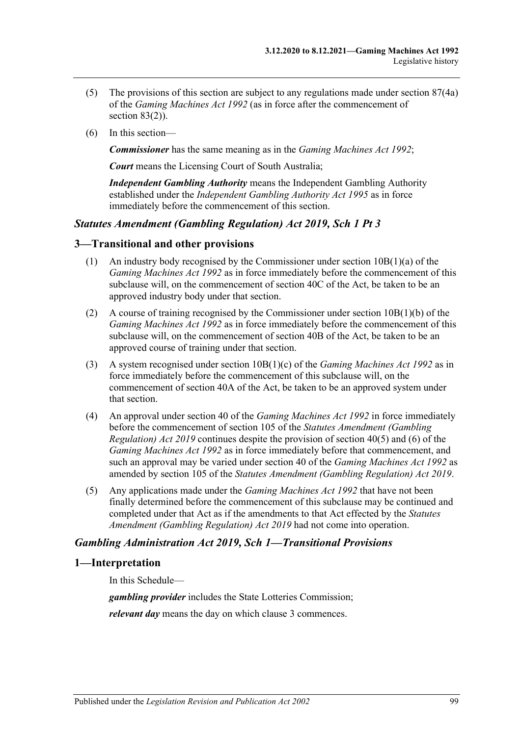- (5) The provisions of this section are subject to any regulations made under section 87(4a) of the *[Gaming Machines Act](http://www.legislation.sa.gov.au/index.aspx?action=legref&type=act&legtitle=Gaming%20Machines%20Act%201992) 1992* (as in force after the commencement of section 83(2)).
- (6) In this section—

*Commissioner* has the same meaning as in the *[Gaming Machines Act](http://www.legislation.sa.gov.au/index.aspx?action=legref&type=act&legtitle=Gaming%20Machines%20Act%201992) 1992*;

*Court* means the Licensing Court of South Australia;

*Independent Gambling Authority* means the Independent Gambling Authority established under the *[Independent Gambling Authority Act](http://www.legislation.sa.gov.au/index.aspx?action=legref&type=act&legtitle=Independent%20Gambling%20Authority%20Act%201995) 1995* as in force immediately before the commencement of this section.

### *Statutes Amendment (Gambling Regulation) Act 2019, Sch 1 Pt 3*

### **3—Transitional and other provisions**

- (1) An industry body recognised by the Commissioner under section 10B(1)(a) of the *[Gaming Machines Act](http://www.legislation.sa.gov.au/index.aspx?action=legref&type=act&legtitle=Gaming%20Machines%20Act%201992) 1992* as in force immediately before the commencement of this subclause will, on the commencement of section 40C of the Act, be taken to be an approved industry body under that section.
- (2) A course of training recognised by the Commissioner under section 10B(1)(b) of the *[Gaming Machines Act](http://www.legislation.sa.gov.au/index.aspx?action=legref&type=act&legtitle=Gaming%20Machines%20Act%201992) 1992* as in force immediately before the commencement of this subclause will, on the commencement of section 40B of the Act, be taken to be an approved course of training under that section.
- (3) A system recognised under section 10B(1)(c) of the *[Gaming Machines Act](http://www.legislation.sa.gov.au/index.aspx?action=legref&type=act&legtitle=Gaming%20Machines%20Act%201992) 1992* as in force immediately before the commencement of this subclause will, on the commencement of section 40A of the Act, be taken to be an approved system under that section.
- (4) An approval under section 40 of the *[Gaming Machines Act](http://www.legislation.sa.gov.au/index.aspx?action=legref&type=act&legtitle=Gaming%20Machines%20Act%201992) 1992* in force immediately before the commencement of section 105 of the *[Statutes Amendment \(Gambling](http://www.legislation.sa.gov.au/index.aspx?action=legref&type=act&legtitle=Statutes%20Amendment%20(Gambling%20Regulation)%20Act%202019)  [Regulation\) Act 2019](http://www.legislation.sa.gov.au/index.aspx?action=legref&type=act&legtitle=Statutes%20Amendment%20(Gambling%20Regulation)%20Act%202019)* continues despite the provision of section 40(5) and (6) of the *[Gaming Machines Act](http://www.legislation.sa.gov.au/index.aspx?action=legref&type=act&legtitle=Gaming%20Machines%20Act%201992) 1992* as in force immediately before that commencement, and such an approval may be varied under section 40 of the *[Gaming Machines Act](http://www.legislation.sa.gov.au/index.aspx?action=legref&type=act&legtitle=Gaming%20Machines%20Act%201992) 1992* as amended by section 105 of the *[Statutes Amendment \(Gambling Regulation\) Act 2019](http://www.legislation.sa.gov.au/index.aspx?action=legref&type=act&legtitle=Statutes%20Amendment%20(Gambling%20Regulation)%20Act%202019)*.
- (5) Any applications made under the *[Gaming Machines Act](http://www.legislation.sa.gov.au/index.aspx?action=legref&type=act&legtitle=Gaming%20Machines%20Act%201992) 1992* that have not been finally determined before the commencement of this subclause may be continued and completed under that Act as if the amendments to that Act effected by the *[Statutes](http://www.legislation.sa.gov.au/index.aspx?action=legref&type=act&legtitle=Statutes%20Amendment%20(Gambling%20Regulation)%20Act%202019)  [Amendment \(Gambling Regulation\) Act 2019](http://www.legislation.sa.gov.au/index.aspx?action=legref&type=act&legtitle=Statutes%20Amendment%20(Gambling%20Regulation)%20Act%202019)* had not come into operation.

### *Gambling Administration Act 2019, Sch 1—Transitional Provisions*

### **1—Interpretation**

In this Schedule—

*gambling provider* includes the State Lotteries Commission;

*relevant day* means the day on which [clause](#page-99-0) 3 commences.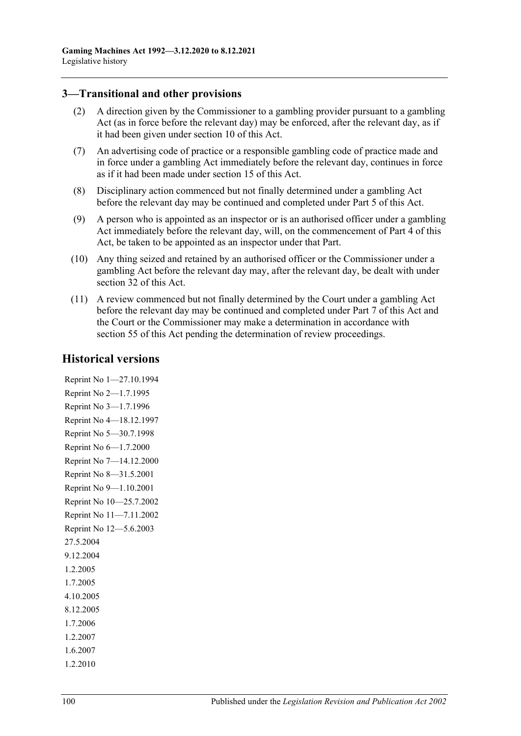## <span id="page-99-0"></span>**3—Transitional and other provisions**

- (2) A direction given by the Commissioner to a gambling provider pursuant to a gambling Act (as in force before the relevant day) may be enforced, after the relevant day, as if it had been given under section 10 of this Act.
- (7) An advertising code of practice or a responsible gambling code of practice made and in force under a gambling Act immediately before the relevant day, continues in force as if it had been made under section 15 of this Act.
- (8) Disciplinary action commenced but not finally determined under a gambling Act before the relevant day may be continued and completed under Part 5 of this Act.
- (9) A person who is appointed as an inspector or is an authorised officer under a gambling Act immediately before the relevant day, will, on the commencement of Part 4 of this Act, be taken to be appointed as an inspector under that Part.
- (10) Any thing seized and retained by an authorised officer or the Commissioner under a gambling Act before the relevant day may, after the relevant day, be dealt with under section 32 of this Act.
- (11) A review commenced but not finally determined by the Court under a gambling Act before the relevant day may be continued and completed under Part 7 of this Act and the Court or the Commissioner may make a determination in accordance with section 55 of this Act pending the determination of review proceedings.

## **Historical versions**

Reprint No 1—27.10.1994 Reprint No 2—1.7.1995 Reprint No 3—1.7.1996 Reprint No 4—18.12.1997 Reprint No 5—30.7.1998 Reprint No 6—1.7.2000 Reprint No 7—14.12.2000 Reprint No 8—31.5.2001 Reprint No 9—1.10.2001 Reprint No 10—25.7.2002 Reprint No 11—7.11.2002 Reprint No 12—5.6.2003 27.5.2004 9.12.2004 1.2.2005 1.7.2005 4.10.2005 8.12.2005 1.7.2006 1.2.2007 1.6.2007

1.2.2010